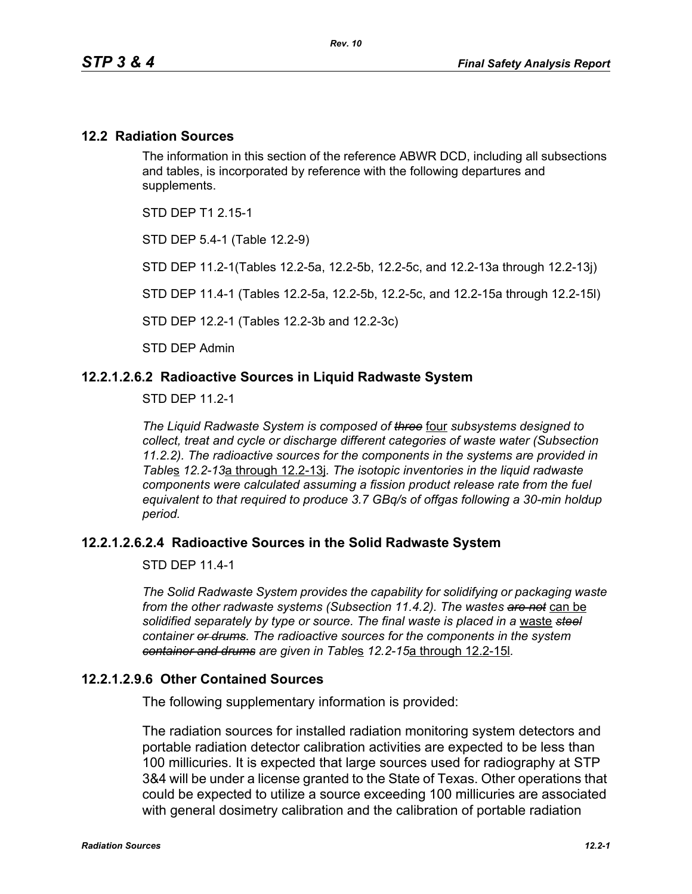### **12.2 Radiation Sources**

The information in this section of the reference ABWR DCD, including all subsections and tables, is incorporated by reference with the following departures and supplements.

STD DEP T1 2 15-1

STD DEP 5.4-1 (Table 12.2-9)

STD DEP 11.2-1(Tables 12.2-5a, 12.2-5b, 12.2-5c, and 12.2-13a through 12.2-13j)

STD DEP 11.4-1 (Tables 12.2-5a, 12.2-5b, 12.2-5c, and 12.2-15a through 12.2-15l)

STD DEP 12.2-1 (Tables 12.2-3b and 12.2-3c)

STD DEP Admin

### **12.2.1.2.6.2 Radioactive Sources in Liquid Radwaste System**

STD DEP 11.2-1

*The Liquid Radwaste System is composed of three* four *subsystems designed to collect, treat and cycle or discharge different categories of waste water (Subsection 11.2.2). The radioactive sources for the components in the systems are provided in Table*s *12.2-13*a through 12.2-13j*. The isotopic inventories in the liquid radwaste components were calculated assuming a fission product release rate from the fuel equivalent to that required to produce 3.7 GBq/s of offgas following a 30-min holdup period.* 

### **12.2.1.2.6.2.4 Radioactive Sources in the Solid Radwaste System**

STD DFP 11 4-1

*The Solid Radwaste System provides the capability for solidifying or packaging waste from the other radwaste systems (Subsection 11.4.2). The wastes are not* can be *solidified separately by type or source. The final waste is placed in a* waste *steel container or drums. The radioactive sources for the components in the system container and drums are given in Table*s *12.2-15*a through 12.2-15l*.*

### **12.2.1.2.9.6 Other Contained Sources**

The following supplementary information is provided:

The radiation sources for installed radiation monitoring system detectors and portable radiation detector calibration activities are expected to be less than 100 millicuries. It is expected that large sources used for radiography at STP 3&4 will be under a license granted to the State of Texas. Other operations that could be expected to utilize a source exceeding 100 millicuries are associated with general dosimetry calibration and the calibration of portable radiation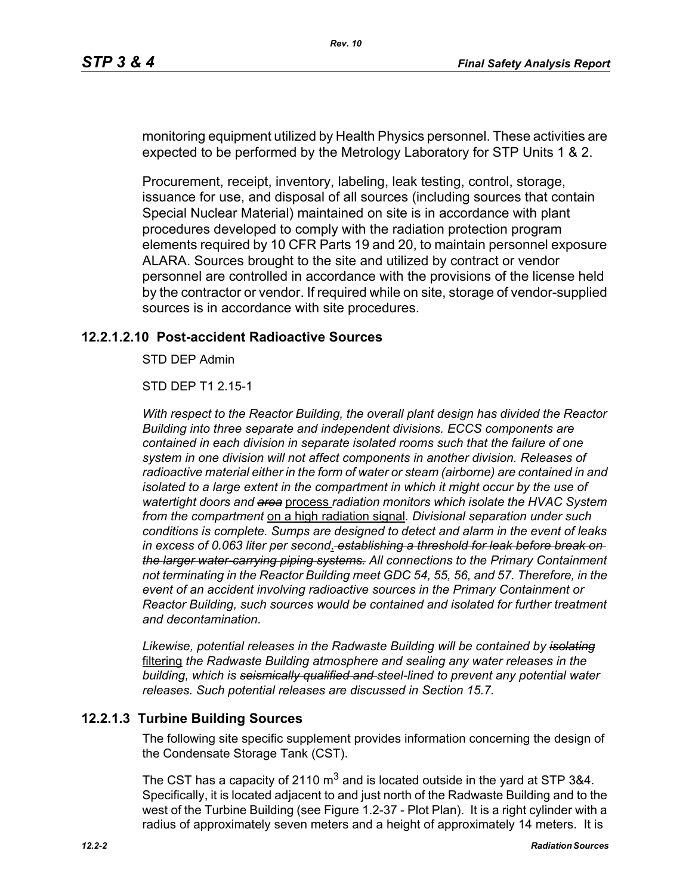monitoring equipment utilized by Health Physics personnel. These activities are expected to be performed by the Metrology Laboratory for STP Units 1 & 2.

Procurement, receipt, inventory, labeling, leak testing, control, storage, issuance for use, and disposal of all sources (including sources that contain Special Nuclear Material) maintained on site is in accordance with plant procedures developed to comply with the radiation protection program elements required by 10 CFR Parts 19 and 20, to maintain personnel exposure ALARA. Sources brought to the site and utilized by contract or vendor personnel are controlled in accordance with the provisions of the license held by the contractor or vendor. If required while on site, storage of vendor-supplied sources is in accordance with site procedures.

### **12.2.1.2.10 Post-accident Radioactive Sources**

STD DEP Admin

STD DEP T1 2.15-1

*With respect to the Reactor Building, the overall plant design has divided the Reactor Building into three separate and independent divisions. ECCS components are contained in each division in separate isolated rooms such that the failure of one system in one division will not affect components in another division. Releases of radioactive material either in the form of water or steam (airborne) are contained in and isolated to a large extent in the compartment in which it might occur by the use of watertight doors and area* process *radiation monitors which isolate the HVAC System from the compartment* on a high radiation signal*. Divisional separation under such conditions is complete. Sumps are designed to detect and alarm in the event of leaks in excess of 0.063 liter per second*. *establishing a threshold for leak before break on the larger water-carrying piping systems. All connections to the Primary Containment not terminating in the Reactor Building meet GDC 54, 55, 56, and 57. Therefore, in the event of an accident involving radioactive sources in the Primary Containment or Reactor Building, such sources would be contained and isolated for further treatment and decontamination.*

*Likewise, potential releases in the Radwaste Building will be contained by isolating* filtering *the Radwaste Building atmosphere and sealing any water releases in the building, which is seismically qualified and steel-lined to prevent any potential water releases. Such potential releases are discussed in Section 15.7.* 

### **12.2.1.3 Turbine Building Sources**

The following site specific supplement provides information concerning the design of the Condensate Storage Tank (CST).

The CST has a capacity of 2110  $\text{m}^3$  and is located outside in the yard at STP 3&4. Specifically, it is located adjacent to and just north of the Radwaste Building and to the west of the Turbine Building (see Figure 1.2-37 - Plot Plan). It is a right cylinder with a radius of approximately seven meters and a height of approximately 14 meters. It is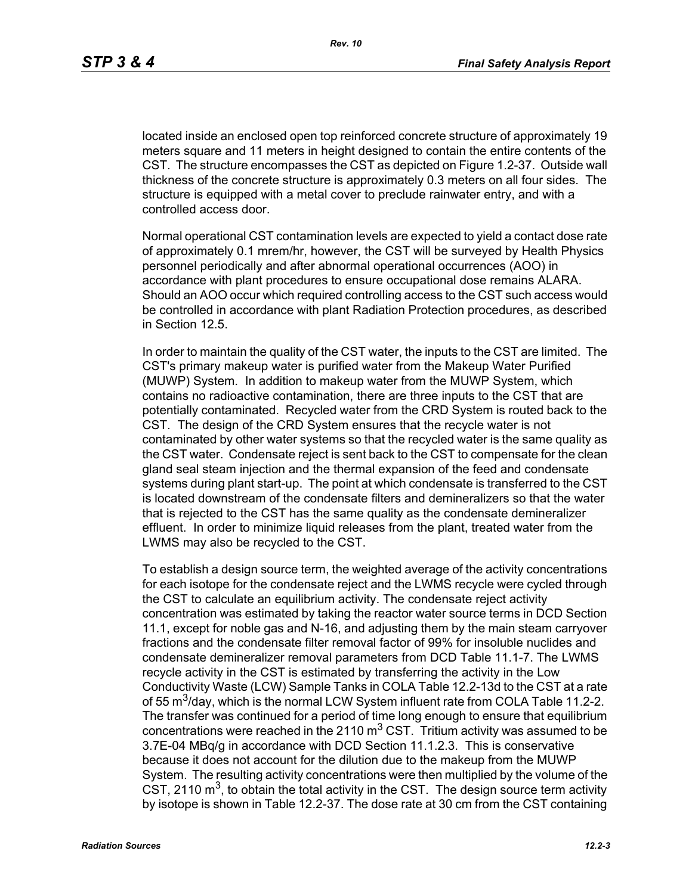located inside an enclosed open top reinforced concrete structure of approximately 19 meters square and 11 meters in height designed to contain the entire contents of the CST. The structure encompasses the CST as depicted on Figure 1.2-37. Outside wall thickness of the concrete structure is approximately 0.3 meters on all four sides. The structure is equipped with a metal cover to preclude rainwater entry, and with a controlled access door.

Normal operational CST contamination levels are expected to yield a contact dose rate of approximately 0.1 mrem/hr, however, the CST will be surveyed by Health Physics personnel periodically and after abnormal operational occurrences (AOO) in accordance with plant procedures to ensure occupational dose remains ALARA. Should an AOO occur which required controlling access to the CST such access would be controlled in accordance with plant Radiation Protection procedures, as described in Section 12.5.

In order to maintain the quality of the CST water, the inputs to the CST are limited. The CST's primary makeup water is purified water from the Makeup Water Purified (MUWP) System. In addition to makeup water from the MUWP System, which contains no radioactive contamination, there are three inputs to the CST that are potentially contaminated. Recycled water from the CRD System is routed back to the CST. The design of the CRD System ensures that the recycle water is not contaminated by other water systems so that the recycled water is the same quality as the CST water. Condensate reject is sent back to the CST to compensate for the clean gland seal steam injection and the thermal expansion of the feed and condensate systems during plant start-up. The point at which condensate is transferred to the CST is located downstream of the condensate filters and demineralizers so that the water that is rejected to the CST has the same quality as the condensate demineralizer effluent. In order to minimize liquid releases from the plant, treated water from the LWMS may also be recycled to the CST.

To establish a design source term, the weighted average of the activity concentrations for each isotope for the condensate reject and the LWMS recycle were cycled through the CST to calculate an equilibrium activity. The condensate reject activity concentration was estimated by taking the reactor water source terms in DCD Section 11.1, except for noble gas and N-16, and adjusting them by the main steam carryover fractions and the condensate filter removal factor of 99% for insoluble nuclides and condensate demineralizer removal parameters from DCD Table 11.1-7. The LWMS recycle activity in the CST is estimated by transferring the activity in the Low Conductivity Waste (LCW) Sample Tanks in COLA Table 12.2-13d to the CST at a rate of 55  $\text{m}^3$ /day, which is the normal LCW System influent rate from COLA Table 11.2-2. The transfer was continued for a period of time long enough to ensure that equilibrium concentrations were reached in the 2110  $\text{m}^3$  CST. Tritium activity was assumed to be 3.7E-04 MBq/g in accordance with DCD Section 11.1.2.3. This is conservative because it does not account for the dilution due to the makeup from the MUWP System. The resulting activity concentrations were then multiplied by the volume of the CST, 2110  $\mathrm{m}^3$ , to obtain the total activity in the CST. The design source term activity by isotope is shown in Table 12.2-37. The dose rate at 30 cm from the CST containing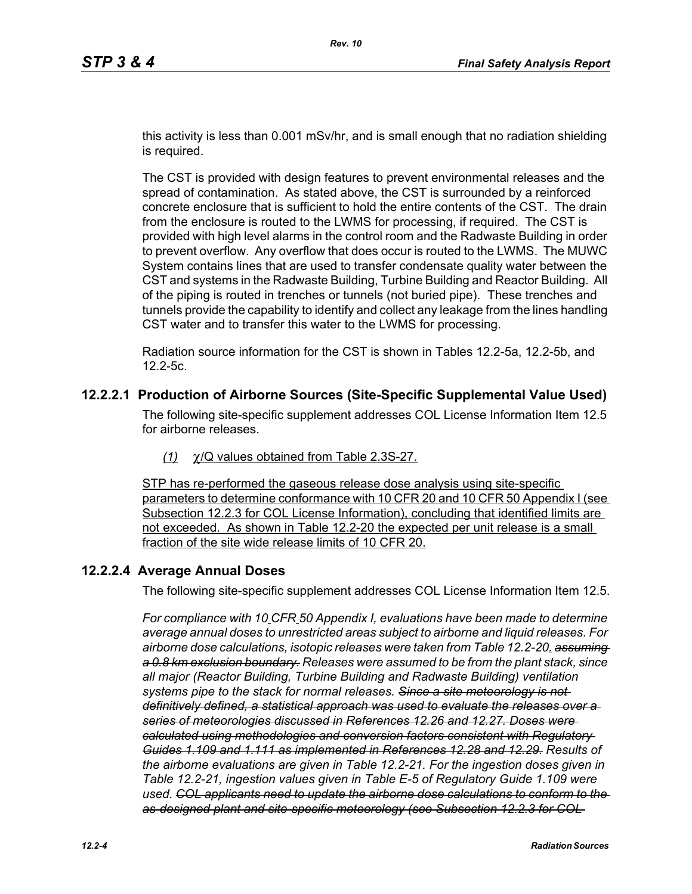this activity is less than 0.001 mSv/hr, and is small enough that no radiation shielding is required.

The CST is provided with design features to prevent environmental releases and the spread of contamination. As stated above, the CST is surrounded by a reinforced concrete enclosure that is sufficient to hold the entire contents of the CST. The drain from the enclosure is routed to the LWMS for processing, if required. The CST is provided with high level alarms in the control room and the Radwaste Building in order to prevent overflow. Any overflow that does occur is routed to the LWMS. The MUWC System contains lines that are used to transfer condensate quality water between the CST and systems in the Radwaste Building, Turbine Building and Reactor Building. All of the piping is routed in trenches or tunnels (not buried pipe). These trenches and tunnels provide the capability to identify and collect any leakage from the lines handling CST water and to transfer this water to the LWMS for processing.

Radiation source information for the CST is shown in Tables 12.2-5a, 12.2-5b, and 12.2-5c.

### **12.2.2.1 Production of Airborne Sources (Site-Specific Supplemental Value Used)**

The following site-specific supplement addresses COL License Information Item 12.5 for airborne releases.

*(1)* χ/Q values obtained from Table 2.3S-27.

STP has re-performed the gaseous release dose analysis using site-specific parameters to determine conformance with 10 CFR 20 and 10 CFR 50 Appendix I (see Subsection 12.2.3 for COL License Information), concluding that identified limits are not exceeded. As shown in Table 12.2-20 the expected per unit release is a small fraction of the site wide release limits of 10 CFR 20.

### **12.2.2.4 Average Annual Doses**

The following site-specific supplement addresses COL License Information Item 12.5.

*For compliance with 10 CFR 50 Appendix I, evaluations have been made to determine average annual doses to unrestricted areas subject to airborne and liquid releases. For airborne dose calculations, isotopic releases were taken from Table 12.2-20. assuming a 0.8 km exclusion boundary. Releases were assumed to be from the plant stack, since all major (Reactor Building, Turbine Building and Radwaste Building) ventilation systems pipe to the stack for normal releases. Since a site meteorology is not definitively defined, a statistical approach was used to evaluate the releases over a series of meteorologies discussed in References 12.26 and 12.27. Doses were calculated using methodologies and conversion factors consistent with Regulatory Guides 1.109 and 1.111 as implemented in References 12.28 and 12.29. Results of the airborne evaluations are given in Table 12.2-21. For the ingestion doses given in Table 12.2-21, ingestion values given in Table E-5 of Regulatory Guide 1.109 were used. COL applicants need to update the airborne dose calculations to conform to the as-designed plant and site-specific meteorology (see Subsection 12.2.3 for COL*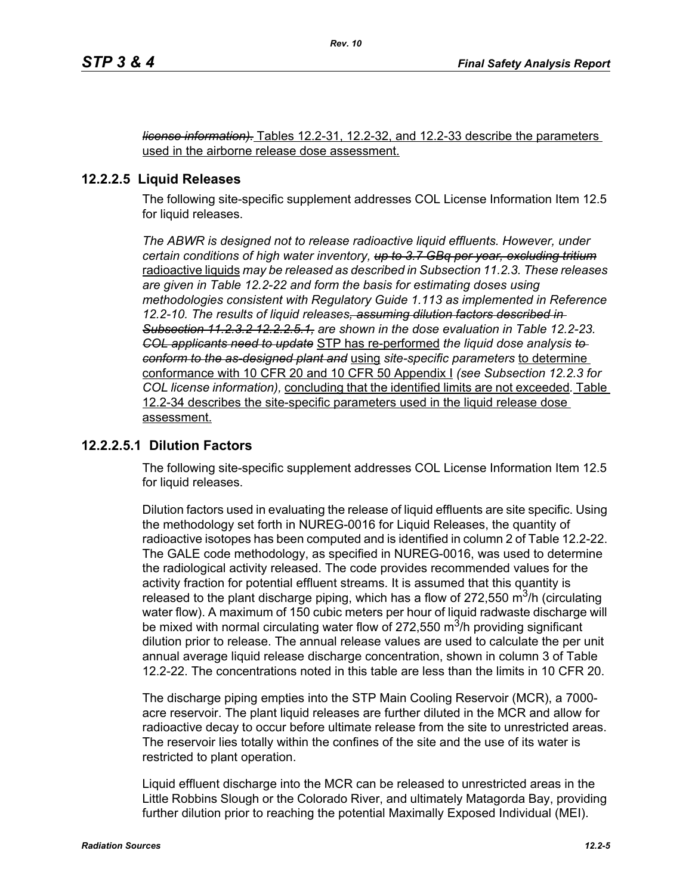*license information).* Tables 12.2-31, 12.2-32, and 12.2-33 describe the parameters used in the airborne release dose assessment.

### **12.2.2.5 Liquid Releases**

The following site-specific supplement addresses COL License Information Item 12.5 for liquid releases.

*The ABWR is designed not to release radioactive liquid effluents. However, under certain conditions of high water inventory, up to 3.7 GBq per year, excluding tritium* radioactive liquids *may be released as described in Subsection 11.2.3. These releases are given in Table 12.2-22 and form the basis for estimating doses using methodologies consistent with Regulatory Guide 1.113 as implemented in Reference 12.2-10. The results of liquid releases, assuming dilution factors described in Subsection 11.2.3.2 12.2.2.5.1, are shown in the dose evaluation in Table 12.2-23. COL applicants need to update* STP has re-performed *the liquid dose analysis to conform to the as-designed plant and* using *site-specific parameters* to determine conformance with 10 CFR 20 and 10 CFR 50 Appendix I *(see Subsection 12.2.3 for COL license information),* concluding that the identified limits are not exceeded*.* Table 12.2-34 describes the site-specific parameters used in the liquid release dose assessment.

### **12.2.2.5.1 Dilution Factors**

The following site-specific supplement addresses COL License Information Item 12.5 for liquid releases.

Dilution factors used in evaluating the release of liquid effluents are site specific. Using the methodology set forth in NUREG-0016 for Liquid Releases, the quantity of radioactive isotopes has been computed and is identified in column 2 of Table 12.2-22. The GALE code methodology, as specified in NUREG-0016, was used to determine the radiological activity released. The code provides recommended values for the activity fraction for potential effluent streams. It is assumed that this quantity is released to the plant discharge piping, which has a flow of 272,550  $\mathrm{m}^3$ /h (circulating water flow). A maximum of 150 cubic meters per hour of liquid radwaste discharge will be mixed with normal circulating water flow of 272,550  $\mathrm{m}^3$ /h providing significant dilution prior to release. The annual release values are used to calculate the per unit annual average liquid release discharge concentration, shown in column 3 of Table 12.2-22. The concentrations noted in this table are less than the limits in 10 CFR 20.

The discharge piping empties into the STP Main Cooling Reservoir (MCR), a 7000 acre reservoir. The plant liquid releases are further diluted in the MCR and allow for radioactive decay to occur before ultimate release from the site to unrestricted areas. The reservoir lies totally within the confines of the site and the use of its water is restricted to plant operation.

Liquid effluent discharge into the MCR can be released to unrestricted areas in the Little Robbins Slough or the Colorado River, and ultimately Matagorda Bay, providing further dilution prior to reaching the potential Maximally Exposed Individual (MEI).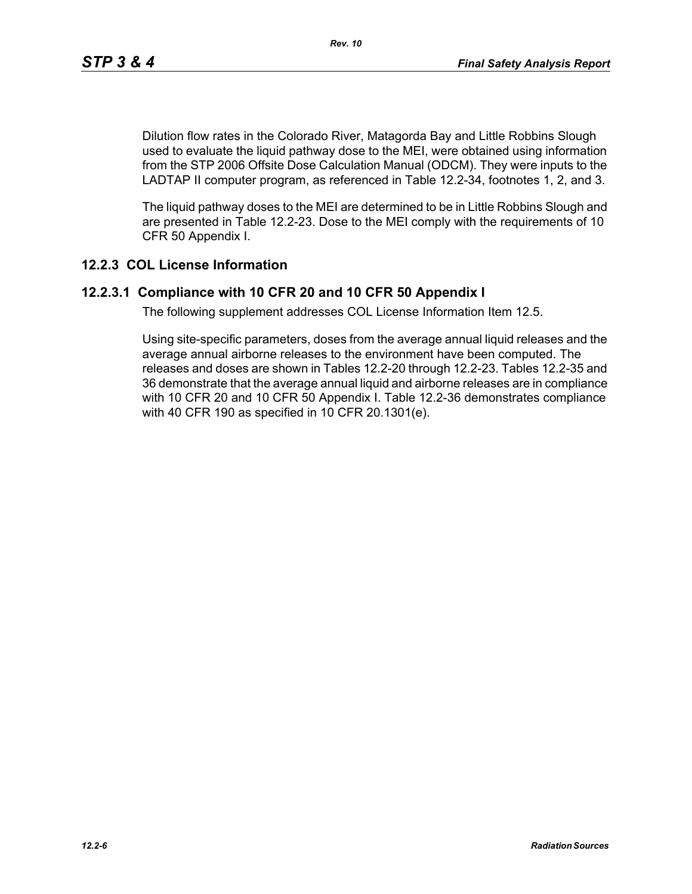Dilution flow rates in the Colorado River, Matagorda Bay and Little Robbins Slough used to evaluate the liquid pathway dose to the MEI, were obtained using information from the STP 2006 Offsite Dose Calculation Manual (ODCM). They were inputs to the LADTAP II computer program, as referenced in Table 12.2-34, footnotes 1, 2, and 3.

The liquid pathway doses to the MEI are determined to be in Little Robbins Slough and are presented in Table 12.2-23. Dose to the MEI comply with the requirements of 10 CFR 50 Appendix I.

### **12.2.3 COL License Information**

### **12.2.3.1 Compliance with 10 CFR 20 and 10 CFR 50 Appendix I**

The following supplement addresses COL License Information Item 12.5.

Using site-specific parameters, doses from the average annual liquid releases and the average annual airborne releases to the environment have been computed. The releases and doses are shown in Tables 12.2-20 through 12.2-23. Tables 12.2-35 and 36 demonstrate that the average annual liquid and airborne releases are in compliance with 10 CFR 20 and 10 CFR 50 Appendix I. Table 12.2-36 demonstrates compliance with 40 CFR 190 as specified in 10 CFR 20.1301(e).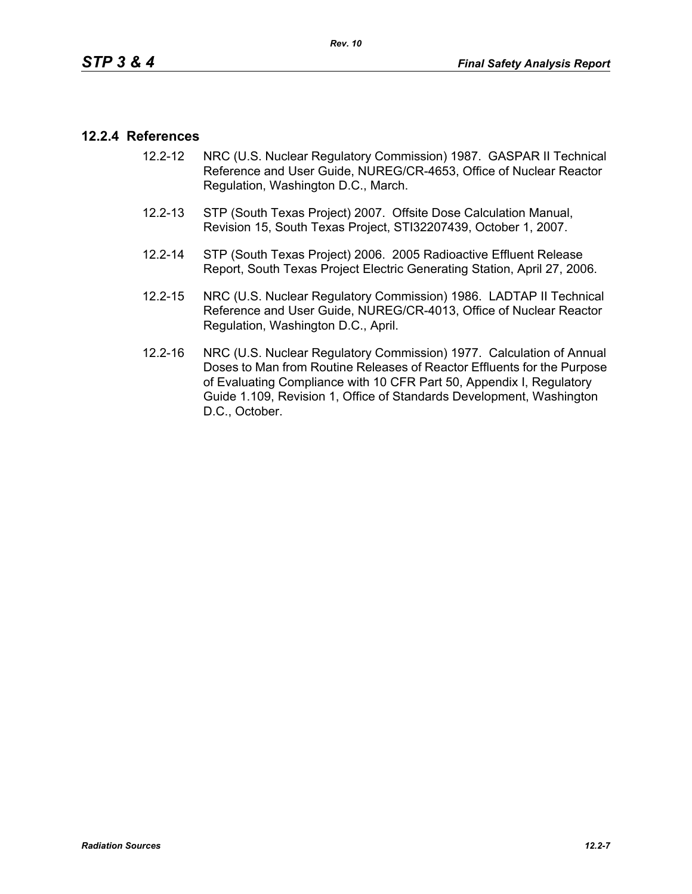### **12.2.4 References**

- 12.2-12 NRC (U.S. Nuclear Regulatory Commission) 1987. GASPAR II Technical Reference and User Guide, NUREG/CR-4653, Office of Nuclear Reactor Regulation, Washington D.C., March.
- 12.2-13 STP (South Texas Project) 2007. Offsite Dose Calculation Manual, Revision 15, South Texas Project, STI32207439, October 1, 2007.
- 12.2-14 STP (South Texas Project) 2006. 2005 Radioactive Effluent Release Report, South Texas Project Electric Generating Station, April 27, 2006.
- 12.2-15 NRC (U.S. Nuclear Regulatory Commission) 1986. LADTAP II Technical Reference and User Guide, NUREG/CR-4013, Office of Nuclear Reactor Regulation, Washington D.C., April.
- 12.2-16 NRC (U.S. Nuclear Regulatory Commission) 1977. Calculation of Annual Doses to Man from Routine Releases of Reactor Effluents for the Purpose of Evaluating Compliance with 10 CFR Part 50, Appendix I, Regulatory Guide 1.109, Revision 1, Office of Standards Development, Washington D.C., October.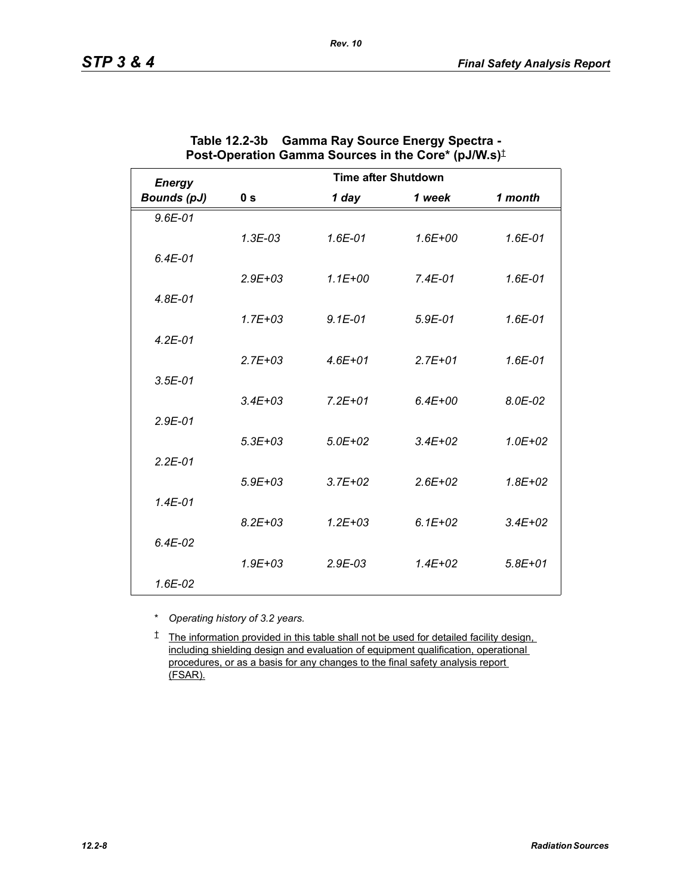| <b>Energy</b>      |                | <b>Time after Shutdown</b> |             |             |
|--------------------|----------------|----------------------------|-------------|-------------|
| <b>Bounds (pJ)</b> | 0 <sub>s</sub> | 1 day                      | 1 week      | 1 month     |
| $9.6E - 01$        |                |                            |             |             |
|                    | $1.3E-03$      | 1.6E-01                    | $1.6E + 00$ | 1.6E-01     |
| $6.4E-01$          |                |                            |             |             |
|                    | $2.9E + 03$    | $1.1E + 00$                | $7.4E-01$   | 1.6E-01     |
| $4.8E - 01$        |                |                            |             |             |
|                    | $1.7E + 03$    | $9.1E - 01$                | $5.9E-01$   | $1.6E - 01$ |
| $4.2E - 01$        |                |                            |             |             |
|                    | $2.7E + 03$    | $4.6E + 01$                | $2.7E + 01$ | 1.6E-01     |
| $3.5E-01$          |                |                            |             |             |
|                    | $3.4E + 03$    | $7.2E + 01$                | $6.4E + 00$ | 8.0E-02     |
| $2.9E - 01$        |                |                            |             |             |
|                    | $5.3E + 03$    | $5.0E + 02$                | $3.4E + 02$ | $1.0E + 02$ |
| $2.2E - 01$        |                |                            |             |             |
|                    | $5.9E + 03$    | $3.7E + 02$                | $2.6E + 02$ | $1.8E + 02$ |
| $1.4E - 01$        |                |                            |             |             |
|                    | $8.2E + 0.3$   | $1.2E + 0.3$               | $6.1E + 02$ | $3.4E + 02$ |
| $6.4E-02$          |                |                            |             |             |
|                    | $1.9E + 03$    | $2.9E-03$                  | $1.4E + 02$ | $5.8E + 01$ |
| 1.6E-02            |                |                            |             |             |

| Table 12.2-3b Gamma Ray Source Energy Spectra -                                |
|--------------------------------------------------------------------------------|
| Post-Operation Gamma Sources in the Core* (pJ/W.s) <sup><math>\pm</math></sup> |

*Rev. 10*

\* *Operating history of 3.2 years.*

† The information provided in this table shall not be used for detailed facility design, including shielding design and evaluation of equipment qualification, operational procedures, or as a basis for any changes to the final safety analysis report (FSAR).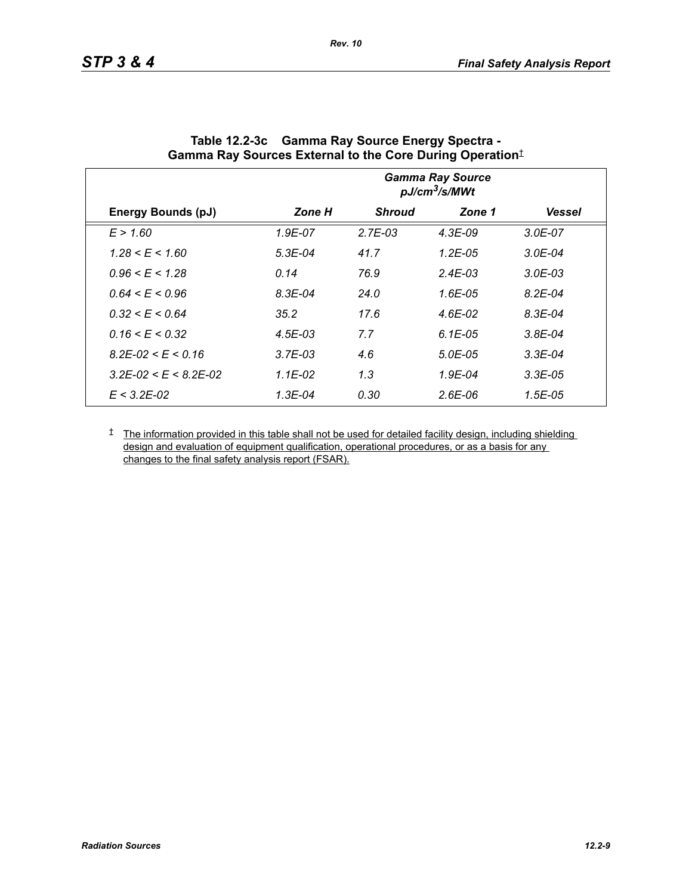|                                 |             |               | <b>Gamma Ray Source</b><br>pJ/cm <sup>3</sup> /s/MWt |               |
|---------------------------------|-------------|---------------|------------------------------------------------------|---------------|
| <b>Energy Bounds (pJ)</b>       | Zone H      | <b>Shroud</b> | Zone 1                                               | <b>Vessel</b> |
| E > 1.60                        | 1.9E-07     | $2.7E-03$     | $4.3E-09$                                            | $3.0E - 07$   |
| $1.28 \le E \le 1.60$           | $5.3E-04$   | 41.7          | $1.2E - 0.5$                                         | $3.0E - 04$   |
| $0.96 \leq E \leq 1.28$         | 0.14        | 76.9          | $2.4E - 0.3$                                         | $3.0E - 03$   |
| $0.64 \le E \le 0.96$           | $8.3E - 04$ | 24.0          | $1.6E-0.5$                                           | $8.2E - 04$   |
| $0.32 \le E \le 0.64$           | 35.2        | 17.6          | 4.6E-02                                              | $8.3E - 04$   |
| $0.16 \le E \le 0.32$           | $4.5E - 03$ | 7.7           | $6.1E-0.5$                                           | $3.8E - 04$   |
| $8.2E - 02 \le E \le 0.16$      | $3.7E-03$   | 4.6           | $5.0E - 0.5$                                         | $3.3E-04$     |
| $3.2E - 02 \le E \le 8.2E - 02$ | $1.1E-02$   | 1.3           | $1.9E - 04$                                          | $3.3E-0.5$    |
| $E < 3.2E - 0.2$                | $1.3E - 04$ | 0.30          | $2.6E-06$                                            | $1.5E - 0.5$  |

| Table 12.2-3c Gamma Ray Source Energy Spectra -                  |
|------------------------------------------------------------------|
| Gamma Ray Sources External to the Core During Operation $^\ddag$ |

*Rev. 10*

<sup> $†$ </sup> The information provided in this table shall not be used for detailed facility design, including shielding design and evaluation of equipment qualification, operational procedures, or as a basis for any changes to the final safety analysis report (FSAR).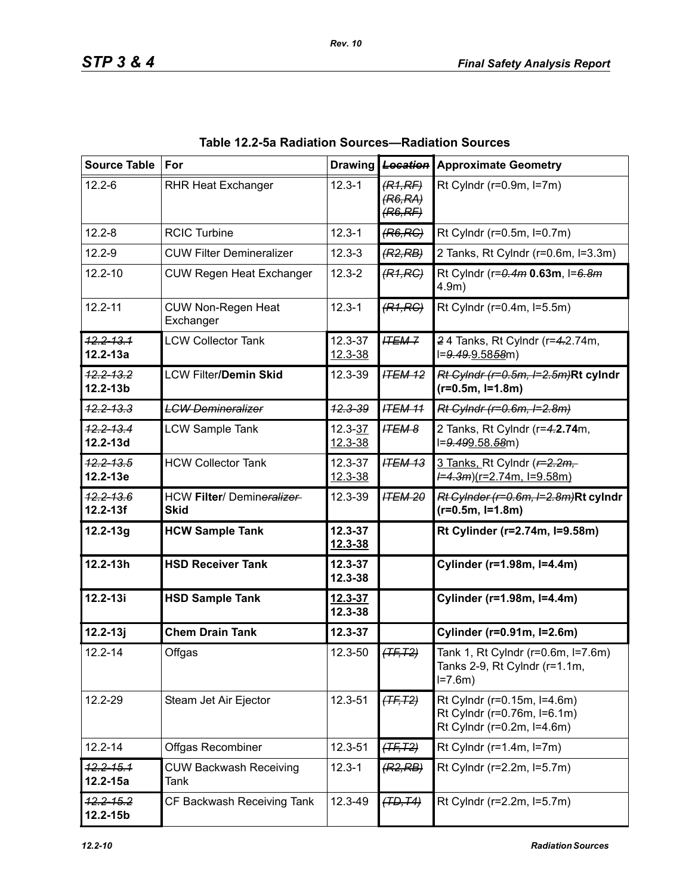| <b>Source Table</b>           | For                                      |                        | Drawing <b>Location</b>       | <b>Approximate Geometry</b>                                                              |
|-------------------------------|------------------------------------------|------------------------|-------------------------------|------------------------------------------------------------------------------------------|
| $12.2 - 6$                    | <b>RHR Heat Exchanger</b>                | $12.3 - 1$             | (R1,RF)<br>(R6,RA)<br>(R6,RF) | Rt Cylndr ( $r=0.9m$ , $l=7m$ )                                                          |
| $12.2 - 8$                    | <b>RCIC Turbine</b>                      | $12.3 - 1$             | (R6, RC)                      | Rt Cylndr (r=0.5m, l=0.7m)                                                               |
| $12.2 - 9$                    | <b>CUW Filter Demineralizer</b>          | $12.3 - 3$             | (R2, RB)                      | 2 Tanks, Rt Cylndr (r=0.6m, l=3.3m)                                                      |
| $12.2 - 10$                   | <b>CUW Regen Heat Exchanger</b>          | $12.3 - 2$             | (R1, RC)                      | Rt Cylndr (r=0.4m 0.63m, I=6.8m<br>$4.9m$ )                                              |
| $12.2 - 11$                   | <b>CUW Non-Regen Heat</b><br>Exchanger   | $12.3 - 1$             | (R1, RC)                      | Rt Cylndr (r=0.4m, l=5.5m)                                                               |
| $12.2 - 13.1$<br>$12.2 - 13a$ | <b>LCW Collector Tank</b>                | 12.3-37<br>$12.3 - 38$ | <b>ITEM-7</b>                 | 24 Tanks, Rt Cylndr (r=4.2.74m,<br>l=9.49.9.5858m)                                       |
| $12.2 - 13.2$<br>12.2-13b     | <b>LCW Filter/Demin Skid</b>             | 12.3-39                | <b>ITEM 12</b>                | Rt Cylndr (r=0.5m, I=2.5m)Rt cylndr<br>$(r=0.5m, I=1.8m)$                                |
| <del>12.2-13.3</del>          | <b>LCW Demineralizer</b>                 | <del>12.3-39</del>     | <b>ITEM 11</b>                | Rt Cylndr (r=0.6m, I=2.8m)                                                               |
| 12.2-13.4<br>12.2-13d         | <b>LCW Sample Tank</b>                   | $12.3 - 37$<br>12.3-38 | <b>ITEM 8</b>                 | 2 Tanks, Rt Cylndr (r=4.2.74m,<br>l=9.499.58.58m)                                        |
| $12.2 - 13.5$<br>12.2-13e     | <b>HCW Collector Tank</b>                | 12.3-37<br>12.3-38     | <b>ITEM 13</b>                | 3 Tanks, Rt Cylndr ( $r=2.2m$ ,<br>$\frac{1}{2}$ = 4.3m)(r=2.74m, l=9.58m)               |
| 12.2-13.6<br>$12.2 - 13f$     | HCW Filter/ Demineralizer<br><b>Skid</b> | 12.3-39                | <b>ITEM 20</b>                | Rt Cylnder (r=0.6m, l=2.8m)Rt cylndr<br>$(r=0.5m, l=1.8m)$                               |
| $12.2 - 13g$                  | <b>HCW Sample Tank</b>                   | 12.3-37<br>12.3-38     |                               | Rt Cylinder (r=2.74m, l=9.58m)                                                           |
| $12.2 - 13h$                  | <b>HSD Receiver Tank</b>                 | 12.3-37<br>12.3-38     |                               | Cylinder (r=1.98m, I=4.4m)                                                               |
| $12.2 - 13i$                  | <b>HSD Sample Tank</b>                   | $12.3 - 37$<br>12.3-38 |                               | Cylinder (r=1.98m, l=4.4m)                                                               |
| $12.2 - 13j$                  | <b>Chem Drain Tank</b>                   | 12.3-37                |                               | Cylinder (r=0.91m, I=2.6m)                                                               |
| $12.2 - 14$                   | Offgas                                   | 12.3-50                | $(TF, T2)$                    | Tank 1, Rt Cylndr (r=0.6m, l=7.6m)<br>Tanks 2-9, Rt Cylndr (r=1.1m,<br>$I = 7.6m$        |
| 12.2-29                       | Steam Jet Air Ejector                    | 12.3-51                | $(TF, T2)$                    | Rt Cylndr (r=0.15m, l=4.6m)<br>Rt Cylndr (r=0.76m, l=6.1m)<br>Rt Cylndr (r=0.2m, l=4.6m) |
| $12.2 - 14$                   | Offgas Recombiner                        | 12.3-51                | $(TF, T2)$                    | Rt Cylndr ( $r=1.4m$ , $l=7m$ )                                                          |
| $12.2 - 15.1$<br>$12.2 - 15a$ | <b>CUW Backwash Receiving</b><br>Tank    | $12.3 - 1$             | (R2, RB)                      | Rt Cylndr (r=2.2m, l=5.7m)                                                               |
| $42.2 - 15.2$<br>$12.2 - 15b$ | CF Backwash Receiving Tank               | 12.3-49                | (TD, T4)                      | Rt Cylndr (r=2.2m, l=5.7m)                                                               |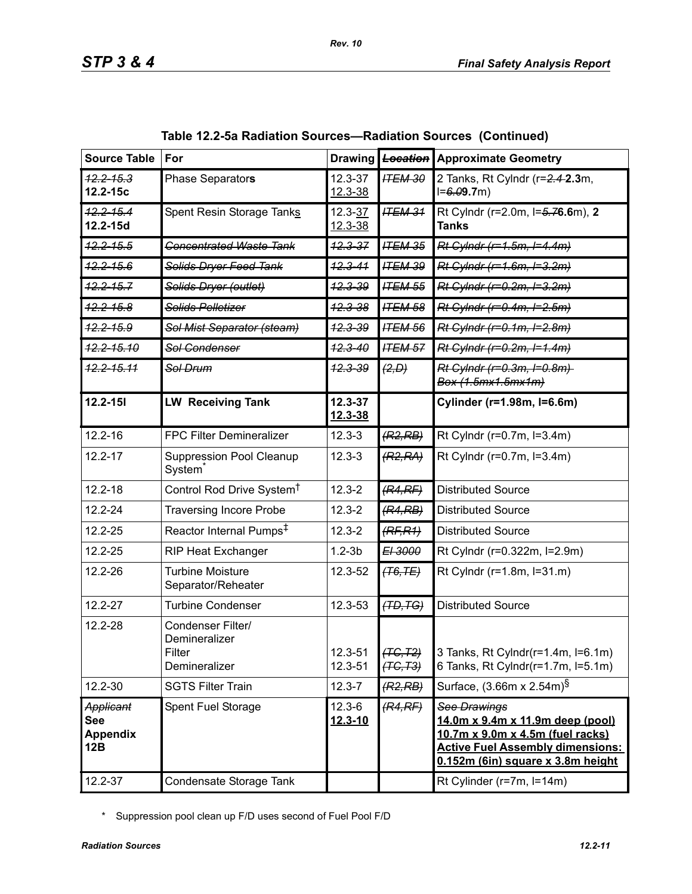| <b>Source Table</b>                               | For                                                           |                           | Drawing Location       | <b>Approximate Geometry</b>                                                                                                                                          |
|---------------------------------------------------|---------------------------------------------------------------|---------------------------|------------------------|----------------------------------------------------------------------------------------------------------------------------------------------------------------------|
| $12.2 - 15.3$<br>12.2-15c                         | Phase Separators                                              | 12.3-37<br>12.3-38        | <b>ITEM 30</b>         | 2 Tanks, Rt Cylndr (r=2.4-2.3m,<br>$I = 6.09.7m$                                                                                                                     |
| $12.2 - 15.4$<br>12.2-15d                         | Spent Resin Storage Tanks                                     | $12.3 - 37$<br>12.3-38    | <b>ITEM 31</b>         | Rt Cylndr (r=2.0m, l=5.76.6m), 2<br><b>Tanks</b>                                                                                                                     |
| $42.2 - 15.5$                                     | <b>Concentrated Waste Tank</b>                                | $12.3 - 37$               | <b>ITEM 35</b>         | Rt Cylndr (r=1.5m, I=4.4m)                                                                                                                                           |
| $42.2 - 15.6$                                     | <b>Solids Dryer Feed Tank</b>                                 | <del>12.3-41</del>        | <b>ITEM 39</b>         | Rt Cylndr (r=1.6m, I=3.2m)                                                                                                                                           |
| $12.2 - 15.7$                                     | Solids Dryer (outlet)                                         | <del>12.3-39</del>        | <b>ITEM 55</b>         | Rt Cylndr (r=0.2m, I=3.2m)                                                                                                                                           |
| $42.2 - 15.8$                                     | Solids Pelletizer                                             | <del>12.3-38</del>        | <b>ITEM 58</b>         | Rt Cylndr (r=0.4m, I=2.5m)                                                                                                                                           |
| $42.2 - 15.9$                                     | Sol Mist Separator (steam)                                    | <del>12.3-39</del>        | <b>ITEM 56</b>         | Rt Cylndr (r=0.1m, I=2.8m)                                                                                                                                           |
| <del>12.2-15.10</del>                             | Sol Condenser                                                 | <del>12.3-40</del>        | <b>ITEM 57</b>         | Rt Cylndr (r=0.2m, I=1.4m)                                                                                                                                           |
| <del>12.2-15.11</del>                             | Sol Drum                                                      | <del>12.3-39</del>        | (2, D)                 | Rt Cylndr (r=0.3m, I=0.8m)<br>Box (1.5mx1.5mx1m)                                                                                                                     |
| $12.2 - 151$                                      | <b>LW Receiving Tank</b>                                      | 12.3-37<br>12.3-38        |                        | Cylinder (r=1.98m, l=6.6m)                                                                                                                                           |
| $12.2 - 16$                                       | <b>FPC Filter Demineralizer</b>                               | $12.3 - 3$                | (R2, RB)               | Rt Cylndr (r=0.7m, l=3.4m)                                                                                                                                           |
| $12.2 - 17$                                       | <b>Suppression Pool Cleanup</b><br>System                     | $12.3 - 3$                | (R2, RA)               | Rt Cylndr (r=0.7m, l=3.4m)                                                                                                                                           |
| $12.2 - 18$                                       | Control Rod Drive System <sup>†</sup>                         | $12.3 - 2$                | (R4,RF)                | <b>Distributed Source</b>                                                                                                                                            |
| $12.2 - 24$                                       | <b>Traversing Incore Probe</b>                                | $12.3 - 2$                | (R4, RB)               | <b>Distributed Source</b>                                                                                                                                            |
| 12.2-25                                           | Reactor Internal Pumps <sup>‡</sup>                           | $12.3 - 2$                | (RF, R1)               | <b>Distributed Source</b>                                                                                                                                            |
| 12.2-25                                           | <b>RIP Heat Exchanger</b>                                     | $1.2-3b$                  | EI 3000                | Rt Cylndr (r=0.322m, l=2.9m)                                                                                                                                         |
| 12.2-26                                           | <b>Turbine Moisture</b><br>Separator/Reheater                 | 12.3-52                   | $(T6,TE)$              | Rt Cylndr (r=1.8m, l=31.m)                                                                                                                                           |
| 12.2-27                                           | <b>Turbine Condenser</b>                                      | 12.3-53                   | (TD, TG)               | <b>Distributed Source</b>                                                                                                                                            |
| 12.2-28                                           | Condenser Filter/<br>Demineralizer<br>Filter<br>Demineralizer | 12.3-51<br>12.3-51        | (TG, T2)<br>$(TC, T3)$ | 3 Tanks, Rt Cylndr(r=1.4m, l=6.1m)<br>6 Tanks, Rt Cylndr(r=1.7m, I=5.1m)                                                                                             |
| 12.2-30                                           | <b>SGTS Filter Train</b>                                      | $12.3 - 7$                | (R2, RB)               | Surface, (3.66m x 2.54m) <sup>§</sup>                                                                                                                                |
| Applicant<br><b>See</b><br><b>Appendix</b><br>12B | Spent Fuel Storage                                            | $12.3 - 6$<br>$12.3 - 10$ | (R4,RF)                | See Drawings<br>14.0m x 9.4m x 11.9m deep (pool)<br>10.7m x 9.0m x 4.5m (fuel racks)<br><b>Active Fuel Assembly dimensions:</b><br>0.152m (6in) square x 3.8m height |
| 12.2-37                                           | Condensate Storage Tank                                       |                           |                        | Rt Cylinder (r=7m, l=14m)                                                                                                                                            |

\* Suppression pool clean up F/D uses second of Fuel Pool F/D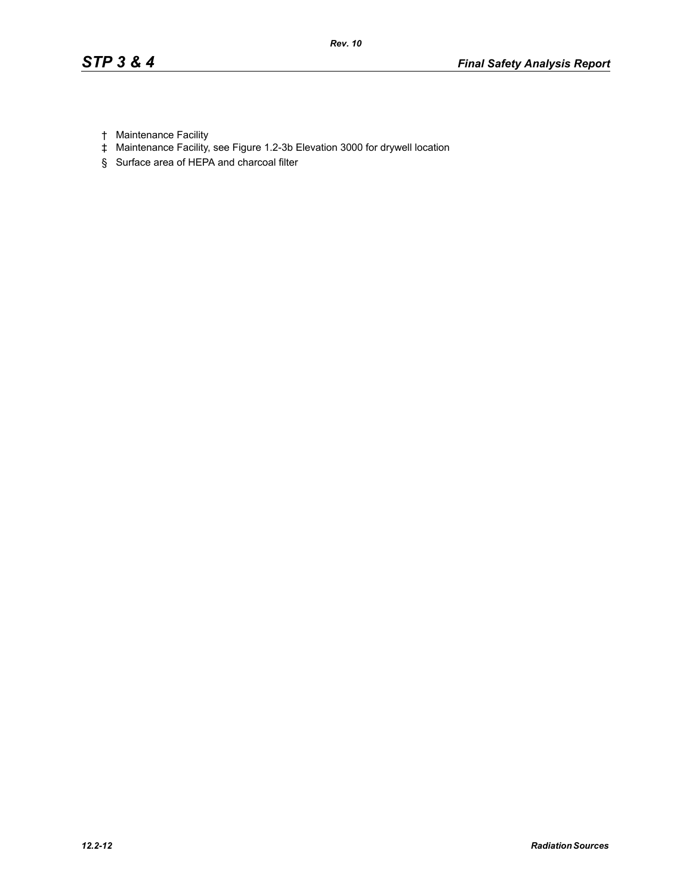- † Maintenance Facility
- ‡ Maintenance Facility, see Figure 1.2-3b Elevation 3000 for drywell location
- § Surface area of HEPA and charcoal filter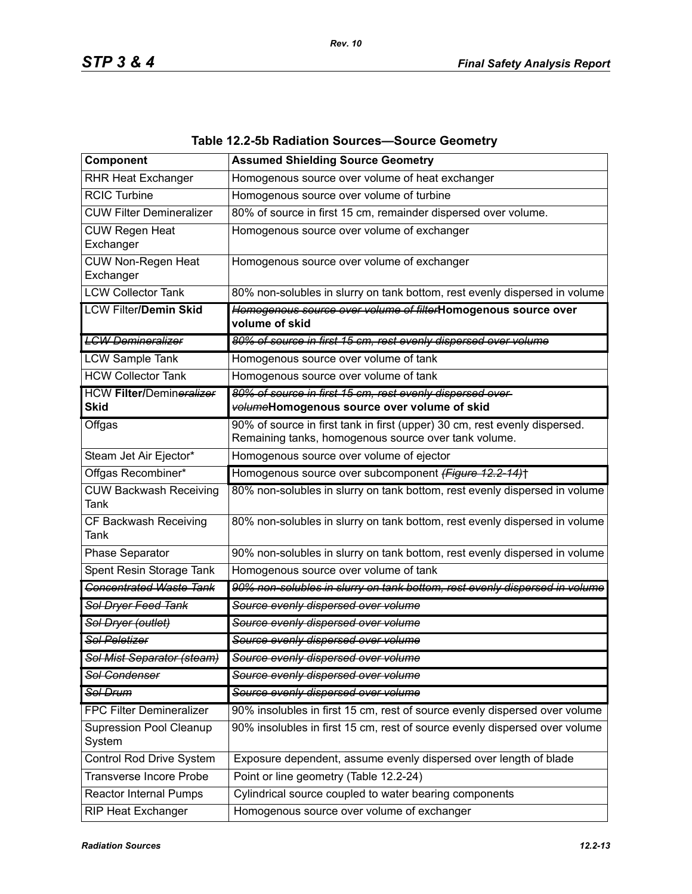| Component                                      | <b>Assumed Shielding Source Geometry</b>                                                                                           |
|------------------------------------------------|------------------------------------------------------------------------------------------------------------------------------------|
| <b>RHR Heat Exchanger</b>                      | Homogenous source over volume of heat exchanger                                                                                    |
| <b>RCIC Turbine</b>                            | Homogenous source over volume of turbine                                                                                           |
| <b>CUW Filter Demineralizer</b>                | 80% of source in first 15 cm, remainder dispersed over volume.                                                                     |
| <b>CUW Regen Heat</b><br>Exchanger             | Homogenous source over volume of exchanger                                                                                         |
| CUW Non-Regen Heat<br>Exchanger                | Homogenous source over volume of exchanger                                                                                         |
| <b>LCW Collector Tank</b>                      | 80% non-solubles in slurry on tank bottom, rest evenly dispersed in volume                                                         |
| <b>LCW Filter/Demin Skid</b>                   | Homogenous source over volume of filterHomogenous source over<br>volume of skid                                                    |
| <b>LCW Demineralizer</b>                       | 80% of source in first 15 cm, rest evenly dispersed over volume                                                                    |
| <b>LCW Sample Tank</b>                         | Homogenous source over volume of tank                                                                                              |
| <b>HCW Collector Tank</b>                      | Homogenous source over volume of tank                                                                                              |
| <b>HCW Filter/Demineralizer</b><br><b>Skid</b> | 80% of source in first 15 cm, rest evenly dispersed over-<br>volumeHomogenous source over volume of skid                           |
| Offgas                                         | 90% of source in first tank in first (upper) 30 cm, rest evenly dispersed.<br>Remaining tanks, homogenous source over tank volume. |
| Steam Jet Air Ejector*                         | Homogenous source over volume of ejector                                                                                           |
| Offgas Recombiner*                             | Homogenous source over subcomponent (Figure 12.2-14)+                                                                              |
| <b>CUW Backwash Receiving</b><br>Tank          | 80% non-solubles in slurry on tank bottom, rest evenly dispersed in volume                                                         |
| CF Backwash Receiving<br>Tank                  | 80% non-solubles in slurry on tank bottom, rest evenly dispersed in volume                                                         |
| Phase Separator                                | 90% non-solubles in slurry on tank bottom, rest evenly dispersed in volume                                                         |
| Spent Resin Storage Tank                       | Homogenous source over volume of tank                                                                                              |
| <b>Concentrated Waste Tank</b>                 | 90% non-solubles in slurry on tank bottom, rest evenly dispersed in volume                                                         |
| Sol Dryer Feed Tank                            | Source evenly dispersed over volume                                                                                                |
| Sol Dryer (outlet)                             | Source evenly dispersed over volume                                                                                                |
| <b>Sol Peletizer</b>                           | Source evenly dispersed over volume                                                                                                |
| Sol Mist Separator (steam)                     | Source evenly dispersed over volume                                                                                                |
| <b>Sol Condenser</b>                           | Source evenly dispersed over volume                                                                                                |
| Sol Drum                                       | Source evenly dispersed over volume                                                                                                |
| <b>FPC Filter Demineralizer</b>                | 90% insolubles in first 15 cm, rest of source evenly dispersed over volume                                                         |
| <b>Supression Pool Cleanup</b><br>System       | 90% insolubles in first 15 cm, rest of source evenly dispersed over volume                                                         |
| Control Rod Drive System                       | Exposure dependent, assume evenly dispersed over length of blade                                                                   |
| <b>Transverse Incore Probe</b>                 | Point or line geometry (Table 12.2-24)                                                                                             |
| Reactor Internal Pumps                         | Cylindrical source coupled to water bearing components                                                                             |
| <b>RIP Heat Exchanger</b>                      | Homogenous source over volume of exchanger                                                                                         |

### **Table 12.2-5b Radiation Sources—Source Geometry**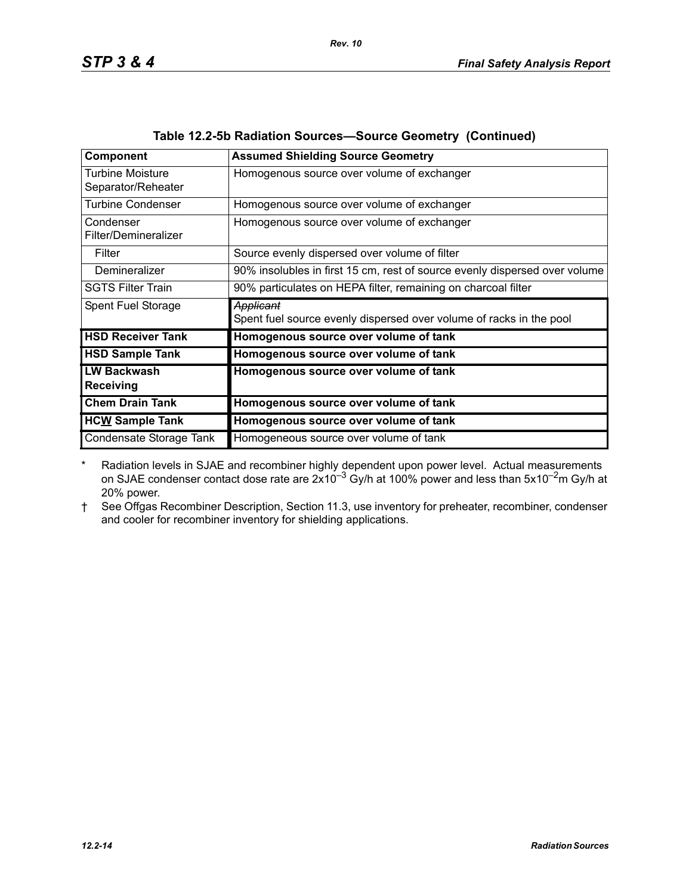\* Radiation levels in SJAE and recombiner highly dependent upon power level. Actual measurements on SJAE condenser contact dose rate are  $2x10^{-3}$  Gy/h at 100% power and less than 5x10<sup>-2</sup>m Gy/h at 20% power.

### † See Offgas Recombiner Description, Section 11.3, use inventory for preheater, recombiner, condenser and cooler for recombiner inventory for shielding applications.

*Rev. 10*

| Component                              | <b>Assumed Shielding Source Geometry</b>                                   |
|----------------------------------------|----------------------------------------------------------------------------|
| Turbine Moisture<br>Separator/Reheater | Homogenous source over volume of exchanger                                 |
| <b>Turbine Condenser</b>               | Homogenous source over volume of exchanger                                 |
| Condenser<br>Filter/Demineralizer      | Homogenous source over volume of exchanger                                 |
| Filter                                 | Source evenly dispersed over volume of filter                              |
| Demineralizer                          | 90% insolubles in first 15 cm, rest of source evenly dispersed over volume |
| <b>SGTS Filter Train</b>               | 90% particulates on HEPA filter, remaining on charcoal filter              |
| Spent Fuel Storage                     | Applicant                                                                  |
|                                        | Spent fuel source evenly dispersed over volume of racks in the pool        |
| <b>HSD Receiver Tank</b>               | Homogenous source over volume of tank                                      |
| <b>HSD Sample Tank</b>                 | Homogenous source over volume of tank                                      |
| <b>LW Backwash</b><br>Receiving        | Homogenous source over volume of tank                                      |
| <b>Chem Drain Tank</b>                 | Homogenous source over volume of tank                                      |
| <b>HCW Sample Tank</b>                 | Homogenous source over volume of tank                                      |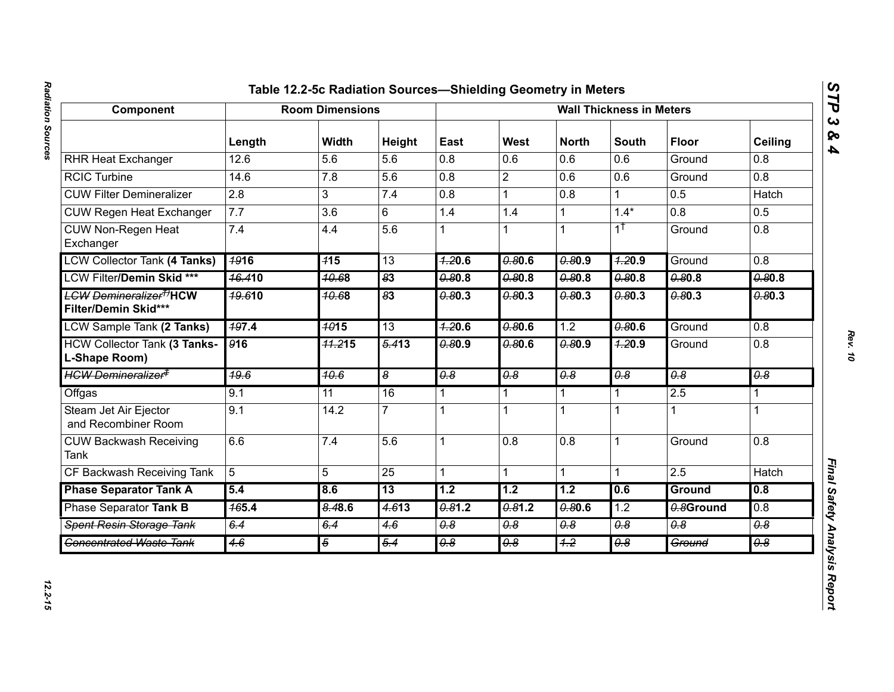## Radiation Sources *Radiation Sources 12.2-15*

# Component Table 12.24-26 Radition Sources—Shielding Geometry in Meders<br>
Next Heat Exchanger<br>
Next Heat Exchanger<br>
Next Heat Exchanger<br>
Next Heat Exchanger<br>
CGC Lurence<br>
CGC Lurence<br>
CGC Lurence<br>
CGC Lurence<br>
CGC Lurence<br>

*STP 3 & 4*

12.2-15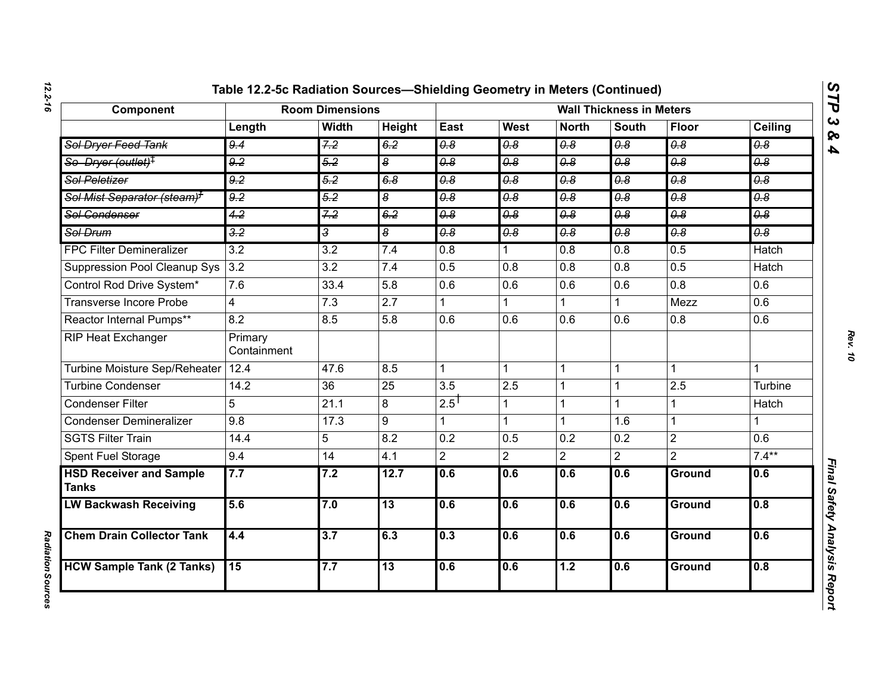| Component                                      | <b>Room Dimensions</b> |                  |                             | <b>Wall Thickness in Meters</b>  |                                  |                                  |                             |                       |                                  |
|------------------------------------------------|------------------------|------------------|-----------------------------|----------------------------------|----------------------------------|----------------------------------|-----------------------------|-----------------------|----------------------------------|
|                                                | Length                 | <b>Width</b>     | Height                      | East                             | West                             | <b>North</b>                     | <b>South</b>                | Floor                 | Ceiling                          |
| Sol Dryer Feed Tank                            | 9.4                    | 7.2              | 6.2                         | $\overline{\theta.8}$            | $\overline{\theta \cdot \theta}$ | $\overline{\theta.8}$            | $\overline{\theta.8}$       | $\overline{\theta.8}$ | $\overline{\theta.8}$            |
| So Dryer (outlet) <sup>‡</sup>                 | 9.2                    | 5.2              | $\overline{\boldsymbol{s}}$ | $\overline{\theta.8}$            | 0.8                              | 0.8                              | 0.8                         | 0.8                   | 0.8                              |
| <b>Sol Peletizer</b>                           | $\overline{9.2}$       | $\overline{5.2}$ | 6.8                         | $\overline{\theta \cdot \theta}$ | $\overline{\theta \cdot \theta}$ | $\overline{\theta.8}$            | $\overline{\theta \cdot 8}$ | $\overline{\theta.8}$ | $\overline{\theta \cdot \theta}$ |
| Sol Mist Separator (steam) <sup>7</sup>        | 9.2                    | 5.2              | $\overline{\boldsymbol{s}}$ | $\overline{\theta.8}$            | $\theta$ .8                      | $\theta$ .8                      | $\overline{\theta.8}$       | $\overline{\theta.8}$ | $\overline{\theta \cdot \theta}$ |
| Sol Condenser                                  | 4.2                    | 7.2              | 6.2                         | $\overline{0.8}$                 | 0.8                              | $\overline{\theta \cdot \theta}$ | $\overline{0.8}$            | $\overline{\theta.8}$ | 0.8                              |
| Sol Drum                                       | $\frac{3.2}{5}$        | 3                | $\overline{\boldsymbol{s}}$ | 0.8                              | 0.8                              | 0.8                              | $\overline{\theta.8}$       | $\overline{\theta.8}$ | $\overline{\theta \cdot \theta}$ |
| <b>FPC Filter Demineralizer</b>                | $\overline{3.2}$       | $\overline{3.2}$ | 7.4                         | $\overline{0.8}$                 |                                  | $\overline{0.8}$                 | $\overline{0.8}$            | 0.5                   | <b>Hatch</b>                     |
| Suppression Pool Cleanup Sys                   | 3.2                    | $\overline{3.2}$ | 7.4                         | 0.5                              | $\overline{0.8}$                 | 0.8                              | 0.8                         | 0.5                   | <b>Hatch</b>                     |
| Control Rod Drive System*                      | 7.6                    | 33.4             | 5.8                         | 0.6                              | 0.6                              | 0.6                              | 0.6                         | 0.8                   | 0.6                              |
| Transverse Incore Probe                        | 4                      | $\overline{7.3}$ | $\overline{2.7}$            |                                  |                                  |                                  |                             | Mezz                  | $\overline{0.6}$                 |
| Reactor Internal Pumps**                       | 8.2                    | 8.5              | 5.8                         | 0.6                              | 0.6                              | 0.6                              | 0.6                         | 0.8                   | 0.6                              |
| RIP Heat Exchanger                             | Primary<br>Containment |                  |                             |                                  |                                  |                                  |                             |                       |                                  |
| Turbine Moisture Sep/Reheater                  | 12.4                   | 47.6             | 8.5                         |                                  | $\mathbf{1}$                     | $\mathbf{1}$                     | $\mathbf{1}$                |                       | 1                                |
| <b>Turbine Condenser</b>                       | 14.2                   | $\overline{36}$  | 25                          | 3.5                              | 2.5                              | $\overline{1}$                   |                             | 2.5                   | Turbine                          |
| <b>Condenser Filter</b>                        | 5                      | 21.1             | 8                           | $2.5$ <sup>T</sup>               | 1                                | $\mathbf{1}$                     | 1                           |                       | Hatch                            |
| <b>Condenser Demineralizer</b>                 | 9.8                    | 17.3             | 9                           |                                  |                                  | $\mathbf{1}$                     | 1.6                         | 1                     | $\mathbf{1}$                     |
| <b>SGTS Filter Train</b>                       | 14.4                   | 5                | 8.2                         | $\overline{0.2}$                 | 0.5                              | 0.2                              | 0.2                         | $\overline{2}$        | $\overline{0.6}$                 |
| Spent Fuel Storage                             | 9.4                    | 14               | 4.1                         | $\overline{2}$                   | $\overline{2}$                   | $\overline{2}$                   | $\overline{2}$              | $\overline{2}$        | $7.4***$                         |
| <b>HSD Receiver and Sample</b><br><b>Tanks</b> | 7.7                    | 7.2              | 12.7                        | 0.6                              | 0.6                              | 0.6                              | 0.6                         | Ground                | 0.6                              |
| <b>LW Backwash Receiving</b>                   | 5.6                    | 7.0              | 13                          | 0.6                              | 0.6                              | 0.6                              | 0.6                         | <b>Ground</b>         | 0.8                              |
| <b>Chem Drain Collector Tank</b>               | 4.4                    | $\overline{3.7}$ | 6.3                         | 0.3                              | 0.6                              | 0.6                              | 0.6                         | Ground                | 0.6                              |
| <b>HCW Sample Tank (2 Tanks)</b>               | $\overline{15}$        | 7.7              | $\overline{13}$             | 0.6                              | 0.6                              | 1.2                              | 0.6                         | Ground                | 0.8                              |

*STP 3 & 4*

**Radiation Sources** *Radiation Sources*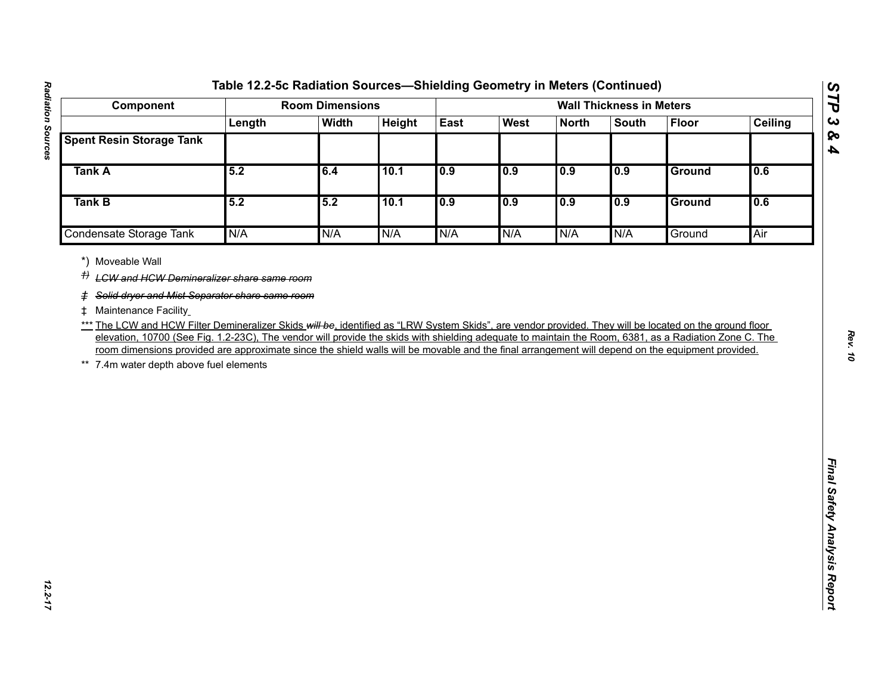| Component                                                                                                                                                                                                                                                                                                                                                                                                                                                                                                                                    |        | <b>Room Dimensions</b> |        |      |      |              | <b>Wall Thickness in Meters</b> |               |                |
|----------------------------------------------------------------------------------------------------------------------------------------------------------------------------------------------------------------------------------------------------------------------------------------------------------------------------------------------------------------------------------------------------------------------------------------------------------------------------------------------------------------------------------------------|--------|------------------------|--------|------|------|--------------|---------------------------------|---------------|----------------|
|                                                                                                                                                                                                                                                                                                                                                                                                                                                                                                                                              | Length | <b>Width</b>           | Height | East | West | <b>North</b> | <b>South</b>                    | <b>Floor</b>  | <b>Ceiling</b> |
| <b>Spent Resin Storage Tank</b>                                                                                                                                                                                                                                                                                                                                                                                                                                                                                                              |        |                        |        |      |      |              |                                 |               |                |
| <b>Tank A</b>                                                                                                                                                                                                                                                                                                                                                                                                                                                                                                                                | 5.2    | 6.4                    | 10.1   | 0.9  | 0.9  | 0.9          | 0.9                             | Ground        | 0.6            |
| Tank B                                                                                                                                                                                                                                                                                                                                                                                                                                                                                                                                       | 5.2    | 5.2                    | 10.1   | 0.9  | 0.9  | 0.9          | 0.9                             | <b>Ground</b> | 0.6            |
| Condensate Storage Tank                                                                                                                                                                                                                                                                                                                                                                                                                                                                                                                      | N/A    | N/A                    | N/A    | N/A  | N/A  | N/A          | N/A                             | Ground        | Air            |
| # Maintenance Facility<br>*** The LCW and HCW Filter Demineralizer Skids will be, identified as "LRW System Skids", are vendor provided. They will be located on the ground floor<br>elevation, 10700 (See Fig. 1.2-23C), The vendor will provide the skids with shielding adequate to maintain the Room, 6381, as a Radiation Zone C. The<br>room dimensions provided are approximate since the shield walls will be movable and the final arrangement will depend on the equipment provided.<br>7.4m water depth above fuel elements<br>** |        |                        |        |      |      |              |                                 |               |                |

*STP 3 & 4*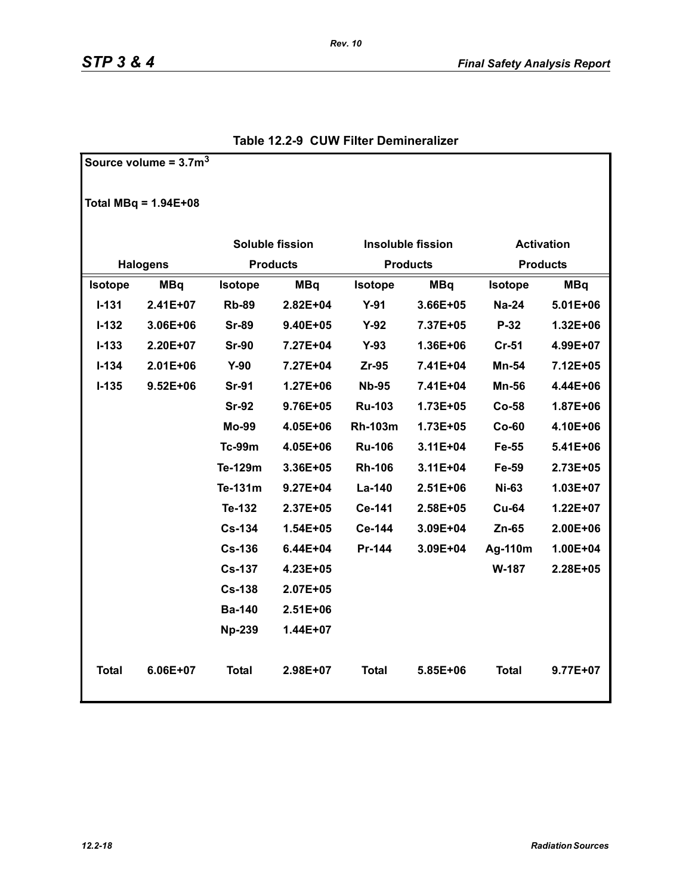**Source volume = 3.7m<sup>3</sup>**

|                | Total MBq = $1.94E+08$ |                              |              |                |                   |                   |              |  |
|----------------|------------------------|------------------------------|--------------|----------------|-------------------|-------------------|--------------|--|
|                |                        | <b>Soluble fission</b>       |              |                | Insoluble fission | <b>Activation</b> |              |  |
|                | <b>Halogens</b>        | <b>Products</b>              |              |                | <b>Products</b>   | <b>Products</b>   |              |  |
| <b>Isotope</b> | <b>MBq</b>             | <b>MBq</b><br><b>Isotope</b> |              | <b>Isotope</b> | <b>MBq</b>        | <b>Isotope</b>    | <b>MBq</b>   |  |
| $I - 131$      | $2.41E + 07$           | <b>Rb-89</b>                 | $2.82E + 04$ | $Y-91$         | $3.66E + 05$      | <b>Na-24</b>      | $5.01E + 06$ |  |
| $I-132$        | 3.06E+06               | <b>Sr-89</b>                 | $9.40E + 05$ | $Y-92$         | 7.37E+05          | $P-32$            | $1.32E + 06$ |  |
| $I-133$        | 2.20E+07               | <b>Sr-90</b>                 | 7.27E+04     | $Y-93$         | 1.36E+06          | $Cr-51$           | 4.99E+07     |  |
| $I - 134$      | $2.01E + 06$           | $Y-90$                       | 7.27E+04     | $Zr-95$        | 7.41E+04          | Mn-54             | 7.12E+05     |  |
| $I-135$        | $9.52E + 06$           | <b>Sr-91</b>                 | $1.27E + 06$ | <b>Nb-95</b>   | 7.41E+04          | <b>Mn-56</b>      | 4.44E+06     |  |
|                |                        | <b>Sr-92</b>                 | $9.76E + 05$ | <b>Ru-103</b>  | 1.73E+05          | $Co-58$           | 1.87E+06     |  |
|                |                        | <b>Mo-99</b>                 | 4.05E+06     | <b>Rh-103m</b> | 1.73E+05          | $Co-60$           | 4.10E+06     |  |
|                |                        | <b>Tc-99m</b>                | 4.05E+06     | <b>Ru-106</b>  | 3.11E+04          | Fe-55             | 5.41E+06     |  |
|                |                        | Te-129m                      | 3.36E+05     | <b>Rh-106</b>  | $3.11E + 04$      | Fe-59             | 2.73E+05     |  |
|                |                        | Te-131m                      | $9.27E + 04$ | La-140         | 2.51E+06          | <b>Ni-63</b>      | 1.03E+07     |  |
|                |                        | Te-132                       | 2.37E+05     | Ce-141         | 2.58E+05          | <b>Cu-64</b>      | 1.22E+07     |  |
|                |                        | <b>Cs-134</b>                | $1.54E + 05$ | Ce-144         | 3.09E+04          | $Zn-65$           | 2.00E+06     |  |
|                |                        | <b>Cs-136</b>                | $6.44E + 04$ | Pr-144         | 3.09E+04          | Ag-110m           | 1.00E+04     |  |
|                |                        | <b>Cs-137</b>                | 4.23E+05     |                |                   | W-187             | 2.28E+05     |  |
|                |                        | $Cs-138$                     | 2.07E+05     |                |                   |                   |              |  |
|                |                        | <b>Ba-140</b>                | $2.51E + 06$ |                |                   |                   |              |  |
|                |                        | <b>Np-239</b>                | 1.44E+07     |                |                   |                   |              |  |
| <b>Total</b>   | $6.06E + 07$           | Total                        | $2.98E + 07$ | <b>Total</b>   | 5.85E+06          | <b>Total</b>      | $9.77E + 07$ |  |

### **Table 12.2-9 CUW Filter Demineralizer**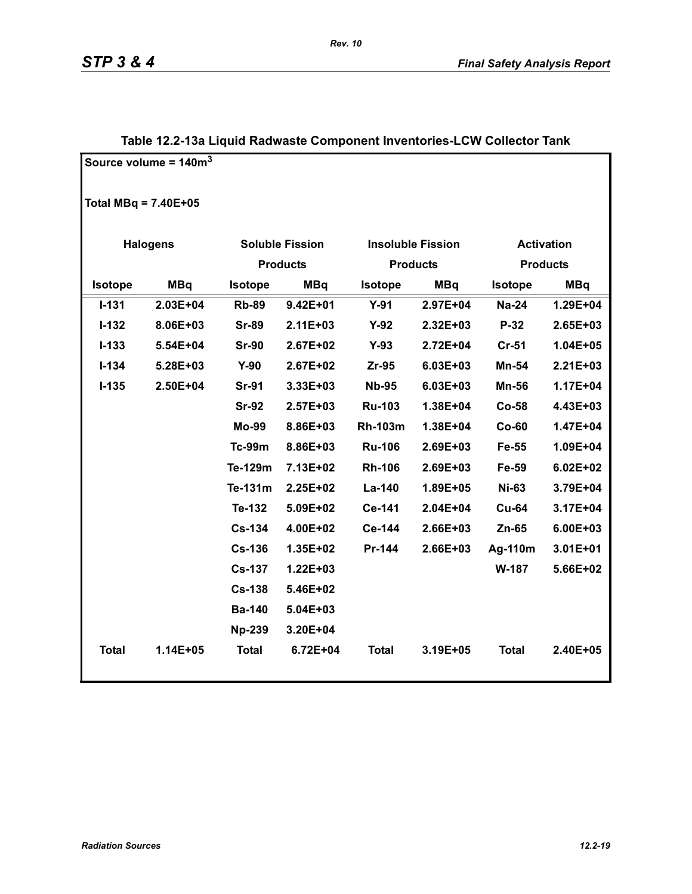|                        | Source volume = $140m3$ |               |                        |                |                          |                   |                 |
|------------------------|-------------------------|---------------|------------------------|----------------|--------------------------|-------------------|-----------------|
| Total MBq = $7.40E+05$ |                         |               |                        |                |                          |                   |                 |
|                        | <b>Halogens</b>         |               | <b>Soluble Fission</b> |                | <b>Insoluble Fission</b> | <b>Activation</b> |                 |
|                        |                         |               | <b>Products</b>        |                | <b>Products</b>          |                   | <b>Products</b> |
| Isotope                | <b>MBq</b>              | Isotope       | <b>MBq</b>             |                | <b>MBq</b>               | <b>Isotope</b>    | <b>MBq</b>      |
| $I - 131$              | 2.03E+04                | <b>Rb-89</b>  | $9.42E + 01$           | $Y-91$         | 2.97E+04                 | <b>Na-24</b>      | 1.29E+04        |
| $I - 132$              | 8.06E+03                | <b>Sr-89</b>  | $2.11E + 03$           | $Y-92$         | 2.32E+03                 | $P-32$            | 2.65E+03        |
| $I - 133$              | 5.54E+04                | <b>Sr-90</b>  | 2.67E+02               | $Y-93$         | 2.72E+04                 | <b>Cr-51</b>      | 1.04E+05        |
| $I - 134$              | 5.28E+03                | $Y-90$        | 2.67E+02               | Zr-95          | 6.03E+03                 | Mn-54             | $2.21E + 03$    |
| $I-135$                | 2.50E+04                | <b>Sr-91</b>  | 3.33E+03               | <b>Nb-95</b>   | 6.03E+03                 | <b>Mn-56</b>      | 1.17E+04        |
|                        |                         | <b>Sr-92</b>  | $2.57E + 03$           | <b>Ru-103</b>  | 1.38E+04                 | $Co-58$           | 4.43E+03        |
|                        |                         | <b>Mo-99</b>  | 8.86E+03               | <b>Rh-103m</b> | 1.38E+04                 | $Co-60$           | 1.47E+04        |
|                        |                         | <b>Tc-99m</b> | 8.86E+03               | <b>Ru-106</b>  | 2.69E+03                 | Fe-55             | 1.09E+04        |
|                        |                         | Te-129m       | 7.13E+02               | <b>Rh-106</b>  | 2.69E+03                 | Fe-59             | $6.02E + 02$    |
|                        |                         | Te-131m       | 2.25E+02               | La-140         | 1.89E+05                 | <b>Ni-63</b>      | 3.79E+04        |
|                        |                         | Te-132        | 5.09E+02               | Ce-141         | 2.04E+04                 | <b>Cu-64</b>      | 3.17E+04        |
|                        |                         | <b>Cs-134</b> | 4.00E+02               | Ce-144         | 2.66E+03                 | Zn-65             | 6.00E+03        |
|                        |                         | <b>Cs-136</b> | 1.35E+02               | Pr-144         | 2.66E+03                 | Ag-110m           | 3.01E+01        |
|                        |                         | <b>Cs-137</b> | 1.22E+03               |                |                          | W-187             | 5.66E+02        |
|                        |                         | <b>Cs-138</b> | 5.46E+02               |                |                          |                   |                 |
|                        |                         | <b>Ba-140</b> | 5.04E+03               |                |                          |                   |                 |
|                        |                         | <b>Np-239</b> | 3.20E+04               |                |                          |                   |                 |
| <b>Total</b>           | 1.14E+05                | <b>Total</b>  | 6.72E+04               | <b>Total</b>   | 3.19E+05                 | <b>Total</b>      | 2.40E+05        |

### **Table 12.2-13a Liquid Radwaste Component Inventories-LCW Collector Tank**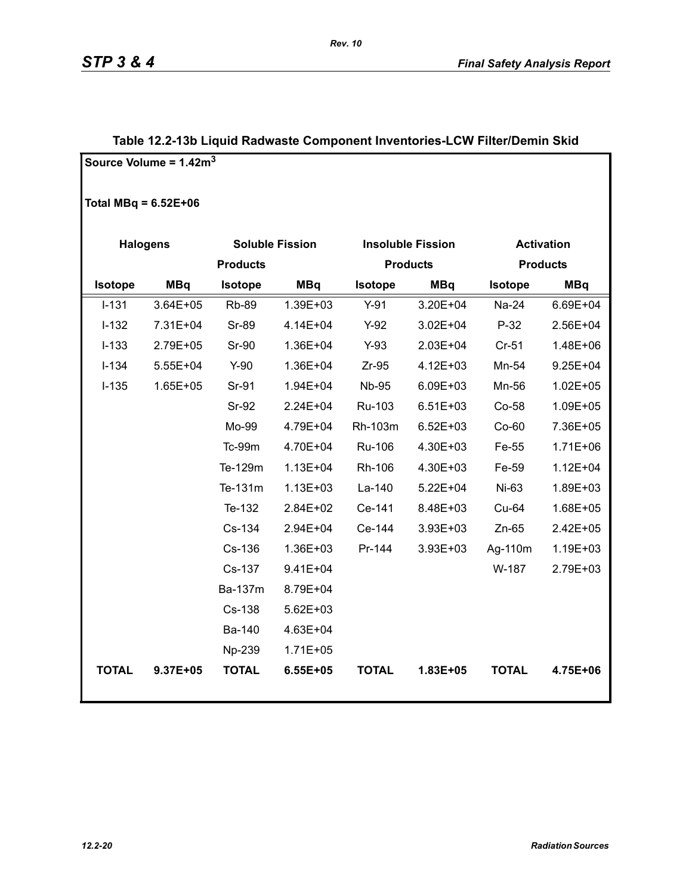|                        | Source Volume = $1.42m3$ |                 |                        |              |                          |                   |                 |  |
|------------------------|--------------------------|-----------------|------------------------|--------------|--------------------------|-------------------|-----------------|--|
| Total MBq = $6.52E+06$ |                          |                 |                        |              |                          |                   |                 |  |
| <b>Halogens</b>        |                          |                 | <b>Soluble Fission</b> |              | <b>Insoluble Fission</b> | <b>Activation</b> |                 |  |
|                        |                          | <b>Products</b> |                        |              | <b>Products</b>          |                   | <b>Products</b> |  |
| <b>Isotope</b>         | <b>MBq</b>               | <b>Isotope</b>  | <b>MBq</b>             | Isotope      | <b>MBq</b>               | <b>Isotope</b>    | <b>MBq</b>      |  |
| $I-131$                | 3.64E+05                 | <b>Rb-89</b>    | 1.39E+03               | $Y-91$       | 3.20E+04                 | Na-24             | 6.69E+04        |  |
| $I-132$                | 7.31E+04                 | <b>Sr-89</b>    | 4.14E+04               | $Y-92$       | $3.02E + 04$             | $P-32$            | 2.56E+04        |  |
| $I-133$                | 2.79E+05                 | <b>Sr-90</b>    | 1.36E+04               | $Y-93$       | 2.03E+04                 | $Cr-51$           | 1.48E+06        |  |
| $I-134$                | $5.55E + 04$             | $Y-90$          | 1.36E+04               | $Zr-95$      | 4.12E+03                 | Mn-54             | $9.25E + 04$    |  |
| $I-135$                | $1.65E + 05$             | Sr-91           | 1.94E+04               | <b>Nb-95</b> | 6.09E+03                 | Mn-56             | $1.02E + 05$    |  |
|                        |                          | <b>Sr-92</b>    | 2.24E+04               | Ru-103       | $6.51E + 03$             | Co-58             | 1.09E+05        |  |
|                        |                          | Mo-99           | 4.79E+04               | Rh-103m      | $6.52E + 03$             | $Co-60$           | 7.36E+05        |  |
|                        |                          | Tc-99m          | 4.70E+04               | Ru-106       | 4.30E+03                 | Fe-55             | $1.71E + 06$    |  |
|                        |                          | Te-129m         | $1.13E + 04$           | Rh-106       | 4.30E+03                 | Fe-59             | $1.12E + 04$    |  |
|                        |                          | Te-131m         | $1.13E + 03$           | La-140       | $5.22E + 04$             | Ni-63             | 1.89E+03        |  |
|                        |                          | Te-132          | 2.84E+02               | Ce-141       | 8.48E+03                 | Cu-64             | 1.68E+05        |  |
|                        |                          | Cs-134          | 2.94E+04               | Ce-144       | 3.93E+03                 | $Zn-65$           | 2.42E+05        |  |
|                        |                          | Cs-136          | 1.36E+03               | Pr-144       | 3.93E+03                 | Ag-110m           | 1.19E+03        |  |
|                        |                          | Cs-137          | $9.41E + 04$           |              |                          | W-187             | 2.79E+03        |  |
|                        |                          | Ba-137m         | 8.79E+04               |              |                          |                   |                 |  |
|                        |                          | Cs-138          | $5.62E + 03$           |              |                          |                   |                 |  |
|                        |                          | Ba-140          | 4.63E+04               |              |                          |                   |                 |  |
|                        |                          | Np-239          | $1.71E + 05$           |              |                          |                   |                 |  |
| <b>TOTAL</b>           | 9.37E+05                 | <b>TOTAL</b>    | 6.55E+05               | <b>TOTAL</b> | 1.83E+05                 | <b>TOTAL</b>      | 4.75E+06        |  |

### **Table 12.2-13b Liquid Radwaste Component Inventories-LCW Filter/Demin Skid**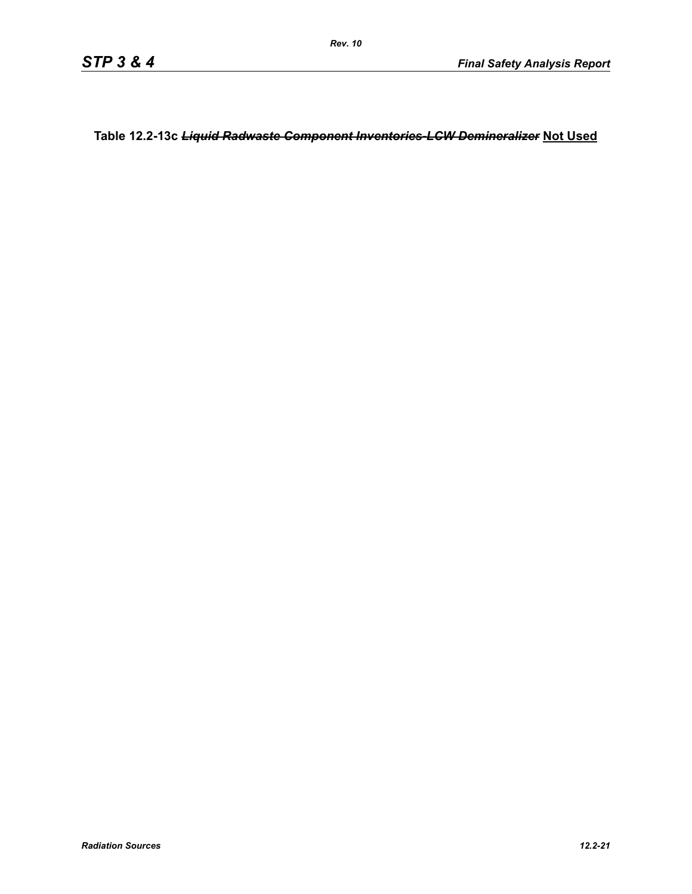**Table 12.2-13c** *Liquid Radwaste Component Inventories-LCW Demineralizer* **Not Used**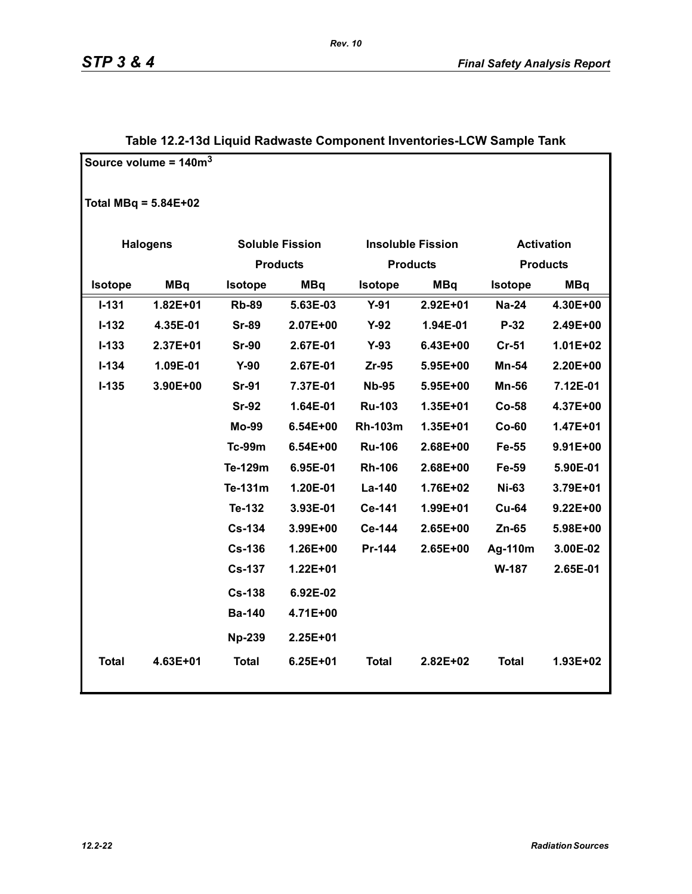|              | Source volume = $140m3$ |                       |                        |                |                          |                |                   |
|--------------|-------------------------|-----------------------|------------------------|----------------|--------------------------|----------------|-------------------|
|              | Total MBq = $5.84E+02$  |                       |                        |                |                          |                |                   |
|              | <b>Halogens</b>         |                       | <b>Soluble Fission</b> |                | <b>Insoluble Fission</b> |                | <b>Activation</b> |
|              |                         | <b>Products</b>       |                        |                | <b>Products</b>          |                | <b>Products</b>   |
| Isotope      | <b>MBq</b>              | <b>MBq</b><br>Isotope |                        | <b>Isotope</b> | <b>MBq</b>               | <b>Isotope</b> | <b>MBq</b>        |
| $I - 131$    | $1.82E + 01$            | <b>Rb-89</b>          | 5.63E-03               | $Y-91$         | 2.92E+01                 | <b>Na-24</b>   | 4.30E+00          |
| $I - 132$    | 4.35E-01                | <b>Sr-89</b>          | 2.07E+00               | $Y-92$         | 1.94E-01                 | P-32           | 2.49E+00          |
| $I-133$      | 2.37E+01                | <b>Sr-90</b>          | 2.67E-01               | $Y-93$         | 6.43E+00                 | <b>Cr-51</b>   | 1.01E+02          |
| $I - 134$    | 1.09E-01                | $Y-90$                | 2.67E-01               | $Zr-95$        | 5.95E+00                 | <b>Mn-54</b>   | 2.20E+00          |
| $I - 135$    | 3.90E+00                | <b>Sr-91</b>          | 7.37E-01               | <b>Nb-95</b>   | 5.95E+00                 | <b>Mn-56</b>   | 7.12E-01          |
|              |                         | <b>Sr-92</b>          | 1.64E-01               | <b>Ru-103</b>  | 1.35E+01                 | Co-58          | 4.37E+00          |
|              |                         | Mo-99                 | 6.54E+00               | <b>Rh-103m</b> | 1.35E+01                 | $Co-60$        | 1.47E+01          |
|              |                         | <b>Tc-99m</b>         | 6.54E+00               | <b>Ru-106</b>  | 2.68E+00                 | Fe-55          | 9.91E+00          |
|              |                         | Te-129m               | 6.95E-01               | <b>Rh-106</b>  | 2.68E+00                 | Fe-59          | 5.90E-01          |
|              |                         | Te-131m               | 1.20E-01               | La-140         | 1.76E+02                 | <b>Ni-63</b>   | 3.79E+01          |
|              |                         | Te-132                | 3.93E-01               | Ce-141         | 1.99E+01                 | <b>Cu-64</b>   | $9.22E + 00$      |
|              |                         | <b>Cs-134</b>         | 3.99E+00               | Ce-144         | 2.65E+00                 | $Zn-65$        | 5.98E+00          |
|              |                         | <b>Cs-136</b>         | 1.26E+00               | Pr-144         | 2.65E+00                 | Ag-110m        | 3.00E-02          |
|              |                         | <b>Cs-137</b>         | $1.22E + 01$           |                |                          | W-187          | 2.65E-01          |
|              |                         | <b>Cs-138</b>         | 6.92E-02               |                |                          |                |                   |
|              |                         | <b>Ba-140</b>         | 4.71E+00               |                |                          |                |                   |
|              |                         | <b>Np-239</b>         | 2.25E+01               |                |                          |                |                   |
| <b>Total</b> | 4.63E+01                | <b>Total</b>          | $6.25E + 01$           | <b>Total</b>   | $2.82E + 02$             | <b>Total</b>   | 1.93E+02          |

### **Table 12.2-13d Liquid Radwaste Component Inventories-LCW Sample Tank**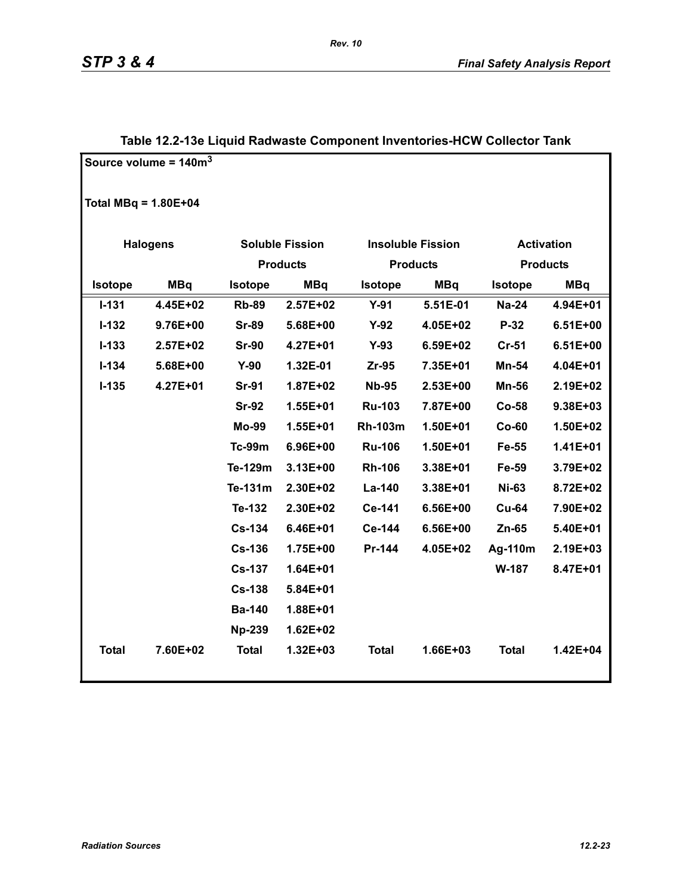|                        | Source volume = $140m3$ |                              |                        |                |                          |                   |                 |
|------------------------|-------------------------|------------------------------|------------------------|----------------|--------------------------|-------------------|-----------------|
| Total MBq = $1.80E+04$ |                         |                              |                        |                |                          |                   |                 |
|                        | <b>Halogens</b>         |                              | <b>Soluble Fission</b> |                | <b>Insoluble Fission</b> | <b>Activation</b> |                 |
|                        |                         |                              | <b>Products</b>        |                | <b>Products</b>          |                   | <b>Products</b> |
| Isotope                | <b>MBq</b>              | <b>MBq</b><br><b>Isotope</b> |                        | <b>Isotope</b> | <b>MBq</b>               | <b>Isotope</b>    | <b>MBq</b>      |
| $I - 131$              | 4.45E+02                | <b>Rb-89</b>                 | 2.57E+02               | $Y-91$         | 5.51E-01                 | <b>Na-24</b>      | 4.94E+01        |
| $I - 132$              | 9.76E+00                | <b>Sr-89</b>                 | 5.68E+00               | $Y-92$         | 4.05E+02                 | P-32              | $6.51E+00$      |
| $I - 133$              | 2.57E+02                | <b>Sr-90</b>                 | 4.27E+01               | $Y-93$         | 6.59E+02                 | <b>Cr-51</b>      | $6.51E+00$      |
| $I - 134$              | 5.68E+00                | $Y-90$                       | 1.32E-01               | Zr-95          | 7.35E+01                 | Mn-54             | 4.04E+01        |
| $I-135$                | 4.27E+01                | <b>Sr-91</b>                 | 1.87E+02               | <b>Nb-95</b>   | 2.53E+00                 | <b>Mn-56</b>      | 2.19E+02        |
|                        |                         | <b>Sr-92</b>                 | 1.55E+01               | <b>Ru-103</b>  | 7.87E+00                 | $Co-58$           | 9.38E+03        |
|                        |                         | <b>Mo-99</b>                 | 1.55E+01               | <b>Rh-103m</b> | 1.50E+01                 | $Co-60$           | 1.50E+02        |
|                        |                         | <b>Tc-99m</b>                | 6.96E+00               | <b>Ru-106</b>  | 1.50E+01                 | Fe-55             | 1.41E+01        |
|                        |                         | Te-129m                      | $3.13E + 00$           | <b>Rh-106</b>  | 3.38E+01                 | Fe-59             | 3.79E+02        |
|                        |                         | Te-131m                      | 2.30E+02               | La-140         | 3.38E+01                 | <b>Ni-63</b>      | 8.72E+02        |
|                        |                         | Te-132                       | 2.30E+02               | Ce-141         | 6.56E+00                 | <b>Cu-64</b>      | 7.90E+02        |
|                        |                         | <b>Cs-134</b>                | 6.46E+01               | Ce-144         | 6.56E+00                 | Zn-65             | 5.40E+01        |
|                        |                         | <b>Cs-136</b>                | 1.75E+00               | Pr-144         | 4.05E+02                 | Ag-110m           | 2.19E+03        |
|                        |                         | <b>Cs-137</b>                | 1.64E+01               |                |                          | W-187             | 8.47E+01        |
|                        |                         | <b>Cs-138</b>                | 5.84E+01               |                |                          |                   |                 |
|                        |                         | <b>Ba-140</b>                | 1.88E+01               |                |                          |                   |                 |
|                        |                         | <b>Np-239</b>                | $1.62E + 02$           |                |                          |                   |                 |
| <b>Total</b>           | 7.60E+02                | <b>Total</b>                 | 1.32E+03               | <b>Total</b>   | 1.66E+03                 | <b>Total</b>      | 1.42E+04        |

### **Table 12.2-13e Liquid Radwaste Component Inventories-HCW Collector Tank**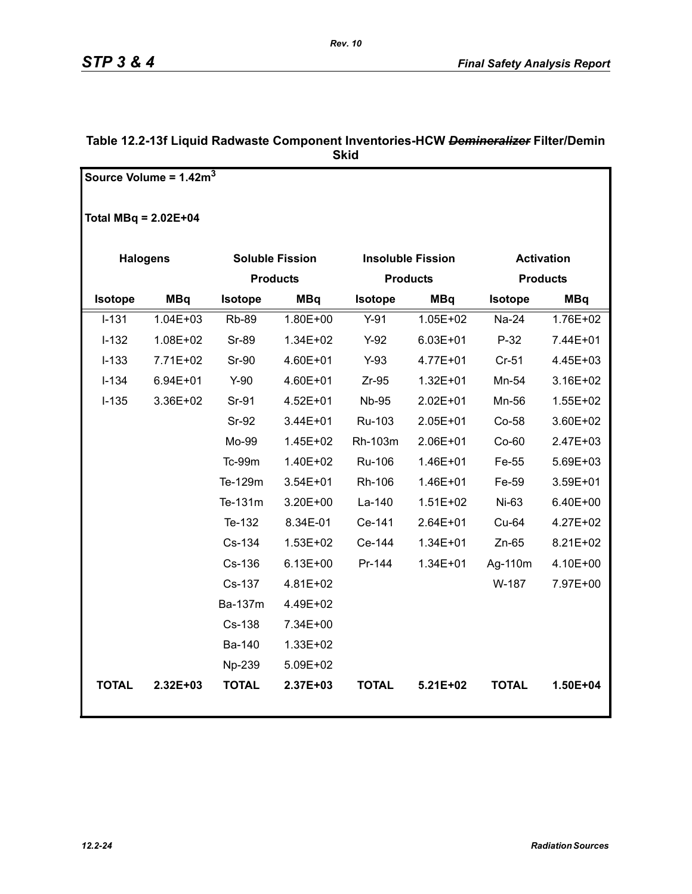|                        | Source Volume = $1.42m3$ |                        |              |                 |                          |                 |                   |
|------------------------|--------------------------|------------------------|--------------|-----------------|--------------------------|-----------------|-------------------|
|                        |                          |                        |              |                 |                          |                 |                   |
| Total $MBq = 2.02E+04$ |                          |                        |              |                 |                          |                 |                   |
|                        |                          |                        |              |                 |                          |                 |                   |
|                        | <b>Halogens</b>          | <b>Soluble Fission</b> |              |                 | <b>Insoluble Fission</b> |                 | <b>Activation</b> |
|                        |                          | <b>Products</b>        |              | <b>Products</b> |                          | <b>Products</b> |                   |
| <b>Isotope</b>         | <b>MBq</b>               | <b>Isotope</b>         | <b>MBq</b>   | Isotope         | <b>MBq</b>               | <b>Isotope</b>  | <b>MBq</b>        |
| $I - 131$              | $1.04E + 03$             | <b>Rb-89</b>           | 1.80E+00     | $Y-91$          | $1.05E + 02$             | Na-24           | 1.76E+02          |
| $I-132$                | 1.08E+02                 | <b>Sr-89</b>           | 1.34E+02     | $Y-92$          | $6.03E + 01$             | $P-32$          | 7.44E+01          |
| $I-133$                | 7.71E+02                 | <b>Sr-90</b>           | 4.60E+01     | $Y-93$          | 4.77E+01                 | $Cr-51$         | 4.45E+03          |
| $I - 134$              | $6.94E + 01$             | $Y-90$                 | 4.60E+01     | $Zr-95$         | $1.32E + 01$             | Mn-54           | 3.16E+02          |
| $I - 135$              | 3.36E+02                 | Sr-91                  | 4.52E+01     | <b>Nb-95</b>    | 2.02E+01                 | Mn-56           | $1.55E + 02$      |
|                        |                          | <b>Sr-92</b>           | 3.44E+01     | Ru-103          | 2.05E+01                 | Co-58           | 3.60E+02          |
|                        |                          | Mo-99                  | 1.45E+02     | Rh-103m         | 2.06E+01                 | $Co-60$         | 2.47E+03          |
|                        |                          | <b>Tc-99m</b>          | 1.40E+02     | Ru-106          | 1.46E+01                 | Fe-55           | 5.69E+03          |
|                        |                          | Te-129m                | 3.54E+01     | Rh-106          | 1.46E+01                 | Fe-59           | 3.59E+01          |
|                        |                          | Te-131m                | 3.20E+00     | La-140          | $1.51E + 02$             | Ni-63           | 6.40E+00          |
|                        |                          | Te-132                 | 8.34E-01     | Ce-141          | 2.64E+01                 | Cu-64           | 4.27E+02          |
|                        |                          | Cs-134                 | 1.53E+02     | Ce-144          | $1.34E + 01$             | $Zn-65$         | 8.21E+02          |
|                        |                          | Cs-136                 | $6.13E + 00$ | Pr-144          | $1.34E + 01$             | Ag-110m         | 4.10E+00          |
|                        |                          | Cs-137                 | 4.81E+02     |                 |                          | W-187           | 7.97E+00          |
|                        |                          | Ba-137m                | 4.49E+02     |                 |                          |                 |                   |
|                        |                          | Cs-138                 | 7.34E+00     |                 |                          |                 |                   |
|                        |                          | Ba-140                 | 1.33E+02     |                 |                          |                 |                   |
|                        |                          | Np-239                 | 5.09E+02     |                 |                          |                 |                   |
| <b>TOTAL</b>           | 2.32E+03                 | <b>TOTAL</b>           | 2.37E+03     | <b>TOTAL</b>    | $5.21E+02$               | <b>TOTAL</b>    | 1.50E+04          |
|                        |                          |                        |              |                 |                          |                 |                   |

### **Table 12.2-13f Liquid Radwaste Component Inventories-HCW** *Demineralizer* **Filter/Demin Skid**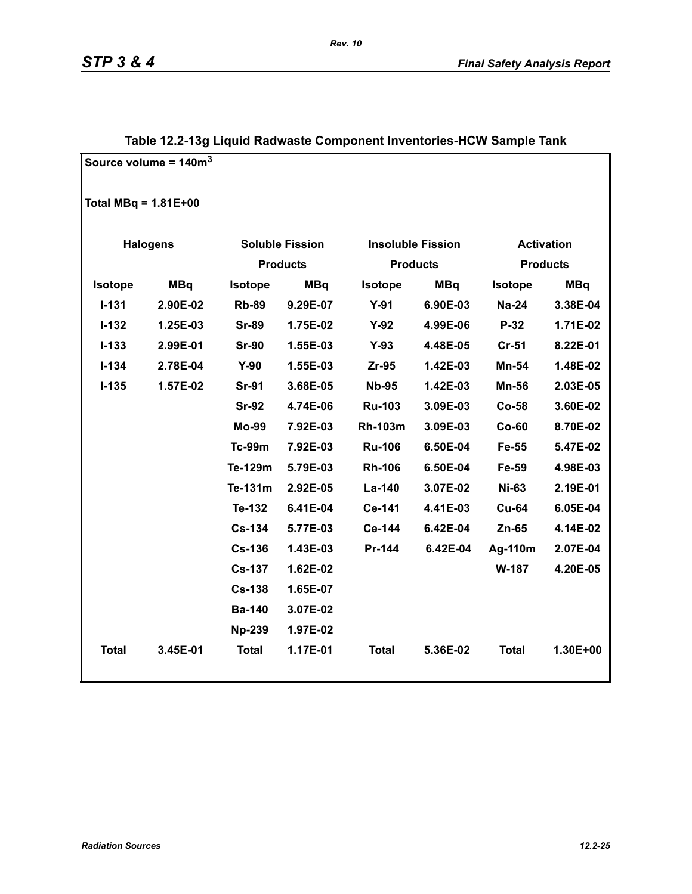|                        | Source volume = $140m3$ |                |                        |                |                          |                   |            |
|------------------------|-------------------------|----------------|------------------------|----------------|--------------------------|-------------------|------------|
|                        |                         |                |                        |                |                          |                   |            |
| Total MBq = $1.81E+00$ |                         |                |                        |                |                          |                   |            |
|                        |                         |                |                        |                |                          |                   |            |
|                        | <b>Halogens</b>         |                | <b>Soluble Fission</b> |                | <b>Insoluble Fission</b> | <b>Activation</b> |            |
|                        |                         |                | <b>Products</b>        |                | <b>Products</b>          | <b>Products</b>   |            |
| <b>Isotope</b>         | <b>MBq</b>              | <b>Isotope</b> | MBq                    |                | <b>MBq</b>               | <b>Isotope</b>    | <b>MBq</b> |
| $I - 131$              | 2.90E-02                | <b>Rb-89</b>   | 9.29E-07               | $Y-91$         | 6.90E-03                 | <b>Na-24</b>      | 3.38E-04   |
| $I - 132$              | 1.25E-03                | <b>Sr-89</b>   | 1.75E-02               | $Y-92$         | 4.99E-06                 | $P-32$            | 1.71E-02   |
| $I - 133$              | 2.99E-01                | <b>Sr-90</b>   | 1.55E-03               | $Y-93$         | 4.48E-05                 | $Cr-51$           | 8.22E-01   |
| $I - 134$              | 2.78E-04                | $Y-90$         | 1.55E-03               | $Zr-95$        | 1.42E-03                 | <b>Mn-54</b>      | 1.48E-02   |
| $I-135$                | 1.57E-02                | <b>Sr-91</b>   | 3.68E-05               | <b>Nb-95</b>   | 1.42E-03                 | <b>Mn-56</b>      | 2.03E-05   |
|                        |                         | <b>Sr-92</b>   | 4.74E-06               | <b>Ru-103</b>  | 3.09E-03                 | $Co-58$           | 3.60E-02   |
|                        |                         | <b>Mo-99</b>   | 7.92E-03               | <b>Rh-103m</b> | 3.09E-03                 | $Co-60$           | 8.70E-02   |
|                        |                         | <b>Tc-99m</b>  | 7.92E-03               | <b>Ru-106</b>  | 6.50E-04                 | Fe-55             | 5.47E-02   |
|                        |                         | Te-129m        | 5.79E-03               | <b>Rh-106</b>  | 6.50E-04                 | Fe-59             | 4.98E-03   |
|                        |                         | Te-131m        | 2.92E-05               | La-140         | 3.07E-02                 | <b>Ni-63</b>      | 2.19E-01   |
|                        |                         | Te-132         | 6.41E-04               | Ce-141         | 4.41E-03                 | <b>Cu-64</b>      | 6.05E-04   |
|                        |                         | <b>Cs-134</b>  | 5.77E-03               | Ce-144         | 6.42E-04                 | $Zn-65$           | 4.14E-02   |
|                        |                         | <b>Cs-136</b>  | 1.43E-03               | Pr-144         | 6.42E-04                 | Ag-110m           | 2.07E-04   |
|                        |                         | <b>Cs-137</b>  | 1.62E-02               |                |                          | W-187             | 4.20E-05   |
|                        |                         | <b>Cs-138</b>  | 1.65E-07               |                |                          |                   |            |
|                        |                         | <b>Ba-140</b>  | 3.07E-02               |                |                          |                   |            |
|                        |                         | <b>Np-239</b>  | 1.97E-02               |                |                          |                   |            |
| <b>Total</b>           | 3.45E-01                | <b>Total</b>   | 1.17E-01               | <b>Total</b>   | 5.36E-02                 | <b>Total</b>      | 1.30E+00   |
|                        |                         |                |                        |                |                          |                   |            |

### **Table 12.2-13g Liquid Radwaste Component Inventories-HCW Sample Tank**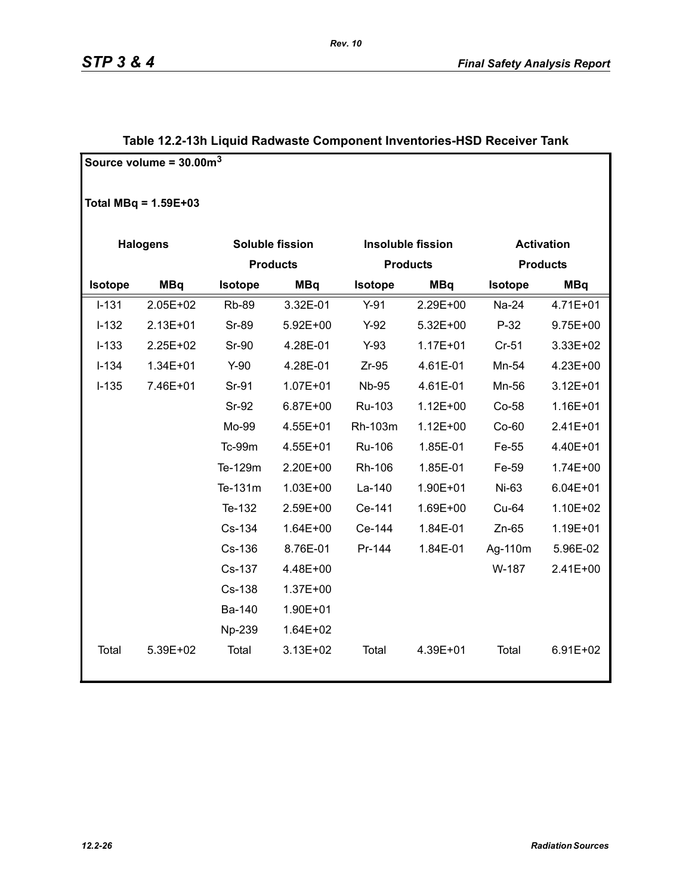|                 | Source volume = $30.00m3$ |              |                 |                |                          |                   |                 |  |
|-----------------|---------------------------|--------------|-----------------|----------------|--------------------------|-------------------|-----------------|--|
|                 | Total MBq = $1.59E+03$    |              |                 |                |                          |                   |                 |  |
| <b>Halogens</b> |                           |              | Soluble fission |                | <b>Insoluble fission</b> | <b>Activation</b> |                 |  |
|                 | <b>Products</b>           |              |                 |                | <b>Products</b>          |                   | <b>Products</b> |  |
| <b>Isotope</b>  | <b>MBq</b>                | Isotope      | <b>MBq</b>      | <b>Isotope</b> | <b>MBq</b>               | <b>Isotope</b>    | <b>MBq</b>      |  |
| $I-131$         | 2.05E+02                  | <b>Rb-89</b> | 3.32E-01        | $Y-91$         | 2.29E+00                 | Na-24             | 4.71E+01        |  |
| $I-132$         | 2.13E+01                  | Sr-89        | 5.92E+00        | $Y-92$         | 5.32E+00                 | $P-32$            | 9.75E+00        |  |
| $I-133$         | 2.25E+02                  | <b>Sr-90</b> | 4.28E-01        | $Y-93$         | $1.17E + 01$             | $Cr-51$           | 3.33E+02        |  |
| $I-134$         | $1.34E + 01$              | $Y-90$       | 4.28E-01        | $Zr-95$        | 4.61E-01                 | Mn-54             | 4.23E+00        |  |
| $I-135$         | 7.46E+01                  | Sr-91        | $1.07E + 01$    | <b>Nb-95</b>   | 4.61E-01                 | Mn-56             | $3.12E + 01$    |  |
|                 |                           | Sr-92        | 6.87E+00        | Ru-103         | $1.12E + 00$             | $Co-58$           | 1.16E+01        |  |
|                 |                           | Mo-99        | 4.55E+01        | Rh-103m        | $1.12E + 00$             | $Co-60$           | 2.41E+01        |  |
|                 |                           | Tc-99m       | 4.55E+01        | <b>Ru-106</b>  | 1.85E-01                 | Fe-55             | 4.40E+01        |  |
|                 |                           | Te-129m      | 2.20E+00        | Rh-106         | 1.85E-01                 | Fe-59             | 1.74E+00        |  |
|                 |                           | Te-131m      | $1.03E + 00$    | La-140         | 1.90E+01                 | Ni-63             | $6.04E + 01$    |  |
|                 |                           | Te-132       | 2.59E+00        | Ce-141         | 1.69E+00                 | Cu-64             | 1.10E+02        |  |
|                 |                           | Cs-134       | $1.64E + 00$    | Ce-144         | 1.84E-01                 | $Zn-65$           | 1.19E+01        |  |
|                 |                           | Cs-136       | 8.76E-01        | Pr-144         | 1.84E-01                 | Ag-110m           | 5.96E-02        |  |
|                 |                           | Cs-137       | 4.48E+00        |                |                          | W-187             | 2.41E+00        |  |
|                 |                           | Cs-138       | 1.37E+00        |                |                          |                   |                 |  |
|                 |                           | Ba-140       | 1.90E+01        |                |                          |                   |                 |  |
|                 |                           | Np-239       | 1.64E+02        |                |                          |                   |                 |  |
| Total           | 5.39E+02                  | Total        | $3.13E + 02$    | Total          | 4.39E+01                 | Total             | $6.91E + 02$    |  |

### **Table 12.2-13h Liquid Radwaste Component Inventories-HSD Receiver Tank**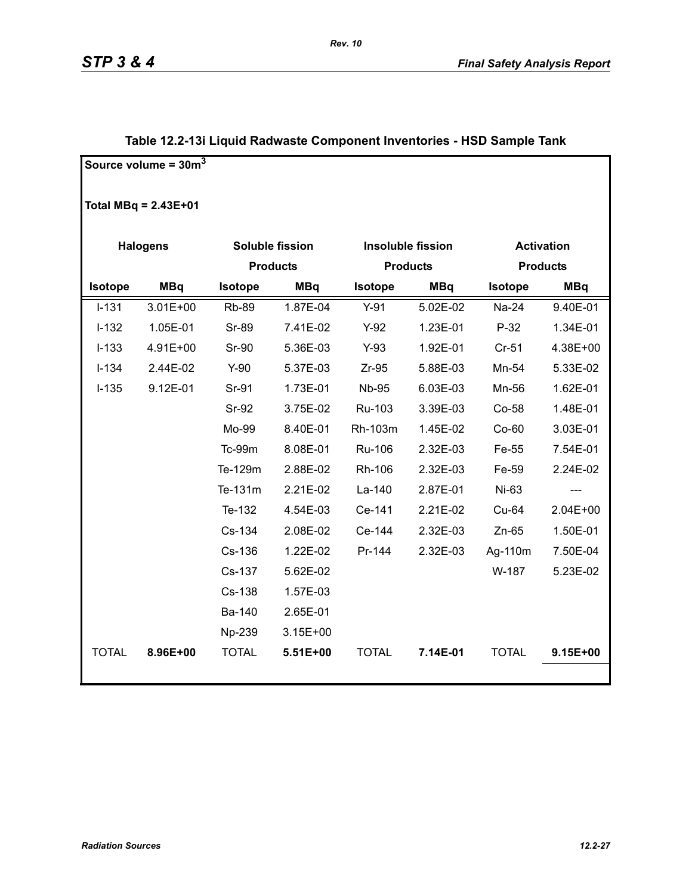|              | Source volume = $30m3$ |                       |                        |                |                          |                   |                 |
|--------------|------------------------|-----------------------|------------------------|----------------|--------------------------|-------------------|-----------------|
|              | Total $MBq = 2.43E+01$ |                       |                        |                |                          |                   |                 |
|              | <b>Halogens</b>        |                       | <b>Soluble fission</b> |                | <b>Insoluble fission</b> | <b>Activation</b> |                 |
|              |                        |                       | <b>Products</b>        |                | <b>Products</b>          |                   | <b>Products</b> |
| Isotope      | <b>MBq</b>             | <b>MBq</b><br>Isotope |                        | <b>Isotope</b> | <b>MBq</b>               | Isotope           | <b>MBq</b>      |
| $I-131$      | 3.01E+00               | <b>Rb-89</b>          | 1.87E-04               | $Y-91$         | 5.02E-02                 | Na-24             | 9.40E-01        |
| $I-132$      | 1.05E-01               | Sr-89                 | 7.41E-02               | $Y-92$         | 1.23E-01                 | $P-32$            | 1.34E-01        |
| $I-133$      | 4.91E+00               | Sr-90                 | 5.36E-03               | $Y-93$         | 1.92E-01                 | $Cr-51$           | 4.38E+00        |
| $I-134$      | 2.44E-02               | $Y-90$                | 5.37E-03               | $Zr-95$        | 5.88E-03                 | Mn-54             | 5.33E-02        |
| $I-135$      | 9.12E-01               | Sr-91                 | 1.73E-01               | <b>Nb-95</b>   | 6.03E-03                 | Mn-56             | 1.62E-01        |
|              |                        | <b>Sr-92</b>          | 3.75E-02               | Ru-103         | 3.39E-03                 | Co-58             | 1.48E-01        |
|              |                        | Mo-99                 | 8.40E-01               | Rh-103m        | 1.45E-02                 | Co-60             | 3.03E-01        |
|              |                        | Tc-99m                | 8.08E-01               | Ru-106         | 2.32E-03                 | Fe-55             | 7.54E-01        |
|              |                        | Te-129m               | 2.88E-02               | Rh-106         | 2.32E-03                 | Fe-59             | 2.24E-02        |
|              |                        | Te-131m               | 2.21E-02               | La-140         | 2.87E-01                 | Ni-63             | ---             |
|              |                        | Te-132                | 4.54E-03               | Ce-141         | 2.21E-02                 | Cu-64             | 2.04E+00        |
|              |                        | Cs-134                | 2.08E-02               | Ce-144         | 2.32E-03                 | $Zn-65$           | 1.50E-01        |
|              |                        | Cs-136                | 1.22E-02               | Pr-144         | 2.32E-03                 | Ag-110m           | 7.50E-04        |
|              |                        | Cs-137                | 5.62E-02               |                |                          | W-187             | 5.23E-02        |
|              |                        | Cs-138                | 1.57E-03               |                |                          |                   |                 |
|              |                        | Ba-140                | 2.65E-01               |                |                          |                   |                 |
|              |                        | Np-239                | $3.15E + 00$           |                |                          |                   |                 |
| <b>TOTAL</b> | 8.96E+00               | <b>TOTAL</b>          | 5.51E+00               | <b>TOTAL</b>   | 7.14E-01                 | <b>TOTAL</b>      | 9.15E+00        |
|              |                        |                       |                        |                |                          |                   |                 |

### **Table 12.2-13i Liquid Radwaste Component Inventories - HSD Sample Tank**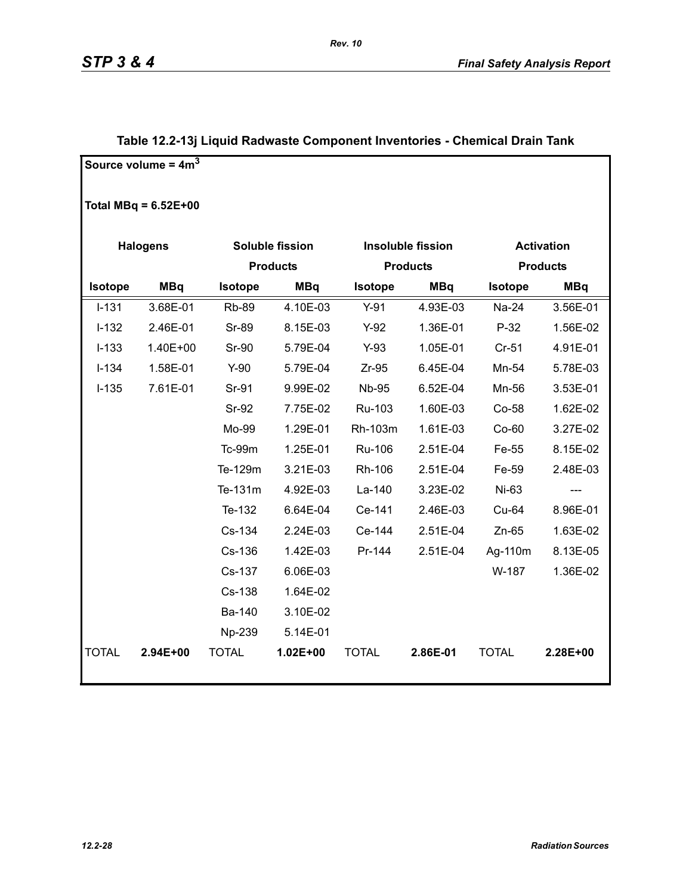|              | Source volume = $4m3$  |                       |                        |                |                          |                 |                   |  |
|--------------|------------------------|-----------------------|------------------------|----------------|--------------------------|-----------------|-------------------|--|
|              | Total MBq = $6.52E+00$ |                       |                        |                |                          |                 |                   |  |
|              | <b>Halogens</b>        |                       | <b>Soluble fission</b> |                | <b>Insoluble fission</b> |                 | <b>Activation</b> |  |
|              |                        |                       | <b>Products</b>        |                | <b>Products</b>          | <b>Products</b> |                   |  |
| Isotope      | <b>MBq</b>             | Isotope<br><b>MBq</b> |                        | <b>Isotope</b> | <b>MBq</b>               | Isotope         | <b>MBq</b>        |  |
| $I-131$      | 3.68E-01               | <b>Rb-89</b>          | 4.10E-03               | $Y-91$         | 4.93E-03                 | Na-24           | 3.56E-01          |  |
| $I-132$      | 2.46E-01               | <b>Sr-89</b>          | 8.15E-03               | $Y-92$         | 1.36E-01                 | $P-32$          | 1.56E-02          |  |
| $I-133$      | 1.40E+00               | <b>Sr-90</b>          | 5.79E-04               | $Y-93$         | 1.05E-01                 | $Cr-51$         | 4.91E-01          |  |
| $I-134$      | 1.58E-01               | $Y-90$                | 5.79E-04               | $Zr-95$        | 6.45E-04                 | Mn-54           | 5.78E-03          |  |
| $I-135$      | 7.61E-01               | Sr-91                 | 9.99E-02               | <b>Nb-95</b>   | 6.52E-04                 | Mn-56           | 3.53E-01          |  |
|              |                        | Sr-92                 | 7.75E-02               | Ru-103         | 1.60E-03                 | Co-58           | 1.62E-02          |  |
|              |                        | Mo-99                 | 1.29E-01               | Rh-103m        | 1.61E-03                 | $Co-60$         | 3.27E-02          |  |
|              |                        | Tc-99m                | 1.25E-01               | Ru-106         | 2.51E-04                 | Fe-55           | 8.15E-02          |  |
|              |                        | Te-129m               | 3.21E-03               | Rh-106         | 2.51E-04                 | Fe-59           | 2.48E-03          |  |
|              |                        | Te-131m               | 4.92E-03               | La-140         | 3.23E-02                 | Ni-63           | $---$             |  |
|              |                        | Te-132                | 6.64E-04               | Ce-141         | 2.46E-03                 | Cu-64           | 8.96E-01          |  |
|              |                        | Cs-134                | 2.24E-03               | Ce-144         | 2.51E-04                 | $Zn-65$         | 1.63E-02          |  |
|              |                        | Cs-136                | 1.42E-03               | Pr-144         | 2.51E-04                 | Ag-110m         | 8.13E-05          |  |
|              |                        | Cs-137                | 6.06E-03               |                |                          | W-187           | 1.36E-02          |  |
|              |                        | Cs-138                | 1.64E-02               |                |                          |                 |                   |  |
|              |                        | Ba-140                | 3.10E-02               |                |                          |                 |                   |  |
|              |                        | Np-239                | 5.14E-01               |                |                          |                 |                   |  |
| <b>TOTAL</b> | 2.94E+00               | <b>TOTAL</b>          | $1.02E + 00$           | <b>TOTAL</b>   | 2.86E-01                 | <b>TOTAL</b>    | 2.28E+00          |  |
|              |                        |                       |                        |                |                          |                 |                   |  |

### **Table 12.2-13j Liquid Radwaste Component Inventories - Chemical Drain Tank**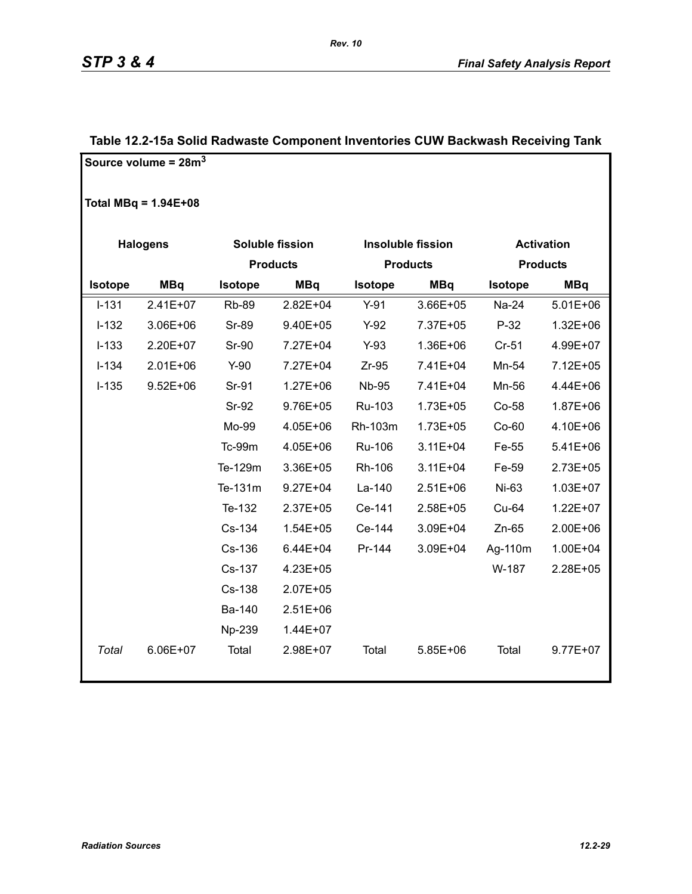|           | Source volume = $28m3$ |              |                 |                |                          |                |                   |
|-----------|------------------------|--------------|-----------------|----------------|--------------------------|----------------|-------------------|
|           | Total MBq = $1.94E+08$ |              |                 |                |                          |                |                   |
|           | <b>Halogens</b>        |              | Soluble fission |                | <b>Insoluble fission</b> |                | <b>Activation</b> |
|           |                        |              | <b>Products</b> |                | <b>Products</b>          |                | <b>Products</b>   |
| Isotope   | <b>MBq</b>             | Isotope      | <b>MBq</b>      | <b>Isotope</b> | <b>MBq</b>               | <b>Isotope</b> | <b>MBq</b>        |
| $I - 131$ | $2.41E+07$             | <b>Rb-89</b> | 2.82E+04        | $Y-91$         | 3.66E+05                 | Na-24          | $5.01E + 06$      |
| $I-132$   | 3.06E+06               | <b>Sr-89</b> | 9.40E+05        | $Y-92$         | 7.37E+05                 | $P-32$         | $1.32E + 06$      |
| $I-133$   | 2.20E+07               | Sr-90        | 7.27E+04        | $Y-93$         | 1.36E+06                 | Cr-51          | 4.99E+07          |
| $I-134$   | $2.01E + 06$           | $Y-90$       | 7.27E+04        | $Zr-95$        | 7.41E+04                 | Mn-54          | 7.12E+05          |
| $I-135$   | $9.52E + 06$           | Sr-91        | $1.27E + 06$    | <b>Nb-95</b>   | 7.41E+04                 | Mn-56          | 4.44E+06          |
|           |                        | Sr-92        | 9.76E+05        | Ru-103         | 1.73E+05                 | Co-58          | 1.87E+06          |
|           |                        | Mo-99        | 4.05E+06        | Rh-103m        | 1.73E+05                 | Co-60          | 4.10E+06          |
|           |                        | Tc-99m       | 4.05E+06        | Ru-106         | $3.11E + 04$             | Fe-55          | 5.41E+06          |
|           |                        | Te-129m      | 3.36E+05        | Rh-106         | $3.11E + 04$             | Fe-59          | 2.73E+05          |
|           |                        | Te-131m      | $9.27E + 04$    | La-140         | $2.51E+06$               | Ni-63          | 1.03E+07          |
|           |                        | Te-132       | 2.37E+05        | Ce-141         | 2.58E+05                 | Cu-64          | 1.22E+07          |
|           |                        | Cs-134       | $1.54E + 05$    | Ce-144         | 3.09E+04                 | $Zn-65$        | 2.00E+06          |
|           |                        | Cs-136       | $6.44E + 04$    | Pr-144         | 3.09E+04                 | Ag-110m        | 1.00E+04          |
|           |                        | Cs-137       | 4.23E+05        |                |                          | W-187          | 2.28E+05          |
|           |                        | Cs-138       | $2.07E + 05$    |                |                          |                |                   |
|           |                        | Ba-140       | $2.51E+06$      |                |                          |                |                   |
|           |                        | Np-239       | 1.44E+07        |                |                          |                |                   |
| Total     | 6.06E+07               | Total        | 2.98E+07        | Total          | 5.85E+06                 | Total          | 9.77E+07          |

### **Table 12.2-15a Solid Radwaste Component Inventories CUW Backwash Receiving Tank**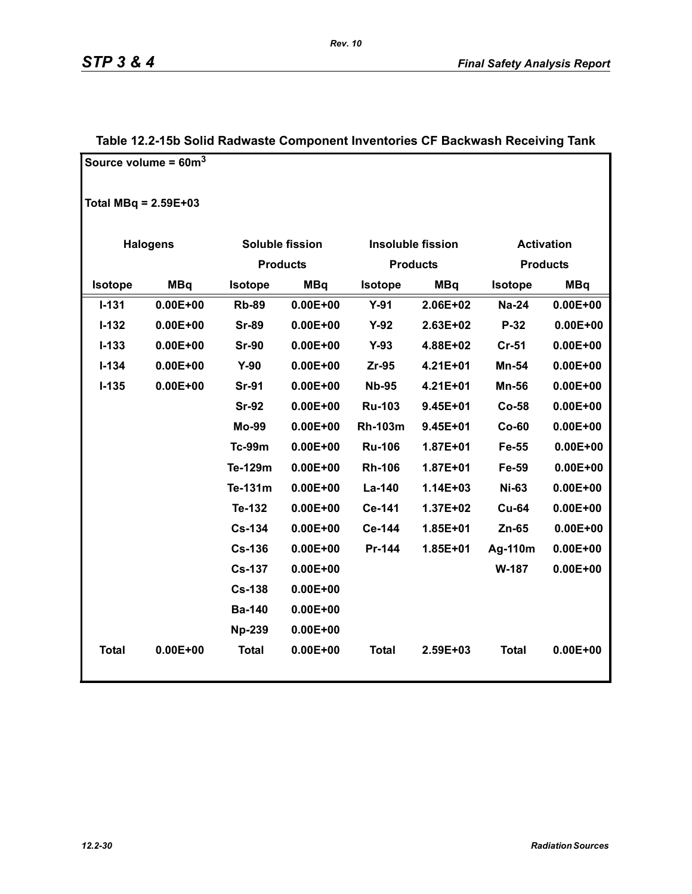|                        | Source volume = $60m^3$ |                |                 |                |                          |              |                   |  |
|------------------------|-------------------------|----------------|-----------------|----------------|--------------------------|--------------|-------------------|--|
| Total MBq = $2.59E+03$ |                         |                |                 |                |                          |              |                   |  |
|                        | <b>Halogens</b>         |                | Soluble fission |                | <b>Insoluble fission</b> |              | <b>Activation</b> |  |
|                        |                         |                | <b>Products</b> |                | <b>Products</b>          |              | <b>Products</b>   |  |
| Isotope                | <b>MBq</b>              | <b>Isotope</b> | <b>MBq</b>      | <b>Isotope</b> | <b>MBq</b>               | Isotope      | <b>MBq</b>        |  |
| $I - 131$              | $0.00E + 00$            | <b>Rb-89</b>   | $0.00E + 00$    | $Y-91$         | 2.06E+02                 | <b>Na-24</b> | $0.00E + 00$      |  |
| $I-132$                | $0.00E + 00$            | <b>Sr-89</b>   | $0.00E + 00$    | $Y-92$         | 2.63E+02                 | $P-32$       | $0.00E + 00$      |  |
| $I-133$                | $0.00E + 00$            | <b>Sr-90</b>   | $0.00E + 00$    | $Y-93$         | 4.88E+02                 | $Cr-51$      | $0.00E + 00$      |  |
| $I - 134$              | $0.00E + 00$            | $Y-90$         | $0.00E + 00$    | $Zr-95$        | 4.21E+01                 | Mn-54        | $0.00E + 00$      |  |
| $I-135$                | $0.00E + 00$            | <b>Sr-91</b>   | $0.00E + 00$    | <b>Nb-95</b>   | 4.21E+01                 | <b>Mn-56</b> | $0.00E + 00$      |  |
|                        |                         | <b>Sr-92</b>   | $0.00E + 00$    | <b>Ru-103</b>  | $9.45E + 01$             | Co-58        | $0.00E + 00$      |  |
|                        |                         | <b>Mo-99</b>   | $0.00E + 00$    | <b>Rh-103m</b> | 9.45E+01                 | $Co-60$      | $0.00E + 00$      |  |
|                        |                         | <b>Tc-99m</b>  | $0.00E + 00$    | <b>Ru-106</b>  | 1.87E+01                 | Fe-55        | $0.00E + 00$      |  |
|                        |                         | Te-129m        | $0.00E + 00$    | <b>Rh-106</b>  | 1.87E+01                 | Fe-59        | $0.00E + 00$      |  |
|                        |                         | Te-131m        | $0.00E + 00$    | La-140         | $1.14E + 03$             | <b>Ni-63</b> | $0.00E + 00$      |  |
|                        |                         | Te-132         | $0.00E + 00$    | Ce-141         | 1.37E+02                 | <b>Cu-64</b> | $0.00E + 00$      |  |
|                        |                         | <b>Cs-134</b>  | $0.00E + 00$    | Ce-144         | 1.85E+01                 | $Zn-65$      | $0.00E + 00$      |  |
|                        |                         | <b>Cs-136</b>  | $0.00E + 00$    | Pr-144         | 1.85E+01                 | Ag-110m      | $0.00E + 00$      |  |
|                        |                         | <b>Cs-137</b>  | $0.00E + 00$    |                |                          | W-187        | $0.00E + 00$      |  |
|                        |                         | <b>Cs-138</b>  | $0.00E + 00$    |                |                          |              |                   |  |
|                        |                         | <b>Ba-140</b>  | $0.00E + 00$    |                |                          |              |                   |  |
|                        |                         | <b>Np-239</b>  | $0.00E + 00$    |                |                          |              |                   |  |
| <b>Total</b>           | $0.00E + 00$            | <b>Total</b>   | $0.00E + 00$    | <b>Total</b>   | 2.59E+03                 | <b>Total</b> | $0.00E + 00$      |  |
|                        |                         |                |                 |                |                          |              |                   |  |

### **Table 12.2-15b Solid Radwaste Component Inventories CF Backwash Receiving Tank**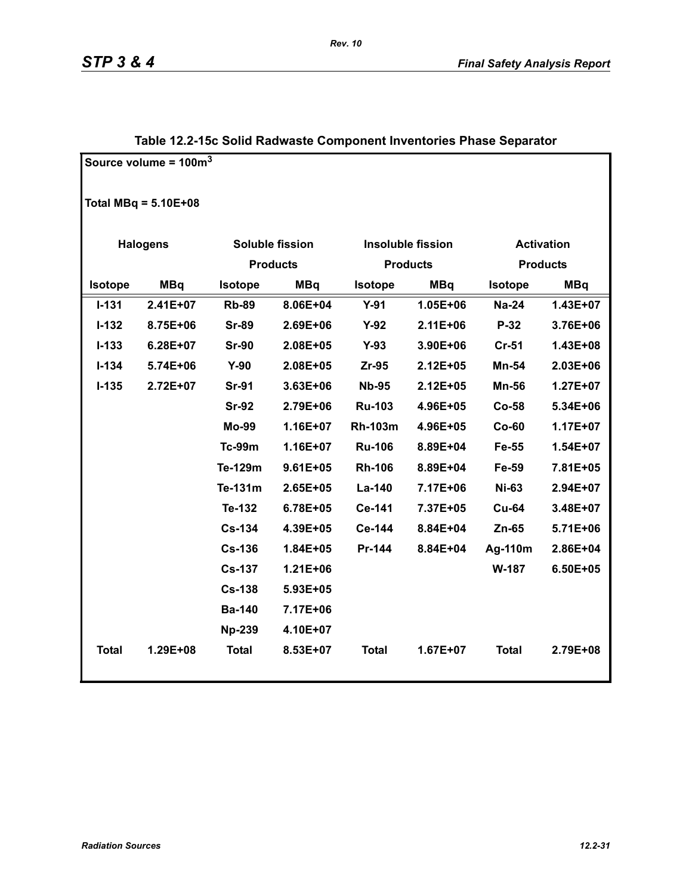|                | Source volume = $100m3$ |                |                        |                |                          |                   |                 |
|----------------|-------------------------|----------------|------------------------|----------------|--------------------------|-------------------|-----------------|
|                | Total MBq = $5.10E+08$  |                |                        |                |                          |                   |                 |
|                | <b>Halogens</b>         |                | <b>Soluble fission</b> |                | <b>Insoluble fission</b> | <b>Activation</b> |                 |
|                |                         |                | <b>Products</b>        |                | <b>Products</b>          |                   | <b>Products</b> |
| <b>Isotope</b> | <b>MBq</b>              | <b>Isotope</b> | <b>MBq</b>             | <b>Isotope</b> | <b>MBq</b>               | <b>Isotope</b>    | <b>MBq</b>      |
| $I - 131$      | $2.41E+07$              | <b>Rb-89</b>   | 8.06E+04               | $Y-91$         | 1.05E+06                 | <b>Na-24</b>      | 1.43E+07        |
| $I-132$        | 8.75E+06                | <b>Sr-89</b>   | 2.69E+06               | $Y-92$         | 2.11E+06                 | P-32              | 3.76E+06        |
| $I-133$        | 6.28E+07                | <b>Sr-90</b>   | 2.08E+05               | $Y-93$         | 3.90E+06                 | <b>Cr-51</b>      | 1.43E+08        |
| $I - 134$      | 5.74E+06                | $Y-90$         | 2.08E+05               | $Zr-95$        | 2.12E+05                 | Mn-54             | 2.03E+06        |
| $I-135$        | 2.72E+07                | <b>Sr-91</b>   | $3.63E + 06$           | <b>Nb-95</b>   | 2.12E+05                 | <b>Mn-56</b>      | 1.27E+07        |
|                |                         | <b>Sr-92</b>   | 2.79E+06               | <b>Ru-103</b>  | 4.96E+05                 | <b>Co-58</b>      | 5.34E+06        |
|                |                         | <b>Mo-99</b>   | 1.16E+07               | <b>Rh-103m</b> | 4.96E+05                 | $Co-60$           | 1.17E+07        |
|                |                         | <b>Tc-99m</b>  | 1.16E+07               | <b>Ru-106</b>  | 8.89E+04                 | Fe-55             | 1.54E+07        |
|                |                         | Te-129m        | $9.61E + 05$           | <b>Rh-106</b>  | 8.89E+04                 | Fe-59             | 7.81E+05        |
|                |                         | Te-131m        | 2.65E+05               | La-140         | 7.17E+06                 | <b>Ni-63</b>      | 2.94E+07        |
|                |                         | Te-132         | 6.78E+05               | Ce-141         | 7.37E+05                 | <b>Cu-64</b>      | 3.48E+07        |
|                |                         | <b>Cs-134</b>  | 4.39E+05               | Ce-144         | 8.84E+04                 | $Zn-65$           | 5.71E+06        |
|                |                         | <b>Cs-136</b>  | 1.84E+05               | Pr-144         | 8.84E+04                 | Ag-110m           | 2.86E+04        |
|                |                         | <b>Cs-137</b>  | $1.21E + 06$           |                |                          | W-187             | 6.50E+05        |
|                |                         | <b>Cs-138</b>  | 5.93E+05               |                |                          |                   |                 |
|                |                         | <b>Ba-140</b>  | 7.17E+06               |                |                          |                   |                 |
|                |                         | <b>Np-239</b>  | 4.10E+07               |                |                          |                   |                 |
| <b>Total</b>   | 1.29E+08                | <b>Total</b>   | 8.53E+07               | <b>Total</b>   | $1.67E+07$               | <b>Total</b>      | 2.79E+08        |

### **Table 12.2-15c Solid Radwaste Component Inventories Phase Separator**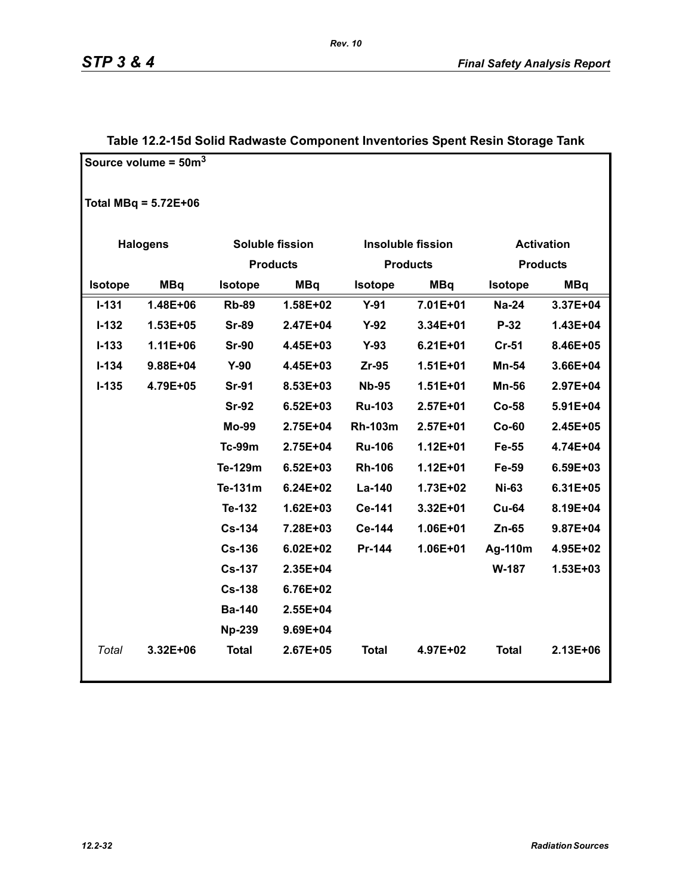|                | Source volume = $50m^3$ |                 |                        |                |                          |                   |                 |
|----------------|-------------------------|-----------------|------------------------|----------------|--------------------------|-------------------|-----------------|
|                | Total MBq = $5.72E+06$  |                 |                        |                |                          |                   |                 |
|                |                         |                 |                        |                |                          |                   |                 |
|                | <b>Halogens</b>         |                 | <b>Soluble fission</b> |                | <b>Insoluble fission</b> | <b>Activation</b> |                 |
|                |                         | <b>Products</b> |                        |                | <b>Products</b>          |                   | <b>Products</b> |
| <b>Isotope</b> | <b>MBq</b>              | <b>Isotope</b>  | <b>MBq</b>             | <b>Isotope</b> | <b>MBq</b>               | <b>Isotope</b>    | <b>MBq</b>      |
| $I - 131$      | 1.48E+06                | <b>Rb-89</b>    | $1.58E + 02$           | $Y-91$         | 7.01E+01                 | <b>Na-24</b>      | 3.37E+04        |
| $I-132$        | $1.53E + 05$            | <b>Sr-89</b>    | 2.47E+04               | $Y-92$         | 3.34E+01                 | P-32              | $1.43E + 04$    |
| $I-133$        | $1.11E + 06$            | <b>Sr-90</b>    | 4.45E+03               | $Y-93$         | $6.21E + 01$             | $Cr-51$           | 8.46E+05        |
| $I - 134$      | 9.88E+04                | $Y-90$          | 4.45E+03               | $Zr-95$        | $1.51E + 01$             | Mn-54             | 3.66E+04        |
| $I - 135$      | 4.79E+05                | <b>Sr-91</b>    | 8.53E+03               | <b>Nb-95</b>   | $1.51E + 01$             | <b>Mn-56</b>      | 2.97E+04        |
|                |                         | <b>Sr-92</b>    | $6.52E + 03$           | <b>Ru-103</b>  | $2.57E+01$               | $Co-58$           | 5.91E+04        |
|                |                         | <b>Mo-99</b>    | 2.75E+04               | <b>Rh-103m</b> | $2.57E + 01$             | $Co-60$           | 2.45E+05        |
|                |                         | <b>Tc-99m</b>   | 2.75E+04               | <b>Ru-106</b>  | $1.12E + 01$             | Fe-55             | 4.74E+04        |
|                |                         | Te-129m         | $6.52E + 03$           | <b>Rh-106</b>  | $1.12E + 01$             | Fe-59             | 6.59E+03        |
|                |                         | Te-131m         | $6.24E + 02$           | La-140         | 1.73E+02                 | <b>Ni-63</b>      | 6.31E+05        |
|                |                         | Te-132          | $1.62E + 03$           | <b>Ce-141</b>  | 3.32E+01                 | <b>Cu-64</b>      | 8.19E+04        |
|                |                         | <b>Cs-134</b>   | 7.28E+03               | Ce-144         | 1.06E+01                 | $Zn-65$           | 9.87E+04        |
|                |                         | <b>Cs-136</b>   | $6.02E + 02$           | Pr-144         | 1.06E+01                 | Ag-110m           | 4.95E+02        |
|                |                         | <b>Cs-137</b>   | 2.35E+04               |                |                          | <b>W-187</b>      | 1.53E+03        |
|                |                         | <b>Cs-138</b>   | 6.76E+02               |                |                          |                   |                 |
|                |                         | <b>Ba-140</b>   | 2.55E+04               |                |                          |                   |                 |
|                |                         | <b>Np-239</b>   | 9.69E+04               |                |                          |                   |                 |
| Total          | 3.32E+06                | <b>Total</b>    | 2.67E+05               | <b>Total</b>   | 4.97E+02                 | <b>Total</b>      | 2.13E+06        |

### **Table 12.2-15d Solid Radwaste Component Inventories Spent Resin Storage Tank**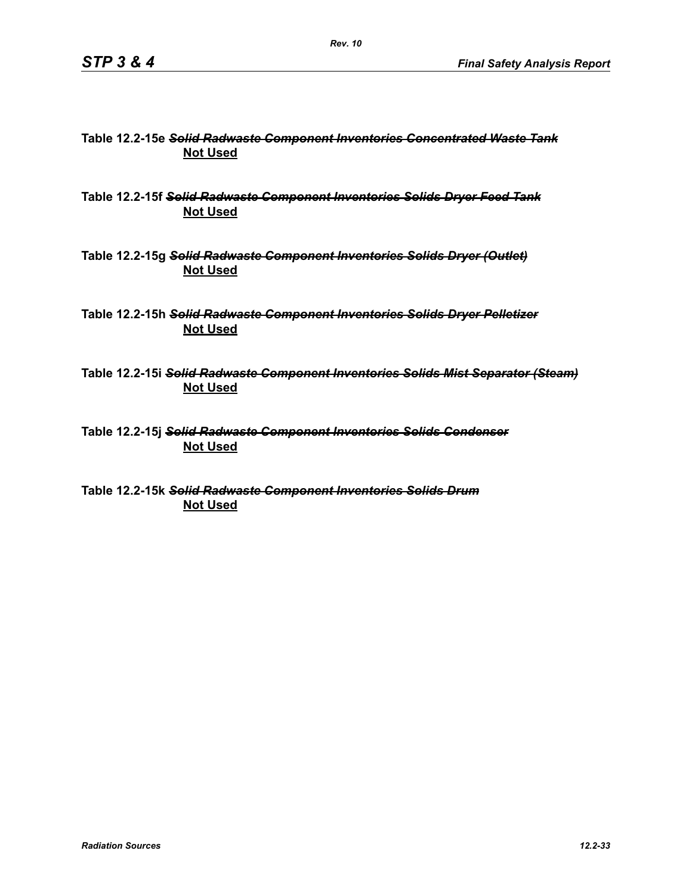### **Table 12.2-15e** *Solid Radwaste Component Inventories Concentrated Waste Tank* **Not Used**

**Table 12.2-15f** *Solid Radwaste Component Inventories Solids Dryer Feed Tank* **Not Used**

**Table 12.2-15g** *Solid Radwaste Component Inventories Solids Dryer (Outlet)* **Not Used**

**Table 12.2-15h** *Solid Radwaste Component Inventories Solids Dryer Pelletizer* **Not Used**

**Table 12.2-15i** *Solid Radwaste Component Inventories Solids Mist Separator (Steam)* **Not Used**

**Table 12.2-15j** *Solid Radwaste Component Inventories Solids Condenser* **Not Used**

**Table 12.2-15k** *Solid Radwaste Component Inventories Solids Drum* **Not Used**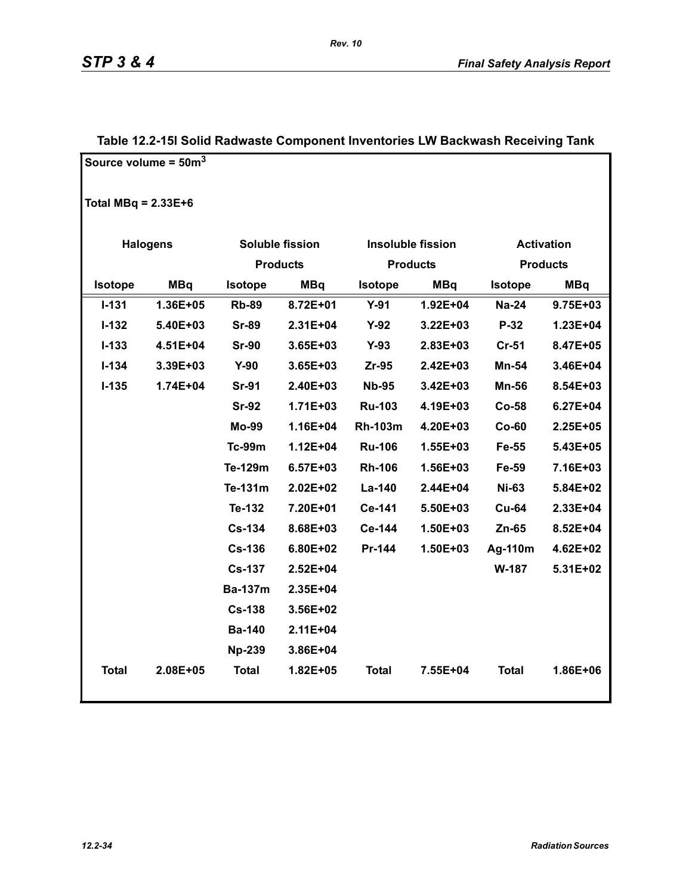|                       | Source volume = $50m3$ |                |                        |                |                          |                |                   |
|-----------------------|------------------------|----------------|------------------------|----------------|--------------------------|----------------|-------------------|
|                       |                        |                |                        |                |                          |                |                   |
| Total MBq = $2.33E+6$ |                        |                |                        |                |                          |                |                   |
|                       | <b>Halogens</b>        |                | <b>Soluble fission</b> |                | <b>Insoluble fission</b> |                | <b>Activation</b> |
|                       |                        |                | <b>Products</b>        |                | <b>Products</b>          |                | <b>Products</b>   |
| Isotope               | <b>MBq</b>             | <b>Isotope</b> | <b>MBq</b>             | Isotope        | <b>MBq</b>               | <b>Isotope</b> | <b>MBq</b>        |
| $I - 131$             | 1.36E+05               | <b>Rb-89</b>   | 8.72E+01               | $Y-91$         | 1.92E+04                 | <b>Na-24</b>   | 9.75E+03          |
| $I-132$               | 5.40E+03               | <b>Sr-89</b>   | 2.31E+04               | $Y-92$         | 3.22E+03                 | P-32           | 1.23E+04          |
| $I - 133$             | 4.51E+04               | <b>Sr-90</b>   | $3.65E + 03$           | $Y-93$         | $2.83E + 03$             | $Cr-51$        | 8.47E+05          |
| $I-134$               | 3.39E+03               | $Y-90$         | 3.65E+03               | $Zr-95$        | 2.42E+03                 | Mn-54          | 3.46E+04          |
| $I-135$               | 1.74E+04               | <b>Sr-91</b>   | 2.40E+03               | <b>Nb-95</b>   | 3.42E+03                 | <b>Mn-56</b>   | 8.54E+03          |
|                       |                        | <b>Sr-92</b>   | $1.71E + 03$           | <b>Ru-103</b>  | 4.19E+03                 | $Co-58$        | $6.27E + 04$      |
|                       |                        | Mo-99          | $1.16E + 04$           | <b>Rh-103m</b> | 4.20E+03                 | $Co-60$        | 2.25E+05          |
|                       |                        | <b>Tc-99m</b>  | $1.12E + 04$           | <b>Ru-106</b>  | 1.55E+03                 | Fe-55          | 5.43E+05          |
|                       |                        | Te-129m        | 6.57E+03               | <b>Rh-106</b>  | 1.56E+03                 | Fe-59          | 7.16E+03          |
|                       |                        | Te-131m        | $2.02E + 02$           | La-140         | 2.44E+04                 | <b>Ni-63</b>   | 5.84E+02          |
|                       |                        | Te-132         | 7.20E+01               | Ce-141         | 5.50E+03                 | <b>Cu-64</b>   | 2.33E+04          |
|                       |                        | <b>Cs-134</b>  | 8.68E+03               | Ce-144         | $1.50E + 03$             | $Zn-65$        | 8.52E+04          |
|                       |                        | <b>Cs-136</b>  | 6.80E+02               | Pr-144         | 1.50E+03                 | Ag-110m        | 4.62E+02          |
|                       |                        | <b>Cs-137</b>  | $2.52E + 04$           |                |                          | W-187          | 5.31E+02          |
|                       |                        | <b>Ba-137m</b> | 2.35E+04               |                |                          |                |                   |
|                       |                        | <b>Cs-138</b>  | 3.56E+02               |                |                          |                |                   |
|                       |                        | <b>Ba-140</b>  | $2.11E + 04$           |                |                          |                |                   |
|                       |                        | <b>Np-239</b>  | 3.86E+04               |                |                          |                |                   |
| <b>Total</b>          | 2.08E+05               | <b>Total</b>   | 1.82E+05               | <b>Total</b>   | 7.55E+04                 | <b>Total</b>   | 1.86E+06          |
|                       |                        |                |                        |                |                          |                |                   |

### **Table 12.2-15l Solid Radwaste Component Inventories LW Backwash Receiving Tank**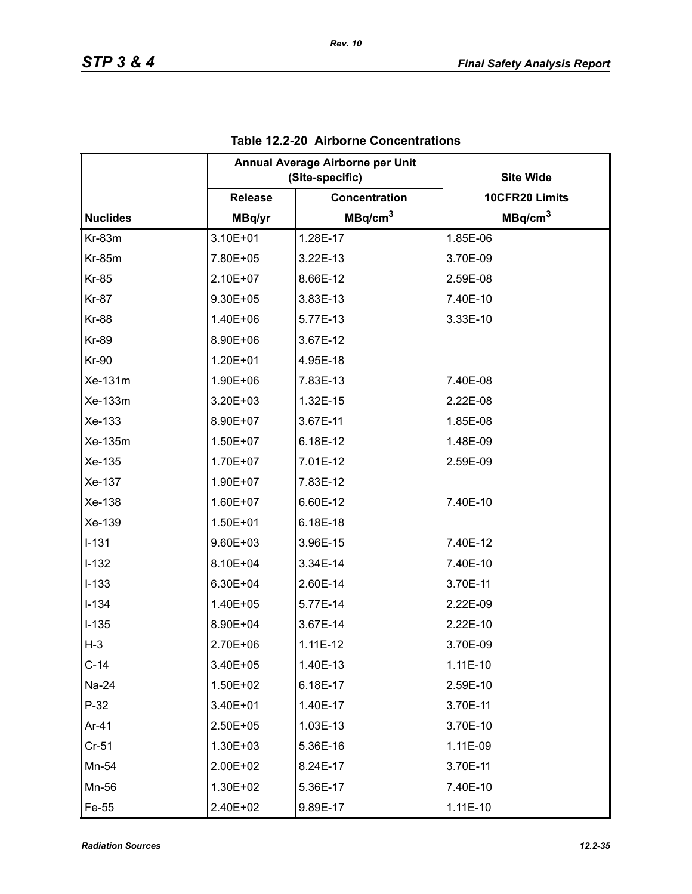|                 | Annual Average Airborne per Unit<br>(Site-specific) |                      | <b>Site Wide</b>    |
|-----------------|-----------------------------------------------------|----------------------|---------------------|
|                 | <b>Release</b>                                      | <b>Concentration</b> | 10CFR20 Limits      |
| <b>Nuclides</b> | MBq/yr                                              | MBq/cm <sup>3</sup>  | MBq/cm <sup>3</sup> |
| Kr-83m          | 3.10E+01                                            | 1.28E-17             | 1.85E-06            |
| <b>Kr-85m</b>   | 7.80E+05                                            | 3.22E-13             | 3.70E-09            |
| <b>Kr-85</b>    | 2.10E+07                                            | 8.66E-12             | 2.59E-08            |
| <b>Kr-87</b>    | 9.30E+05                                            | 3.83E-13             | 7.40E-10            |
| <b>Kr-88</b>    | 1.40E+06                                            | 5.77E-13             | 3.33E-10            |
| <b>Kr-89</b>    | 8.90E+06                                            | 3.67E-12             |                     |
| <b>Kr-90</b>    | 1.20E+01                                            | 4.95E-18             |                     |
| Xe-131m         | 1.90E+06                                            | 7.83E-13             | 7.40E-08            |
| Xe-133m         | 3.20E+03                                            | 1.32E-15             | 2.22E-08            |
| Xe-133          | 8.90E+07                                            | 3.67E-11             | 1.85E-08            |
| Xe-135m         | 1.50E+07                                            | 6.18E-12             | 1.48E-09            |
| Xe-135          | 1.70E+07                                            | 7.01E-12             | 2.59E-09            |
| Xe-137          | 1.90E+07                                            | 7.83E-12             |                     |
| Xe-138          | 1.60E+07                                            | 6.60E-12             | 7.40E-10            |
| Xe-139          | 1.50E+01                                            | 6.18E-18             |                     |
| $I-131$         | 9.60E+03                                            | 3.96E-15             | 7.40E-12            |
| $I-132$         | 8.10E+04                                            | 3.34E-14             | 7.40E-10            |
| $I-133$         | 6.30E+04                                            | 2.60E-14             | 3.70E-11            |
| $I - 134$       | 1.40E+05                                            | 5.77E-14             | 2.22E-09            |
| $I-135$         | 8.90E+04                                            | 3.67E-14             | 2.22E-10            |
| $H-3$           | 2.70E+06                                            | $1.11E-12$           | 3.70E-09            |
| $C-14$          | 3.40E+05                                            | 1.40E-13             | $1.11E-10$          |
| Na-24           | 1.50E+02                                            | 6.18E-17             | 2.59E-10            |
| $P-32$          | 3.40E+01                                            | 1.40E-17             | 3.70E-11            |
| Ar-41           | 2.50E+05                                            | 1.03E-13             | 3.70E-10            |
| $Cr-51$         | 1.30E+03                                            | 5.36E-16             | 1.11E-09            |
| Mn-54           | 2.00E+02                                            | 8.24E-17             | 3.70E-11            |
| Mn-56           | 1.30E+02                                            | 5.36E-17             | 7.40E-10            |
| Fe-55           | 2.40E+02                                            | 9.89E-17             | $1.11E-10$          |

### **Table 12.2-20 Airborne Concentrations**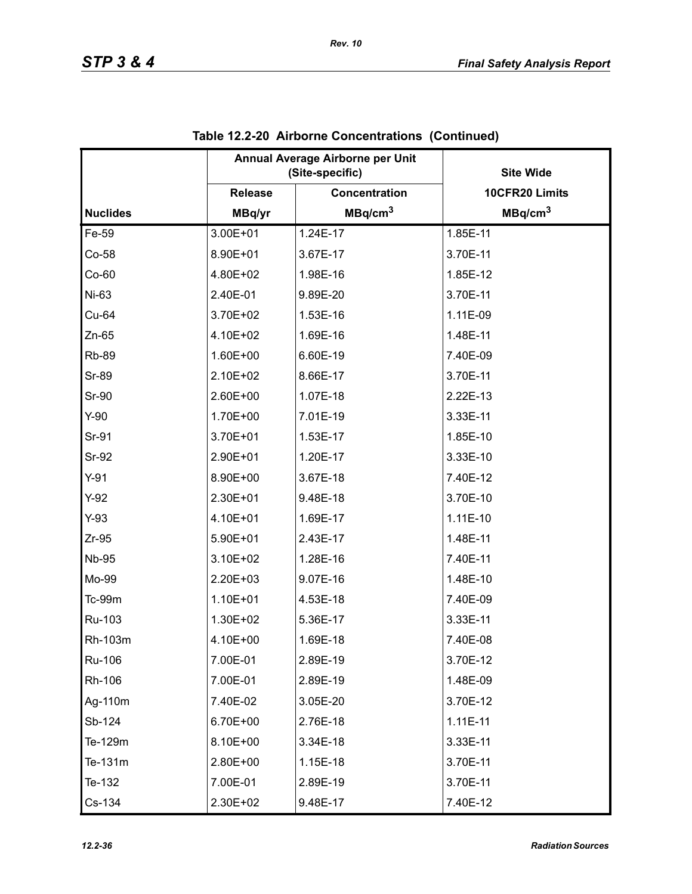|                 |                | Annual Average Airborne per Unit<br>(Site-specific) | <b>Site Wide</b>    |
|-----------------|----------------|-----------------------------------------------------|---------------------|
|                 | <b>Release</b> | <b>Concentration</b>                                | 10CFR20 Limits      |
| <b>Nuclides</b> | MBq/yr         | MBq/cm <sup>3</sup>                                 | MBq/cm <sup>3</sup> |
| Fe-59           | 3.00E+01       | 1.24E-17                                            | 1.85E-11            |
| $Co-58$         | 8.90E+01       | 3.67E-17                                            | 3.70E-11            |
| $Co-60$         | 4.80E+02       | 1.98E-16                                            | 1.85E-12            |
| Ni-63           | 2.40E-01       | 9.89E-20                                            | 3.70E-11            |
| Cu-64           | 3.70E+02       | 1.53E-16                                            | 1.11E-09            |
| $Zn-65$         | 4.10E+02       | 1.69E-16                                            | 1.48E-11            |
| <b>Rb-89</b>    | 1.60E+00       | 6.60E-19                                            | 7.40E-09            |
| <b>Sr-89</b>    | 2.10E+02       | 8.66E-17                                            | 3.70E-11            |
| <b>Sr-90</b>    | 2.60E+00       | 1.07E-18                                            | 2.22E-13            |
| $Y-90$          | 1.70E+00       | 7.01E-19                                            | 3.33E-11            |
| Sr-91           | 3.70E+01       | 1.53E-17                                            | 1.85E-10            |
| Sr-92           | 2.90E+01       | 1.20E-17                                            | 3.33E-10            |
| $Y-91$          | 8.90E+00       | 3.67E-18                                            | 7.40E-12            |
| $Y-92$          | 2.30E+01       | 9.48E-18                                            | 3.70E-10            |
| $Y-93$          | 4.10E+01       | 1.69E-17                                            | 1.11E-10            |
| $Zr-95$         | 5.90E+01       | 2.43E-17                                            | 1.48E-11            |
| <b>Nb-95</b>    | 3.10E+02       | 1.28E-16                                            | 7.40E-11            |
| Mo-99           | 2.20E+03       | 9.07E-16                                            | 1.48E-10            |
| $Tc-99m$        | 1.10E+01       | 4.53E-18                                            | 7.40E-09            |
| Ru-103          | 1.30E+02       | 5.36E-17                                            | 3.33E-11            |
| Rh-103m         | 4.10E+00       | 1.69E-18                                            | 7.40E-08            |
| Ru-106          | 7.00E-01       | 2.89E-19                                            | 3.70E-12            |
| Rh-106          | 7.00E-01       | 2.89E-19                                            | 1.48E-09            |
| Ag-110m         | 7.40E-02       | 3.05E-20                                            | 3.70E-12            |
| Sb-124          | 6.70E+00       | 2.76E-18                                            | $1.11E-11$          |
| Te-129m         | 8.10E+00       | 3.34E-18                                            | 3.33E-11            |
| Te-131m         | 2.80E+00       | 1.15E-18                                            | 3.70E-11            |
| Te-132          | 7.00E-01       | 2.89E-19                                            | 3.70E-11            |
| Cs-134          | 2.30E+02       | 9.48E-17                                            | 7.40E-12            |

| Table 12.2-20 Airborne Concentrations (Continued) |
|---------------------------------------------------|
|---------------------------------------------------|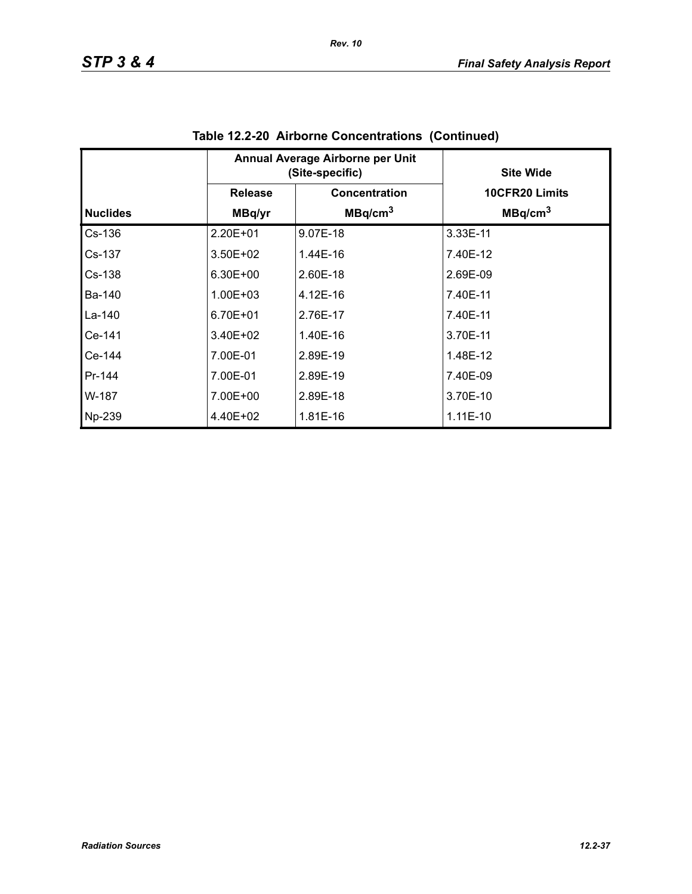|                 | Annual Average Airborne per Unit<br>(Site-specific) |                      | <b>Site Wide</b>    |
|-----------------|-----------------------------------------------------|----------------------|---------------------|
|                 | <b>Release</b>                                      | <b>Concentration</b> | 10CFR20 Limits      |
| <b>Nuclides</b> | MBq/yr                                              | MBq/cm <sup>3</sup>  | MBq/cm <sup>3</sup> |
| $Cs-136$        | $2.20E + 01$                                        | 9.07E-18             | 3.33E-11            |
| Cs-137          | $3.50E + 02$                                        | $1.44E-16$           | 7.40E-12            |
| Cs-138          | 6.30E+00                                            | 2.60E-18             | 2.69E-09            |
| Ba-140          | $1.00E + 03$                                        | 4.12E-16             | 7.40E-11            |
| La-140          | 6.70E+01                                            | 2.76E-17             | 7.40E-11            |
| Ce-141          | $3.40E + 02$                                        | 1.40E-16             | 3.70E-11            |
| Ce-144          | 7.00E-01                                            | 2.89E-19             | 1.48E-12            |
| Pr-144          | 7.00E-01                                            | 2.89E-19             | 7.40E-09            |
| W-187           | 7.00E+00                                            | 2.89E-18             | 3.70E-10            |
| Np-239          | 4.40E+02                                            | 1.81E-16             | $1.11E-10$          |

**Table 12.2-20 Airborne Concentrations (Continued)**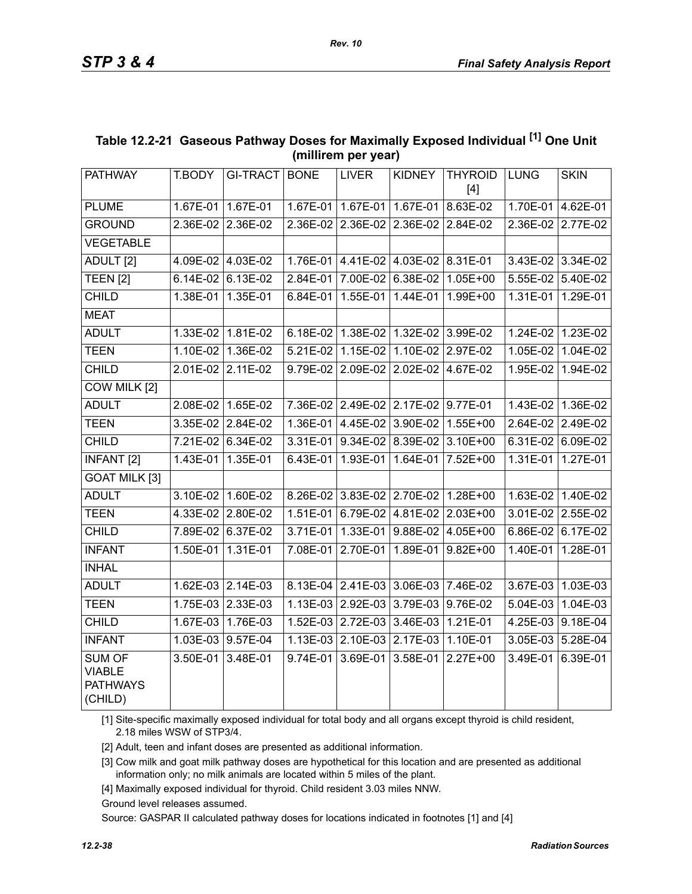| PATHWAY                                                      | T.BODY            | <b>GI-TRACT</b>     | <b>BONE</b> | <b>LIVER</b>                        | <b>KIDNEY</b>              | <b>THYROID</b><br>$[4] % \includegraphics[width=0.9\columnwidth]{images/TrDiM1.png} % \caption{The figure shows the results of the estimators in the left and right.} \label{TrDiM2} %$ | LUNG       | <b>SKIN</b>       |
|--------------------------------------------------------------|-------------------|---------------------|-------------|-------------------------------------|----------------------------|-----------------------------------------------------------------------------------------------------------------------------------------------------------------------------------------|------------|-------------------|
| <b>PLUME</b>                                                 | 1.67E-01 1.67E-01 |                     |             | 1.67E-01 1.67E-01 1.67E-01          |                            | 8.63E-02                                                                                                                                                                                |            | 1.70E-01 4.62E-01 |
| <b>GROUND</b>                                                |                   | 2.36E-02 2.36E-02   |             | 2.36E-02 2.36E-02 2.36E-02 2.84E-02 |                            |                                                                                                                                                                                         |            | 2.36E-02 2.77E-02 |
| <b>VEGETABLE</b>                                             |                   |                     |             |                                     |                            |                                                                                                                                                                                         |            |                   |
| ADULT <sub>[2]</sub>                                         |                   | 4.09E-02 4.03E-02   |             | 1.76E-01 4.41E-02 4.03E-02 8.31E-01 |                            |                                                                                                                                                                                         |            | 3.43E-02 3.34E-02 |
| <b>TEEN [2]</b>                                              |                   | 6.14E-02 6.13E-02   | 2.84E-01    | 7.00E-02                            | 6.38E-02                   | 1.05E+00                                                                                                                                                                                |            | 5.55E-02 5.40E-02 |
| <b>CHILD</b>                                                 |                   | 1.38E-01 1.35E-01   | 6.84E-01    | $1.55E-01$                          | 1.44E-01                   | 1.99E+00                                                                                                                                                                                | $1.31E-01$ | 1.29E-01          |
| <b>MEAT</b>                                                  |                   |                     |             |                                     |                            |                                                                                                                                                                                         |            |                   |
| <b>ADULT</b>                                                 |                   | 1.33E-02 1.81E-02   | 6.18E-02    |                                     | 1.38E-02 1.32E-02 3.99E-02 |                                                                                                                                                                                         |            | 1.24E-02 1.23E-02 |
| <b>TEEN</b>                                                  | 1.10E-02          | 1.36E-02            | 5.21E-02    | 1.15E-02                            | 1.10E-02                   | 2.97E-02                                                                                                                                                                                | 1.05E-02   | 1.04E-02          |
| <b>CHILD</b>                                                 | $2.01E-02$        | $2.11E-02$          | 9.79E-02    | 2.09E-02                            | 2.02E-02                   | 4.67E-02                                                                                                                                                                                | 1.95E-02   | 1.94E-02          |
| <b>COW MILK [2]</b>                                          |                   |                     |             |                                     |                            |                                                                                                                                                                                         |            |                   |
| ADULT                                                        |                   | 2.08E-02 1.65E-02   |             | 7.36E-02 2.49E-02 2.17E-02 9.77E-01 |                            |                                                                                                                                                                                         |            | 1.43E-02 1.36E-02 |
| <b>TEEN</b>                                                  |                   | 3.35E-02 2.84E-02   | 1.36E-01    | 4.45E-02                            | 3.90E-02                   | 1.55E+00                                                                                                                                                                                |            | 2.64E-02 2.49E-02 |
| <b>CHILD</b>                                                 |                   | 7.21E-02 6.34E-02   | 3.31E-01    |                                     | 9.34E-02 8.39E-02          | 3.10E+00                                                                                                                                                                                |            | 6.31E-02 6.09E-02 |
| <b>INFANT [2]</b>                                            |                   | 1.43E-01 1.35E-01   | 6.43E-01    |                                     |                            | 1.93E-01   1.64E-01   7.52E+00                                                                                                                                                          |            | 1.31E-01 1.27E-01 |
| <b>GOAT MILK [3]</b>                                         |                   |                     |             |                                     |                            |                                                                                                                                                                                         |            |                   |
| <b>ADULT</b>                                                 |                   | 3.10E-02 1.60E-02   | 8.26E-02    |                                     | 3.83E-02 2.70E-02          | $1.28E+00$                                                                                                                                                                              |            | 1.63E-02 1.40E-02 |
| <b>TEEN</b>                                                  | 4.33E-02          | 2.80E-02            | 1.51E-01    | 6.79E-02                            | 4.81E-02                   | 2.03E+00                                                                                                                                                                                | 3.01E-02   | 2.55E-02          |
| <b>CHILD</b>                                                 | 7.89E-02          | 6.37E-02            | 3.71E-01    | 1.33E-01                            | $9.88E-02$                 | 4.05E+00                                                                                                                                                                                | 6.86E-02   | 6.17E-02          |
| <b>INFANT</b>                                                |                   | 1.50E-01   1.31E-01 | 7.08E-01    | 2.70E-01                            | 1.89E-01                   | $9.82E + 00$                                                                                                                                                                            | 1.40E-01   | 1.28E-01          |
| <b>INHAL</b>                                                 |                   |                     |             |                                     |                            |                                                                                                                                                                                         |            |                   |
| <b>ADULT</b>                                                 |                   | 1.62E-03 2.14E-03   |             | 8.13E-04 2.41E-03                   | 3.06E-03 7.46E-02          |                                                                                                                                                                                         |            | 3.67E-03 1.03E-03 |
| <b>TEEN</b>                                                  |                   | 1.75E-03 2.33E-03   | 1.13E-03    | 2.92E-03                            | 3.79E-03                   | 9.76E-02                                                                                                                                                                                | 5.04E-03   | 1.04E-03          |
| <b>CHILD</b>                                                 |                   | 1.67E-03 1.76E-03   |             | 1.52E-03 2.72E-03 3.46E-03          |                            | $1.21E-01$                                                                                                                                                                              |            | 4.25E-03 9.18E-04 |
| <b>INFANT</b>                                                |                   | 1.03E-03 9.57E-04   |             | $1.13E-03$ 2.10E-03                 | 2.17E-03                   | 1.10E-01                                                                                                                                                                                | 3.05E-03   | 5.28E-04          |
| <b>SUM OF</b><br><b>VIABLE</b><br><b>PATHWAYS</b><br>(CHILD) |                   | 3.50E-01 3.48E-01   |             | 9.74E-01 3.69E-01                   | 3.58E-01                   | $2.27E+00$                                                                                                                                                                              | 3.49E-01   | $6.39E-01$        |

### **Table 12.2-21 Gaseous Pathway Doses for Maximally Exposed Individual [1] One Unit (millirem per year)**

[1] Site-specific maximally exposed individual for total body and all organs except thyroid is child resident, 2.18 miles WSW of STP3/4.

[2] Adult, teen and infant doses are presented as additional information.

[3] Cow milk and goat milk pathway doses are hypothetical for this location and are presented as additional information only; no milk animals are located within 5 miles of the plant.

[4] Maximally exposed individual for thyroid. Child resident 3.03 miles NNW.

Ground level releases assumed.

Source: GASPAR II calculated pathway doses for locations indicated in footnotes [1] and [4]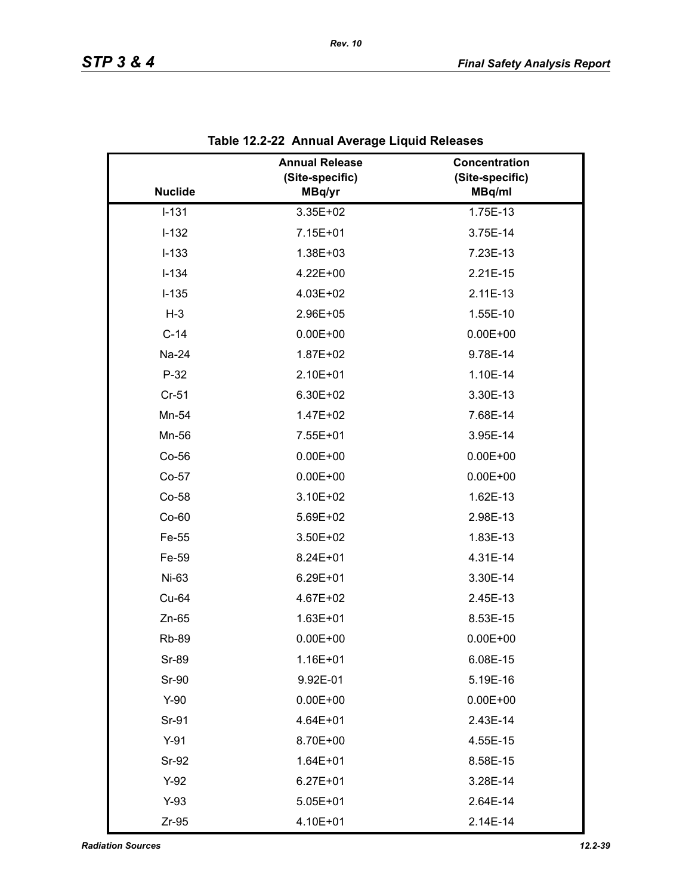|                | <b>Annual Release</b><br>(Site-specific) | Concentration<br>(Site-specific) |
|----------------|------------------------------------------|----------------------------------|
| <b>Nuclide</b> | MBq/yr                                   | MBq/ml                           |
| $I-131$        | 3.35E+02                                 | 1.75E-13                         |
| $I-132$        | 7.15E+01                                 | 3.75E-14                         |
| $I-133$        | 1.38E+03                                 | 7.23E-13                         |
| $I-134$        | 4.22E+00                                 | 2.21E-15                         |
| $I-135$        | 4.03E+02                                 | 2.11E-13                         |
| $H-3$          | 2.96E+05                                 | 1.55E-10                         |
| $C-14$         | $0.00E + 00$                             | $0.00E + 00$                     |
| Na-24          | 1.87E+02                                 | 9.78E-14                         |
| $P-32$         | 2.10E+01                                 | 1.10E-14                         |
| $Cr-51$        | 6.30E+02                                 | 3.30E-13                         |
| Mn-54          | 1.47E+02                                 | 7.68E-14                         |
| Mn-56          | 7.55E+01                                 | 3.95E-14                         |
| Co-56          | $0.00E + 00$                             | $0.00E + 00$                     |
| Co-57          | $0.00E + 00$                             | $0.00E + 00$                     |
| Co-58          | 3.10E+02                                 | 1.62E-13                         |
| $Co-60$        | 5.69E+02                                 | 2.98E-13                         |
| Fe-55          | 3.50E+02                                 | 1.83E-13                         |
| Fe-59          | 8.24E+01                                 | 4.31E-14                         |
| Ni-63          | 6.29E+01                                 | 3.30E-14                         |
| Cu-64          | 4.67E+02                                 | 2.45E-13                         |
| $Zn-65$        | $1.63E + 01$                             | 8.53E-15                         |
| <b>Rb-89</b>   | $0.00E + 00$                             | $0.00E + 00$                     |
| Sr-89          | 1.16E+01                                 | 6.08E-15                         |
| Sr-90          | 9.92E-01                                 | 5.19E-16                         |
| $Y-90$         | $0.00E + 00$                             | $0.00E + 00$                     |
| Sr-91          | 4.64E+01                                 | 2.43E-14                         |
| $Y-91$         | 8.70E+00                                 | 4.55E-15                         |
| Sr-92          | $1.64E + 01$                             | 8.58E-15                         |
| $Y-92$         | $6.27E + 01$                             | 3.28E-14                         |
| $Y-93$         | $5.05E + 01$                             | 2.64E-14                         |
| $Zr-95$        | 4.10E+01                                 | 2.14E-14                         |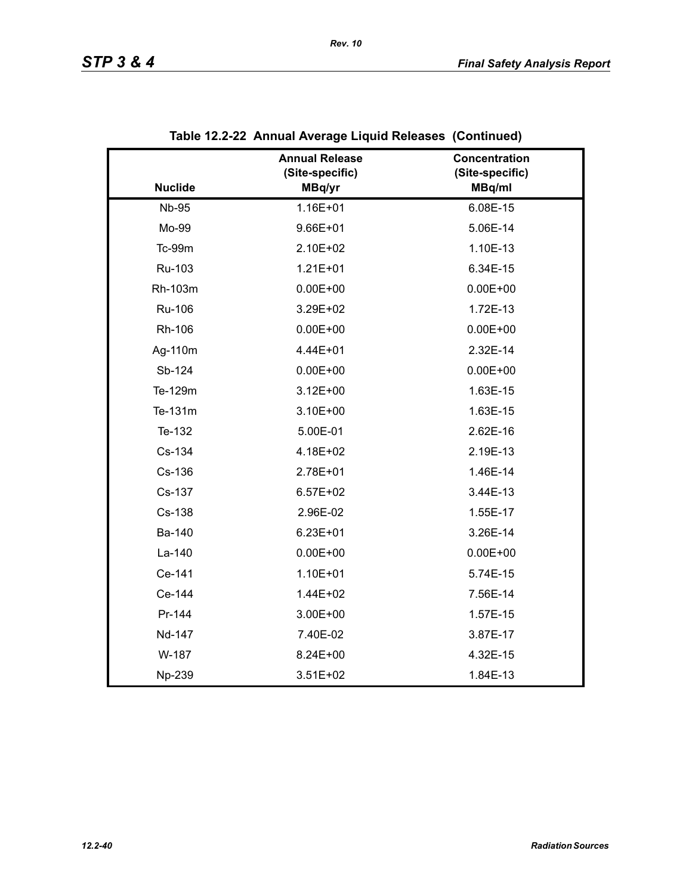|                | <b>Annual Release</b><br>(Site-specific) | Concentration<br>(Site-specific) |
|----------------|------------------------------------------|----------------------------------|
| <b>Nuclide</b> | MBq/yr                                   | MBq/ml                           |
| <b>Nb-95</b>   | 1.16E+01                                 | 6.08E-15                         |
| Mo-99          | $9.66E + 01$                             | 5.06E-14                         |
| Tc-99m         | 2.10E+02                                 | 1.10E-13                         |
| Ru-103         | $1.21E + 01$                             | 6.34E-15                         |
| Rh-103m        | $0.00E + 00$                             | $0.00E + 00$                     |
| Ru-106         | 3.29E+02                                 | 1.72E-13                         |
| Rh-106         | $0.00E + 00$                             | $0.00E + 00$                     |
| Ag-110m        | 4.44E+01                                 | 2.32E-14                         |
| Sb-124         | $0.00E + 00$                             | $0.00E + 00$                     |
| Te-129m        | $3.12E + 00$                             | 1.63E-15                         |
| Te-131m        | 3.10E+00                                 | 1.63E-15                         |
| Te-132         | 5.00E-01                                 | 2.62E-16                         |
| Cs-134         | 4.18E+02                                 | 2.19E-13                         |
| Cs-136         | 2.78E+01                                 | 1.46E-14                         |
| Cs-137         | $6.57E + 02$                             | 3.44E-13                         |
| Cs-138         | 2.96E-02                                 | 1.55E-17                         |
| Ba-140         | $6.23E + 01$                             | 3.26E-14                         |
| La-140         | $0.00E + 00$                             | $0.00E + 00$                     |
| Ce-141         | $1.10E + 01$                             | 5.74E-15                         |
| Ce-144         | 1.44E+02                                 | 7.56E-14                         |
| Pr-144         | 3.00E+00                                 | 1.57E-15                         |
| Nd-147         | 7.40E-02                                 | 3.87E-17                         |
| W-187          | 8.24E+00                                 | 4.32E-15                         |
| Np-239         | $3.51E + 02$                             | 1.84E-13                         |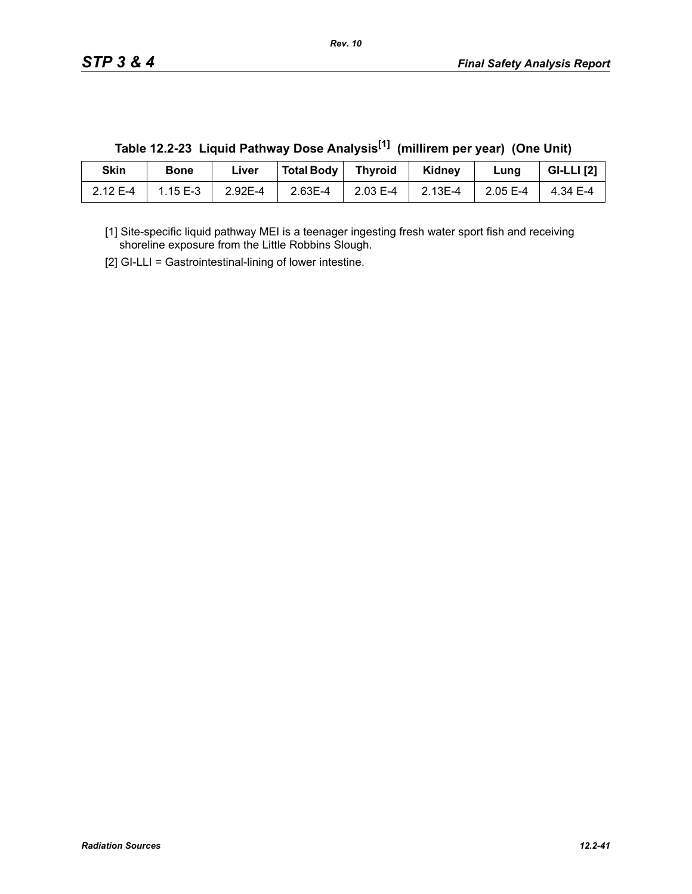| Skin     | <b>Bone</b> | Liver   | Total Body | Thyroid  | Kidney  | Lung     | <b>GI-LLI</b> [2] |
|----------|-------------|---------|------------|----------|---------|----------|-------------------|
| 2.12 E-4 | 1.15 $E-3$  | 2.92E-4 | 2.63E-4    | 2.03 E-4 | 2.13E-4 | 2.05 E-4 | 4.34 E-4          |

**Table 12.2-23 Liquid Pathway Dose Analysis[1] (millirem per year) (One Unit)**

[1] Site-specific liquid pathway MEI is a teenager ingesting fresh water sport fish and receiving shoreline exposure from the Little Robbins Slough.

[2] GI-LLI = Gastrointestinal-lining of lower intestine.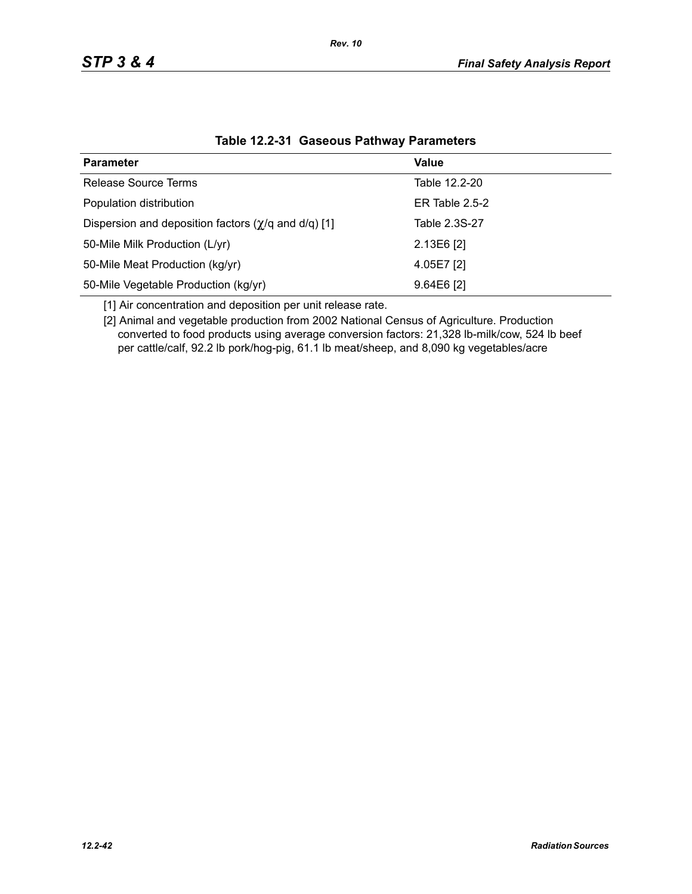| <b>Parameter</b>                                                  | Value            |
|-------------------------------------------------------------------|------------------|
| Release Source Terms                                              | Table 12.2-20    |
| Population distribution                                           | ER Table $2.5-2$ |
| Dispersion and deposition factors $(\chi/q \text{ and } d/q)$ [1] | Table 2.3S-27    |
| 50-Mile Milk Production (L/yr)                                    | $2.13E6$ [2]     |
| 50-Mile Meat Production (kg/yr)                                   | 4.05E7 [2]       |
| 50-Mile Vegetable Production (kg/yr)                              | $9.64E6$ [2]     |

### **Table 12.2-31 Gaseous Pathway Parameters**

[1] Air concentration and deposition per unit release rate.

[2] Animal and vegetable production from 2002 National Census of Agriculture. Production converted to food products using average conversion factors: 21,328 lb-milk/cow, 524 lb beef per cattle/calf, 92.2 lb pork/hog-pig, 61.1 lb meat/sheep, and 8,090 kg vegetables/acre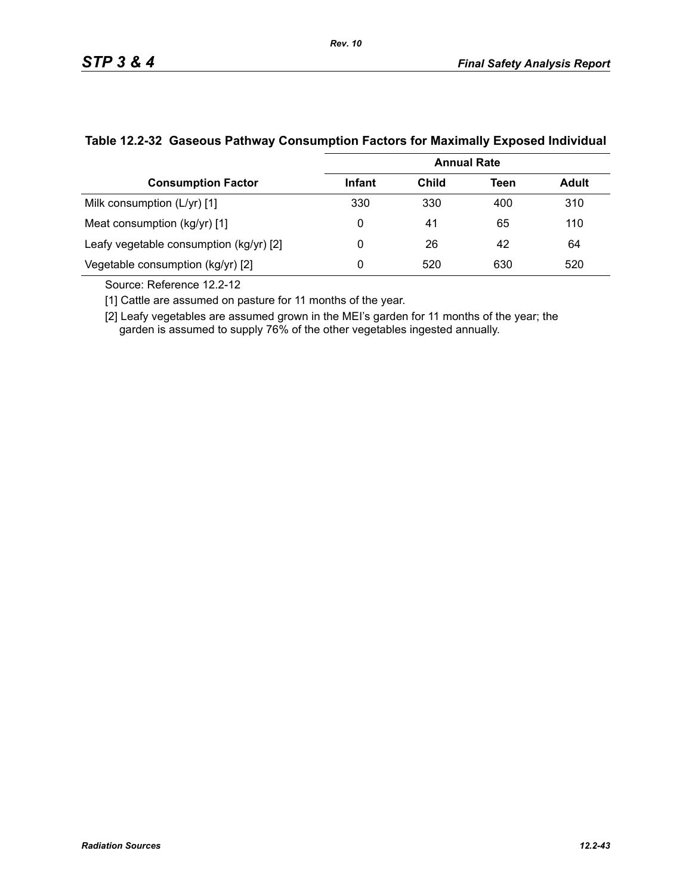|                                         | <b>Annual Rate</b> |              |      |       |  |  |
|-----------------------------------------|--------------------|--------------|------|-------|--|--|
| <b>Consumption Factor</b>               | <b>Infant</b>      | <b>Child</b> | Teen | Adult |  |  |
| Milk consumption (L/yr) [1]             | 330                | 330          | 400  | 310   |  |  |
| Meat consumption (kg/yr) [1]            | 0                  | 41           | 65   | 110   |  |  |
| Leafy vegetable consumption (kg/yr) [2] | 0                  | 26           | 42   | 64    |  |  |
| Vegetable consumption (kg/yr) [2]       | 0                  | 520          | 630  | 520   |  |  |

### **Table 12.2-32 Gaseous Pathway Consumption Factors for Maximally Exposed Individual**

Source: Reference 12.2-12

[1] Cattle are assumed on pasture for 11 months of the year.

[2] Leafy vegetables are assumed grown in the MEI's garden for 11 months of the year; the garden is assumed to supply 76% of the other vegetables ingested annually.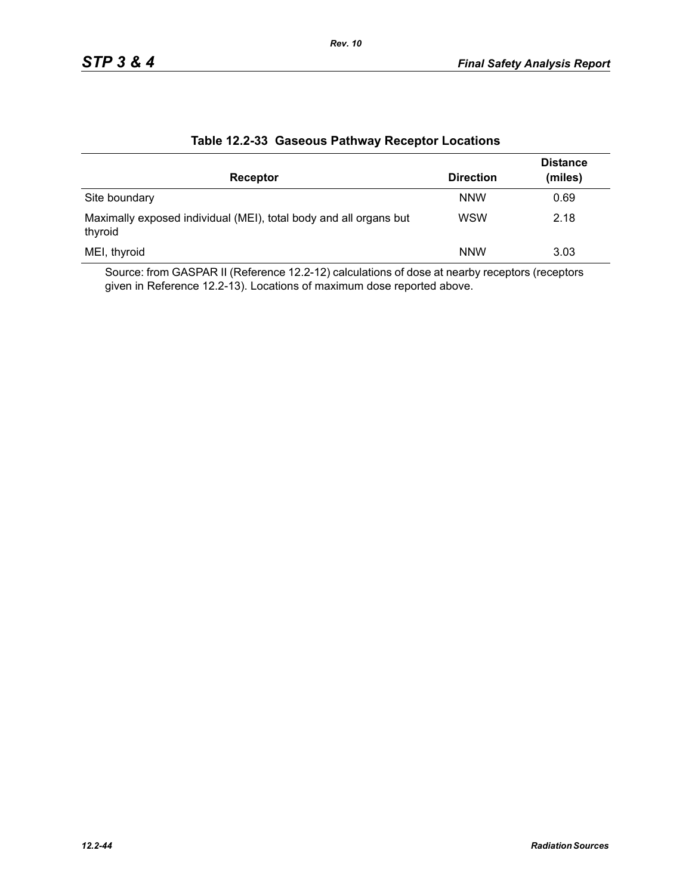|                                                                              |                  | <b>Distance</b> |
|------------------------------------------------------------------------------|------------------|-----------------|
| Receptor                                                                     | <b>Direction</b> | (miles)         |
| Site boundary                                                                | <b>NNW</b>       | 0.69            |
| Maximally exposed individual (MEI), total body and all organs but<br>thyroid | <b>WSW</b>       | 2.18            |
| MEI, thyroid                                                                 | <b>NNW</b>       | 3.03            |

### **Table 12.2-33 Gaseous Pathway Receptor Locations**

Source: from GASPAR II (Reference 12.2-12) calculations of dose at nearby receptors (receptors given in Reference 12.2-13). Locations of maximum dose reported above.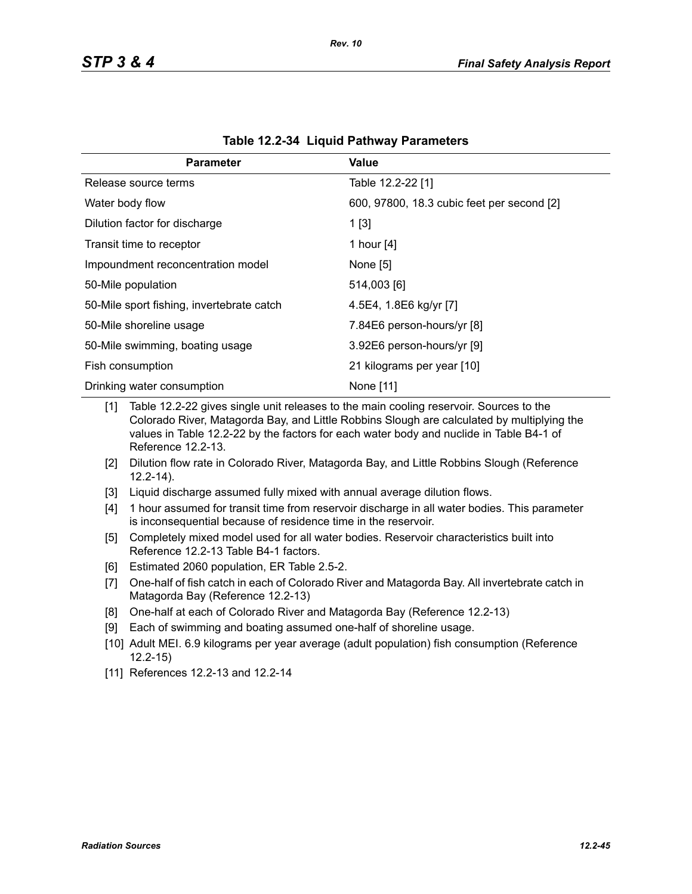| <b>Parameter</b>                          | Value                                      |
|-------------------------------------------|--------------------------------------------|
| Release source terms                      | Table 12.2-22 [1]                          |
| Water body flow                           | 600, 97800, 18.3 cubic feet per second [2] |
| Dilution factor for discharge             | 1[3]                                       |
| Transit time to receptor                  | 1 hour [4]                                 |
| Impoundment reconcentration model         | None [5]                                   |
| 50-Mile population                        | 514,003 [6]                                |
| 50-Mile sport fishing, invertebrate catch | 4.5E4, 1.8E6 kg/yr [7]                     |
| 50-Mile shoreline usage                   | 7.84E6 person-hours/yr [8]                 |
| 50-Mile swimming, boating usage           | 3.92E6 person-hours/yr [9]                 |
| Fish consumption                          | 21 kilograms per year [10]                 |
| Drinking water consumption                | None [11]                                  |

| Table 12.2-34 Liquid Pathway Parameters |  |  |  |
|-----------------------------------------|--|--|--|
|-----------------------------------------|--|--|--|

[1] Table 12.2-22 gives single unit releases to the main cooling reservoir. Sources to the Colorado River, Matagorda Bay, and Little Robbins Slough are calculated by multiplying the values in Table 12.2-22 by the factors for each water body and nuclide in Table B4-1 of Reference 12.2-13.

- [2] Dilution flow rate in Colorado River, Matagorda Bay, and Little Robbins Slough (Reference 12.2-14).
- [3] Liquid discharge assumed fully mixed with annual average dilution flows.
- [4] 1 hour assumed for transit time from reservoir discharge in all water bodies. This parameter is inconsequential because of residence time in the reservoir.
- [5] Completely mixed model used for all water bodies. Reservoir characteristics built into Reference 12.2-13 Table B4-1 factors.
- [6] Estimated 2060 population, ER Table 2.5-2.
- [7] One-half of fish catch in each of Colorado River and Matagorda Bay. All invertebrate catch in Matagorda Bay (Reference 12.2-13)
- [8] One-half at each of Colorado River and Matagorda Bay (Reference 12.2-13)
- [9] Each of swimming and boating assumed one-half of shoreline usage.
- [10] Adult MEI. 6.9 kilograms per year average (adult population) fish consumption (Reference 12.2-15)
- [11] References 12.2-13 and 12.2-14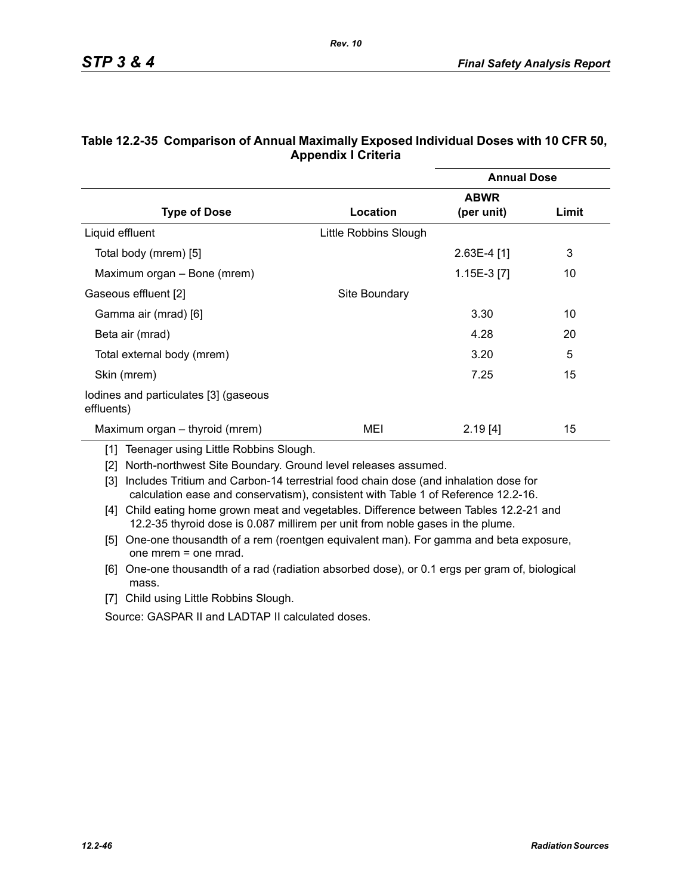|                                                     |                       | <b>Annual Dose</b> |       |
|-----------------------------------------------------|-----------------------|--------------------|-------|
|                                                     |                       | <b>ABWR</b>        |       |
| <b>Type of Dose</b>                                 | Location              | (per unit)         | Limit |
| Liquid effluent                                     | Little Robbins Slough |                    |       |
| Total body (mrem) [5]                               |                       | $2.63E-4$ [1]      | 3     |
| Maximum organ – Bone (mrem)                         |                       | 1.15E-3 [7]        | 10    |
| Gaseous effluent [2]                                | Site Boundary         |                    |       |
| Gamma air (mrad) [6]                                |                       | 3.30               | 10    |
| Beta air (mrad)                                     |                       | 4.28               | 20    |
| Total external body (mrem)                          |                       | 3.20               | 5     |
| Skin (mrem)                                         |                       | 7.25               | 15    |
| lodines and particulates [3] (gaseous<br>effluents) |                       |                    |       |
| Maximum organ – thyroid (mrem)                      | MEI                   | 2.19[4]            | 15    |

### **Table 12.2-35 Comparison of Annual Maximally Exposed Individual Doses with 10 CFR 50, Appendix I Criteria**

*Rev. 10*

[1] Teenager using Little Robbins Slough.

[2] North-northwest Site Boundary. Ground level releases assumed.

[3] Includes Tritium and Carbon-14 terrestrial food chain dose (and inhalation dose for calculation ease and conservatism), consistent with Table 1 of Reference 12.2-16.

- [4] Child eating home grown meat and vegetables. Difference between Tables 12.2-21 and 12.2-35 thyroid dose is 0.087 millirem per unit from noble gases in the plume.
- [5] One-one thousandth of a rem (roentgen equivalent man). For gamma and beta exposure, one mrem = one mrad.
- [6] One-one thousandth of a rad (radiation absorbed dose), or 0.1 ergs per gram of, biological mass.
- [7] Child using Little Robbins Slough.

Source: GASPAR II and LADTAP II calculated doses.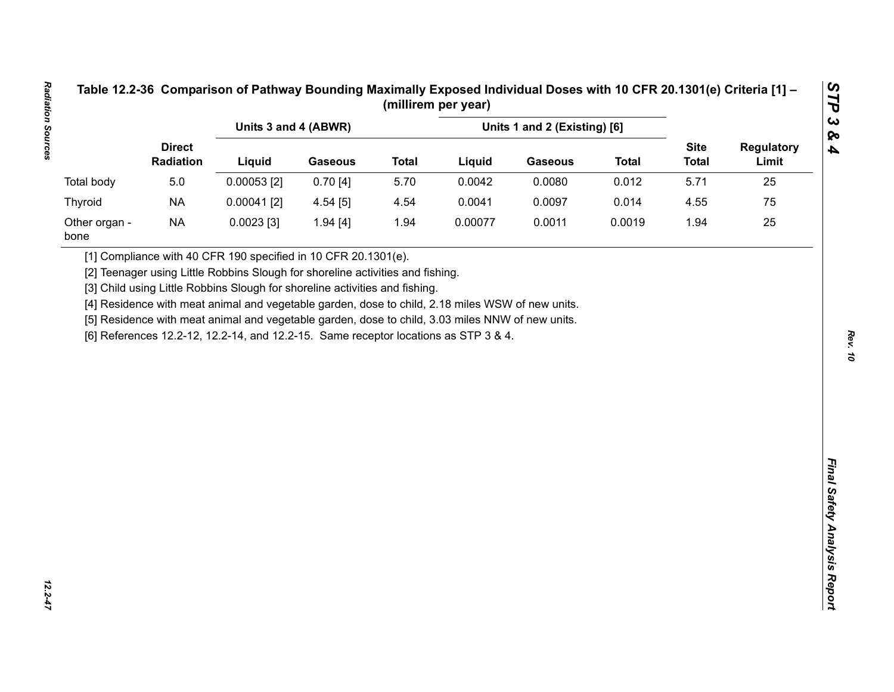|                       |                            |                                                                                                                                                                                         | Units 1 and 2 (Existing) [6]<br>Units 3 and 4 (ABWR) |              |         |                |              |                             |                            |
|-----------------------|----------------------------|-----------------------------------------------------------------------------------------------------------------------------------------------------------------------------------------|------------------------------------------------------|--------------|---------|----------------|--------------|-----------------------------|----------------------------|
|                       | <b>Direct</b><br>Radiation | Liquid                                                                                                                                                                                  | <b>Gaseous</b>                                       | <b>Total</b> | Liquid  | <b>Gaseous</b> | <b>Total</b> | <b>Site</b><br><b>Total</b> | <b>Regulatory</b><br>Limit |
| Total body            | 5.0                        | $0.00053$ [2]                                                                                                                                                                           | 0.70[4]                                              | 5.70         | 0.0042  | 0.0080         | 0.012        | 5.71                        | 25                         |
| <b>Thyroid</b>        | <b>NA</b>                  | $0.00041$ [2]                                                                                                                                                                           | 4.54[5]                                              | 4.54         | 0.0041  | 0.0097         | 0.014        | 4.55                        | 75                         |
| Other organ -<br>bone | <b>NA</b>                  | $0.0023$ [3]                                                                                                                                                                            | 1.94 [4]                                             | 1.94         | 0.00077 | 0.0011         | 0.0019       | 1.94                        | 25                         |
|                       |                            | [5] Residence with meat animal and vegetable garden, dose to child, 3.03 miles NNW of new units.<br>[6] References 12.2-12, 12.2-14, and 12.2-15. Same receptor locations as STP 3 & 4. |                                                      |              |         |                |              |                             |                            |